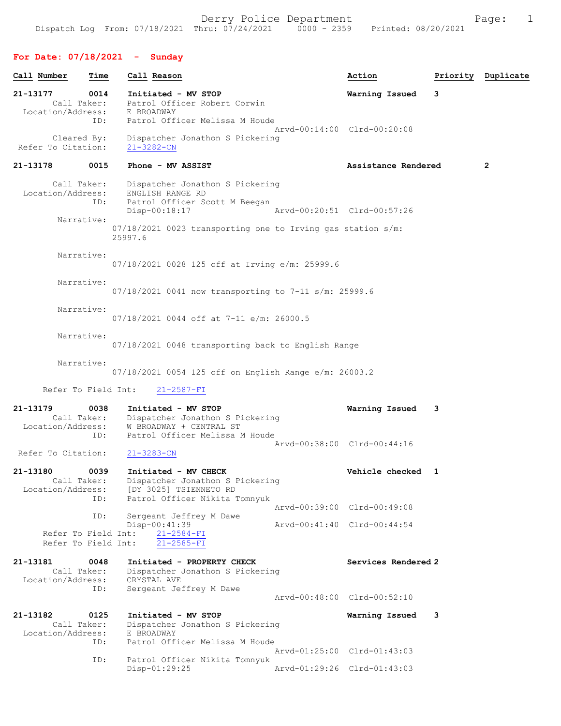## For Date: 07/18/2021 - Sunday

| Call Number                                  | Time        | Call Reason                                                                                                                    | Action                      |   | Priority Duplicate |
|----------------------------------------------|-------------|--------------------------------------------------------------------------------------------------------------------------------|-----------------------------|---|--------------------|
| 21-13177<br>Call Taker:                      | 0014        | Initiated - MV STOP<br>Patrol Officer Robert Corwin                                                                            | Warning Issued              | 3 |                    |
| Location/Address:                            | ID:         | E BROADWAY<br>Patrol Officer Melissa M Houde                                                                                   | Arvd-00:14:00 Clrd-00:20:08 |   |                    |
| Cleared By:<br>Refer To Citation:            |             | Dispatcher Jonathon S Pickering<br>$21 - 3282 - CN$                                                                            |                             |   |                    |
| 21-13178                                     | 0015        | Phone - MV ASSIST                                                                                                              | Assistance Rendered         |   | $\mathbf{2}$       |
| Call Taker:<br>Location/Address:             | ID:         | Dispatcher Jonathon S Pickering<br>ENGLISH RANGE RD<br>Patrol Officer Scott M Beegan<br>Disp-00:18:17                          | Arvd-00:20:51 Clrd-00:57:26 |   |                    |
| Narrative:                                   |             | $07/18/2021$ 0023 transporting one to Irving gas station s/m:<br>25997.6                                                       |                             |   |                    |
| Narrative:                                   |             | 07/18/2021 0028 125 off at Irving e/m: 25999.6                                                                                 |                             |   |                    |
| Narrative:                                   |             | $07/18/2021$ 0041 now transporting to 7-11 s/m: 25999.6                                                                        |                             |   |                    |
| Narrative:                                   |             | 07/18/2021 0044 off at 7-11 e/m: 26000.5                                                                                       |                             |   |                    |
| Narrative:                                   |             | 07/18/2021 0048 transporting back to English Range                                                                             |                             |   |                    |
| Narrative:                                   |             | $07/18/2021$ 0054 125 off on English Range e/m: 26003.2                                                                        |                             |   |                    |
| Refer To Field Int:                          |             | $21 - 2587 - FI$                                                                                                               |                             |   |                    |
| 21-13179<br>Call Taker:<br>Location/Address: | 0038<br>ID: | Initiated - MV STOP<br>Dispatcher Jonathon S Pickering<br>W BROADWAY + CENTRAL ST<br>Patrol Officer Melissa M Houde            | Warning Issued              | 3 |                    |
| Refer To Citation:                           |             | $21 - 3283 - CN$                                                                                                               | Arvd-00:38:00 Clrd-00:44:16 |   |                    |
| 21-13180<br>Location/Address:                | 0039<br>ID: | Initiated - MV CHECK<br>Call Taker: Dispatcher Jonathon S Pickering<br>[DY 3025] TSIENNETO RD<br>Patrol Officer Nikita Tomnyuk | Vehicle checked 1           |   |                    |
|                                              | ID:         | Sergeant Jeffrey M Dawe                                                                                                        | Arvd-00:39:00 Clrd-00:49:08 |   |                    |
| Refer To Field Int:<br>Refer To Field Int:   |             | Disp-00:41:39<br>21-2584-FI<br>$21 - 2585 - FI$                                                                                | Arvd-00:41:40 Clrd-00:44:54 |   |                    |
| 21-13181<br>Call Taker:<br>Location/Address: | 0048        | Initiated - PROPERTY CHECK<br>Dispatcher Jonathon S Pickering<br>CRYSTAL AVE                                                   | Services Rendered 2         |   |                    |
|                                              | ID:         | Sergeant Jeffrey M Dawe                                                                                                        | Arvd-00:48:00 Clrd-00:52:10 |   |                    |
| 21-13182<br>Call Taker:<br>Location/Address: | 0125        | Initiated - MV STOP<br>Dispatcher Jonathon S Pickering<br>E BROADWAY                                                           | Warning Issued              | 3 |                    |
|                                              | ID:         | Patrol Officer Melissa M Houde                                                                                                 | Arvd-01:25:00 Clrd-01:43:03 |   |                    |
|                                              | ID:         | Patrol Officer Nikita Tomnyuk<br>Disp-01:29:25                                                                                 | Arvd-01:29:26 Clrd-01:43:03 |   |                    |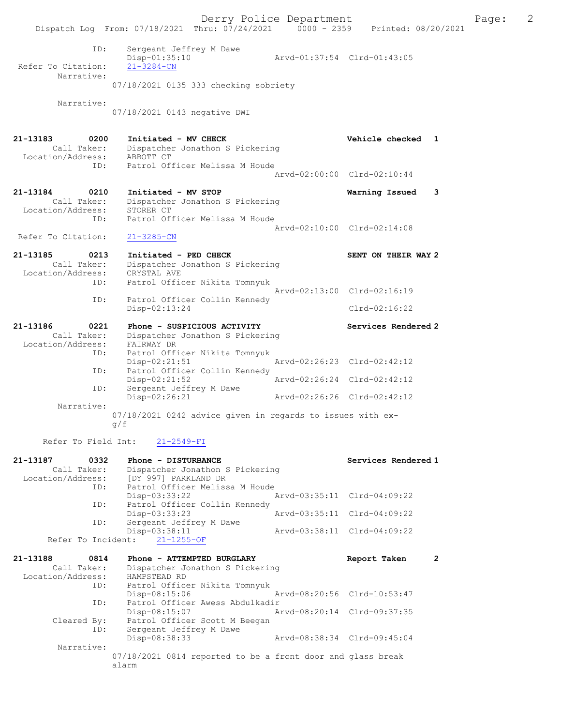Derry Police Department Fage: 2 Dispatch Log From: 07/18/2021 Thru: 07/24/2021 0000 - 2359 Printed: 08/20/2021 ID: Sergeant Jeffrey M Dawe Disp-01:35:10 Arvd-01:37:54 Clrd-01:43:05 Refer To Citation: 21-3284-CN Narrative: 07/18/2021 0135 333 checking sobriety Narrative: 07/18/2021 0143 negative DWI 21-13183 0200 Initiated - MV CHECK Vehicle checked 1 Call Taker: Dispatcher Jonathon S Pickering Location/Address: ABBOTT CT ID: Patrol Officer Melissa M Houde Arvd-02:00:00 Clrd-02:10:44 21-13184 0210 Initiated - MV STOP Warning Issued 3 Call Taker: Dispatcher Jonathon S Pickering Location/Address: STORER CT ID: Patrol Officer Melissa M Houde Arvd-02:10:00 Clrd-02:14:08 Refer To Citation: 21-3285-CN 21-13185 0213 Initiated - PED CHECK SENT ON THEIR WAY 2 Call Taker: Dispatcher Jonathon S Pickering Location/Address: CRYSTAL AVE ID: Patrol Officer Nikita Tomnyuk Arvd-02:13:00 Clrd-02:16:19 ID: Patrol Officer Collin Kennedy Disp-02:13:24 Clrd-02:16:22 21-13186 0221 Phone - SUSPICIOUS ACTIVITY Services Rendered 2 Call Taker: Dispatcher Jonathon S Pickering Location/Address: FAIRWAY DR ID: Patrol Officer Nikita Tomnyuk Disp-02:21:51 Arvd-02:26:23 Clrd-02:42:12 ID: Patrol Officer Collin Kennedy Disp-02:21:52 Arvd-02:26:24 Clrd-02:42:12 ID: Sergeant Jeffrey M Dawe Disp-02:26:21 Arvd-02:26:26 Clrd-02:42:12 Narrative: 07/18/2021 0242 advice given in regards to issues with exg/f Refer To Field Int: 21-2549-FI

| 21-13187 0332     |             | Phone - DISTURBANCE                            |                             | Services Rendered 1         |   |
|-------------------|-------------|------------------------------------------------|-----------------------------|-----------------------------|---|
|                   | Call Taker: | Dispatcher Jonathon S Pickering                |                             |                             |   |
|                   |             | Location/Address: [DY 997] PARKLAND DR         |                             |                             |   |
|                   | ID:         | Patrol Officer Melissa M Houde                 |                             |                             |   |
|                   |             | Disp-03:33:22                                  |                             | Arvd-03:35:11 Clrd-04:09:22 |   |
|                   | ID:         | Patrol Officer Collin Kennedy                  |                             |                             |   |
|                   |             | Disp-03:33:23                                  | Arvd-03:35:11 Clrd-04:09:22 |                             |   |
|                   | ID:         | Sergeant Jeffrey M Dawe                        |                             |                             |   |
|                   |             | Disp-03:38:11                                  |                             | Arvd-03:38:11 Clrd-04:09:22 |   |
|                   |             | Refer To Incident: 21-1255-OF                  |                             |                             |   |
|                   |             |                                                |                             |                             |   |
|                   |             |                                                |                             |                             |   |
| 21-13188 0814     |             | Phone - ATTEMPTED BURGLARY                     |                             | Report Taken                | 2 |
|                   | Call Taker: | Dispatcher Jonathon S Pickering                |                             |                             |   |
| Location/Address: |             | HAMPSTEAD RD                                   |                             |                             |   |
|                   | ID:         | Patrol Officer Nikita Tomnyuk                  |                             |                             |   |
|                   |             | $Disp-08:15:06$<br>Arvd-08:20:56 Clrd-10:53:47 |                             |                             |   |
|                   | ID:         | Patrol Officer Awess Abdulkadir                |                             |                             |   |
|                   |             | $Disp-08:15:07$                                | Arvd-08:20:14 Clrd-09:37:35 |                             |   |
|                   | Cleared By: | Patrol Officer Scott M Beegan                  |                             |                             |   |
|                   | ID:         | Sergeant Jeffrey M Dawe                        |                             |                             |   |
|                   |             | Disp-08:38:33                                  |                             | Arvd-08:38:34 Clrd-09:45:04 |   |

Narrative:

07/18/2021 0814 reported to be a front door and glass break alarm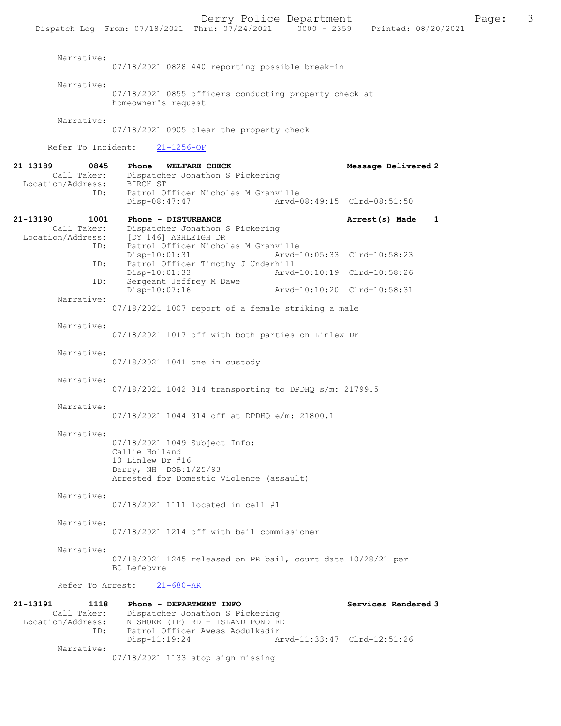|                                                             |                                                                                                                                          |                                                                                                        | Dispatch Log From: 07/18/2021 Thru: 07/24/2021 0000 - 2359 Printed: 08/20/2021 |                             |              |
|-------------------------------------------------------------|------------------------------------------------------------------------------------------------------------------------------------------|--------------------------------------------------------------------------------------------------------|--------------------------------------------------------------------------------|-----------------------------|--------------|
| Narrative:                                                  |                                                                                                                                          |                                                                                                        | 07/18/2021 0828 440 reporting possible break-in                                |                             |              |
| Narrative:                                                  | homeowner's request                                                                                                                      |                                                                                                        | 07/18/2021 0855 officers conducting property check at                          |                             |              |
| Narrative:                                                  | 07/18/2021 0905 clear the property check                                                                                                 |                                                                                                        |                                                                                |                             |              |
|                                                             | Refer To Incident: 21-1256-OF                                                                                                            |                                                                                                        |                                                                                |                             |              |
| 21-13189<br>0845<br>Call Taker:<br>Location/Address:        | Phone - WELFARE CHECK<br>BIRCH ST                                                                                                        | Dispatcher Jonathon S Pickering                                                                        |                                                                                | Message Delivered 2         |              |
| ID:                                                         | Disp-08:47:47                                                                                                                            | Patrol Officer Nicholas M Granville                                                                    |                                                                                | Arvd-08:49:15 Clrd-08:51:50 |              |
| 21-13190<br>1001<br>Call Taker:<br>Location/Address:<br>ID: | Phone - DISTURBANCE<br>[DY 146] ASHLEIGH DR                                                                                              | Dispatcher Jonathon S Pickering<br>Patrol Officer Nicholas M Granville                                 |                                                                                | Arrest(s) Made              | $\mathbf{1}$ |
| ID:                                                         | $Disp-10:01:31$                                                                                                                          | Patrol Officer Timothy J Underhill                                                                     |                                                                                | Arvd-10:05:33 Clrd-10:58:23 |              |
| ID:                                                         | $Disp-10:01:33$<br>Sergeant Jeffrey M Dawe                                                                                               |                                                                                                        |                                                                                | Arvd-10:10:19 Clrd-10:58:26 |              |
| Narrative:                                                  | Disp-10:07:16                                                                                                                            |                                                                                                        |                                                                                | Arvd-10:10:20 Clrd-10:58:31 |              |
|                                                             |                                                                                                                                          |                                                                                                        | 07/18/2021 1007 report of a female striking a male                             |                             |              |
| Narrative:                                                  |                                                                                                                                          |                                                                                                        | 07/18/2021 1017 off with both parties on Linlew Dr                             |                             |              |
| Narrative:                                                  | 07/18/2021 1041 one in custody                                                                                                           |                                                                                                        |                                                                                |                             |              |
| Narrative:                                                  |                                                                                                                                          |                                                                                                        | 07/18/2021 1042 314 transporting to DPDHQ s/m: 21799.5                         |                             |              |
| Narrative:                                                  | 07/18/2021 1044 314 off at DPDHQ e/m: 21800.1                                                                                            |                                                                                                        |                                                                                |                             |              |
| Narrative:                                                  | 07/18/2021 1049 Subject Info:<br>Callie Holland<br>10 Linlew Dr #16<br>Derry, NH DOB:1/25/93<br>Arrested for Domestic Violence (assault) |                                                                                                        |                                                                                |                             |              |
| Narrative:                                                  | 07/18/2021 1111 located in cell #1                                                                                                       |                                                                                                        |                                                                                |                             |              |
| Narrative:                                                  | 07/18/2021 1214 off with bail commissioner                                                                                               |                                                                                                        |                                                                                |                             |              |
| Narrative:                                                  | BC Lefebvre                                                                                                                              |                                                                                                        | $07/18/2021$ 1245 released on PR bail, court date $10/28/21$ per               |                             |              |
| Refer To Arrest:                                            | $21 - 680 - AR$                                                                                                                          |                                                                                                        |                                                                                |                             |              |
| 21-13191<br>1118<br>Call Taker:<br>Location/Address:<br>ID: | Phone - DEPARTMENT INFO                                                                                                                  | Dispatcher Jonathon S Pickering<br>N SHORE (IP) RD + ISLAND POND RD<br>Patrol Officer Awess Abdulkadir |                                                                                | Services Rendered 3         |              |
| Narrative:                                                  | $Disp-11:19:24$<br>07/18/2021 1133 stop sign missing                                                                                     |                                                                                                        |                                                                                | Arvd-11:33:47 Clrd-12:51:26 |              |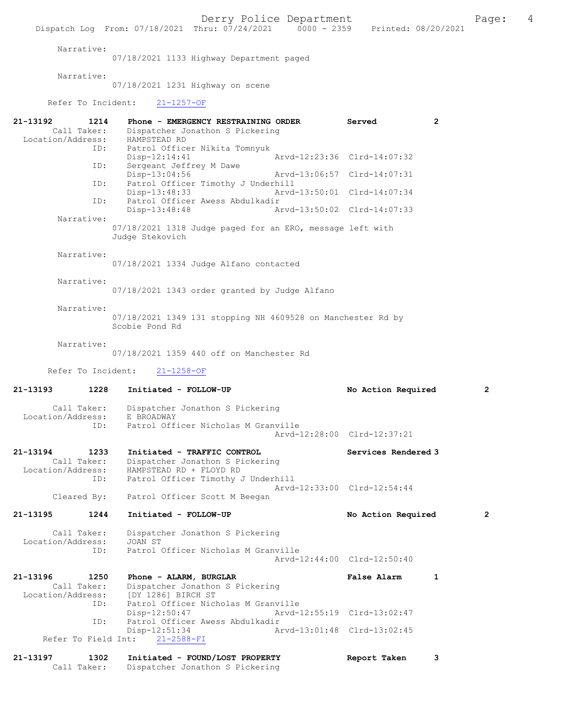Derry Police Department The Page: 4 Dispatch Log From: 07/18/2021 Thru: 07/24/2021 0000 - 2359 Printed: 08/20/2021 Narrative: 07/18/2021 1133 Highway Department paged Narrative: 07/18/2021 1231 Highway on scene Refer To Incident: 21-1257-OF 21-13192 1214 Phone - EMERGENCY RESTRAINING ORDER Served 2<br>Call Taker: Dispatcher Jonathon S Pickering Call Taker: Dispatcher Jonathon S Pickering Location/Address: HAMPSTEAD RD ID: Patrol Officer Nikita Tomnyuk Disp-12:14:41 Arvd-12:23:36 Clrd-14:07:32<br>TD: Sergeant Jeffrey M Dawe Sergeant Jeffrey M Dawe Disp-13:04:56 Arvd-13:06:57 Clrd-14:07:31 ID: Patrol Officer Timothy J Underhill Disp-13:48:33 Arvd-13:50:01 Clrd-14:07:34<br>TD: Patrol Officer Awess Abdulkadir Patrol Officer Awess Abdulkadir<br>Disp-13:48:48 Al Arvd-13:50:02 Clrd-14:07:33 Narrative: 07/18/2021 1318 Judge paged for an ERO, message left with Judge Stekovich Narrative: 07/18/2021 1334 Judge Alfano contacted Narrative: 07/18/2021 1343 order granted by Judge Alfano Narrative: 07/18/2021 1349 131 stopping NH 4609528 on Manchester Rd by Scobie Pond Rd Narrative: 07/18/2021 1359 440 off on Manchester Rd Refer To Incident: 21-1258-OF 21-13193 1228 Initiated - FOLLOW-UP No Action Required 2 Call Taker: Dispatcher Jonathon S Pickering<br>ion/Address: E BROADWAY Location/Address:<br>TD: Patrol Officer Nicholas M Granville Arvd-12:28:00 Clrd-12:37:21 21-13194 1233 Initiated - TRAFFIC CONTROL Services Rendered 3 Call Taker: Dispatcher Jonathon S Pickering<br>Location/Address: HAMPSTEAD RD + FLOYD RD ess: HAMPSTEAD RD + FLOYD RD<br>ID: Patrol Officer Timothy Patrol Officer Timothy J Underhill Arvd-12:33:00 Clrd-12:54:44 Cleared By: Patrol Officer Scott M Beegan 21-13195 1244 Initiated - FOLLOW-UP No Action Required 2 Call Taker: Dispatcher Jonathon S Pickering<br>ion/Address: JOAN ST Location/Address:<br>TD. Patrol Officer Nicholas M Granville Arvd-12:44:00 Clrd-12:50:40 21-13196 1250 Phone - ALARM, BURGLAR **False Alarm** 1<br>Call Taker: Dispatcher Jonathon S Pickering Call Taker: Dispatcher Jonathon S Pickering<br>Location/Address: [DY 1286] BIRCH ST ess: [DY 1286] BIRCH ST<br>ID: Patrol Officer Nich Patrol Officer Nicholas M Granville<br>Disp-12:50:47 Arvd- Disp-12:50:47 Arvd-12:55:19 Clrd-13:02:47 ID: Patrol Officer Awess Abdulkadir 12:51:34<br>21-2588-FI <br>21-2588-FI <br>21-2588-FI Refer To Field Int: 21-13197 1302 Initiated - FOUND/LOST PROPERTY Report Taken 3 Call Taker: Dispatcher Jonathon S Pickering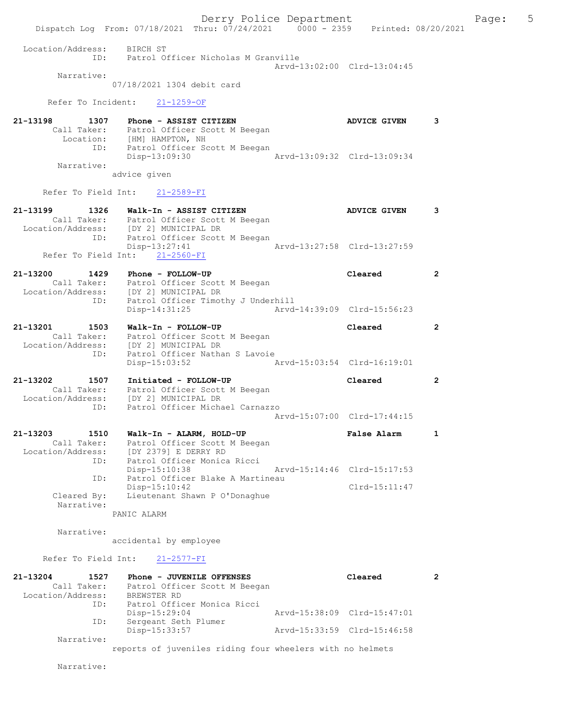Derry Police Department Fage: 5 Dispatch Log From: 07/18/2021 Thru: 07/24/2021 0000 - 2359 Printed: 08/20/2021 Location/Address: BIRCH ST ID: Patrol Officer Nicholas M Granville Arvd-13:02:00 Clrd-13:04:45 Narrative: 07/18/2021 1304 debit card Refer To Incident: 21-1259-OF 21-13198 1307 Phone - ASSIST CITIZEN 1988 ADVICE GIVEN 3 Call Taker: Patrol Officer Scott M Beegan Location: [HM] HAMPTON, NH ID: Patrol Officer Scott M Beegan Disp-13:09:30 Arvd-13:09:32 Clrd-13:09:34 Narrative: advice given Refer To Field Int: 21-2589-FI 21-13199 1326 Walk-In - ASSIST CITIZEN ADVICE GIVEN 3 Call Taker: Patrol Officer Scott M Beegan Location/Address: [DY 2] MUNICIPAL DR ID: Patrol Officer Scott M Beegan<br>Disp-13:27:41 Disp-13:27:41 Arvd-13:27:58 Clrd-13:27:59 Refer To Field Int: 21-2560-FI 21-13200 1429 Phone - FOLLOW-UP Cleared 2 Call Taker: Patrol Officer Scott M Beegan Location/Address: [DY 2] MUNICIPAL DR ID: Patrol Officer Timothy J Underhill Disp-14:31:25 Arvd-14:39:09 Clrd-15:56:23 21-13201 1503 Walk-In - FOLLOW-UP Cleared 2 Call Taker: Patrol Officer Scott M Beegan Location/Address: [DY 2] MUNICIPAL DR ID: Patrol Officer Nathan S Lavoie Disp-15:03:52 Arvd-15:03:54 Clrd-16:19:01 21-13202 1507 Initiated - FOLLOW-UP Cleared 2 Call Taker: Patrol Officer Scott M Beegan Location/Address: [DY 2] MUNICIPAL DR ID: Patrol Officer Michael Carnazzo Arvd-15:07:00 Clrd-17:44:15 21-13203 1510 Walk-In - ALARM, HOLD-UP False Alarm 1 Call Taker: Patrol Officer Scott M Beegan Location/Address: [DY 2379] E DERRY RD ID: Patrol Officer Monica Ricci Disp-15:10:38 Arvd-15:14:46 Clrd-15:17:53 ID: Patrol Officer Blake A Martineau Disp-15:10:42 Clrd-15:11:47 Cleared By: Lieutenant Shawn P O'Donaghue Narrative: PANIC ALARM Narrative: accidental by employee Refer To Field Int: 21-2577-FI 21-13204 1527 Phone - JUVENILE OFFENSES Cleared 2 Call Taker: Patrol Officer Scott M Beegan Location/Address: BREWSTER RD ID: Patrol Officer Monica Ricci Disp-15:29:04 Arvd-15:38:09 Clrd-15:47:01 ID: Sergeant Seth Plumer Disp-15:33:57 Arvd-15:33:59 Clrd-15:46:58 Narrative:

reports of juveniles riding four wheelers with no helmets

Narrative: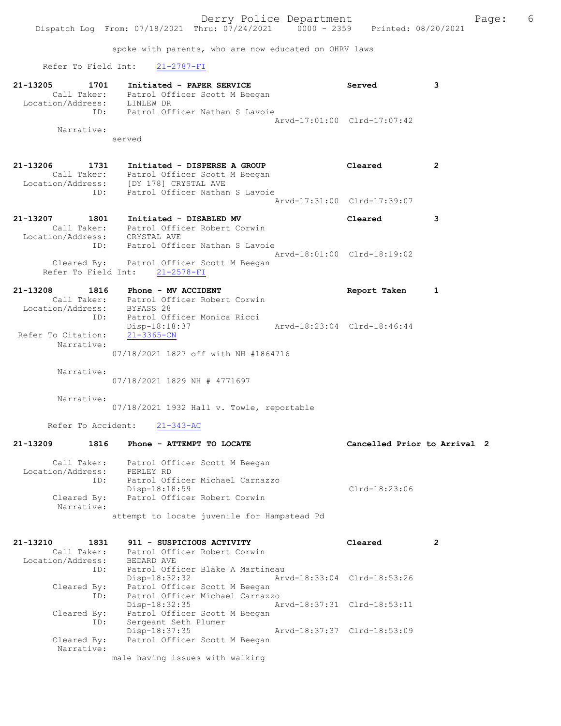spoke with parents, who are now educated on OHRV laws

Refer To Field Int: 21-2787-FI

| 21-13205          | 1701        | Initiated - PAPER SERVICE      | Served                      |  |
|-------------------|-------------|--------------------------------|-----------------------------|--|
|                   | Call Taker: | Patrol Officer Scott M Beegan  |                             |  |
| Location/Address: |             | LINLEW DR                      |                             |  |
|                   | ID:         | Patrol Officer Nathan S Lavoie |                             |  |
|                   |             |                                | Arvd-17:01:00 Clrd-17:07:42 |  |
|                   | Narrative:  |                                |                             |  |

served

21-13206 1731 Initiated - DISPERSE A GROUP Cleared 2 Call Taker: Patrol Officer Scott M Beegan Location/Address: [DY 178] CRYSTAL AVE ID: Patrol Officer Nathan S Lavoie Arvd-17:31:00 Clrd-17:39:07

- 21-13207 1801 Initiated DISABLED MV Cleared 3 Call Taker: Patrol Officer Robert Corwin Location/Address: CRYSTAL AVE ID: Patrol Officer Nathan S Lavoie Arvd-18:01:00 Clrd-18:19:02 Cleared By: Patrol Officer Scott M Beegan Refer To Field Int: 21-2578-FI
- 21-13208 1816 Phone MV ACCIDENT Report Taken 1 Call Taker: Patrol Officer Robert Corwin Location/Address: BYPASS 28 ID: Patrol Officer Monica Ricci Disp-18:18:37 Arvd-18:23:04 Clrd-18:46:44 Refer To Citation: 21-3365-CN Narrative:

07/18/2021 1827 off with NH #1864716

Narrative:

07/18/2021 1829 NH # 4771697

Narrative:

07/18/2021 1932 Hall v. Towle, reportable

Refer To Accident: 21-343-AC

| 21-13209<br>1816                        | Phone - ATTEMPT TO LOCATE                                                                      | Cancelled Prior to Arrival 2 |  |
|-----------------------------------------|------------------------------------------------------------------------------------------------|------------------------------|--|
| Call Taker:<br>Location/Address:<br>ID: | Patrol Officer Scott M Beegan<br>PERLEY RD<br>Patrol Officer Michael Carnazzo<br>Disp-18:18:59 | $Clrd-18:23:06$              |  |
| Cleared By:<br>Narrative:               | Patrol Officer Robert Corwin                                                                   |                              |  |
|                                         | attempt to locate juvenile for Hampstead Pd                                                    |                              |  |

| 21-13210<br>1831  | 911 - SUSPICIOUS ACTIVITY                      | Cleared                     |  |
|-------------------|------------------------------------------------|-----------------------------|--|
| Call Taker:       | Patrol Officer Robert Corwin                   |                             |  |
| Location/Address: | BEDARD AVE                                     |                             |  |
| ID:               | Patrol Officer Blake A Martineau               |                             |  |
|                   | Arvd-18:33:04 Clrd-18:53:26<br>Disp-18:32:32   |                             |  |
| Cleared By:       | Patrol Officer Scott M Beegan                  |                             |  |
| ID:               | Patrol Officer Michael Carnazzo                |                             |  |
|                   | Arvd-18:37:31 Clrd-18:53:11<br>$Disp-18:32:35$ |                             |  |
| Cleared By:       | Patrol Officer Scott M Beegan                  |                             |  |
| ID:               | Sergeant Seth Plumer                           |                             |  |
|                   | Disp-18:37:35                                  | Arvd-18:37:37 Clrd-18:53:09 |  |
| Cleared By:       | Patrol Officer Scott M Beegan                  |                             |  |
| Narrative:        |                                                |                             |  |
|                   | male having issues with walking                |                             |  |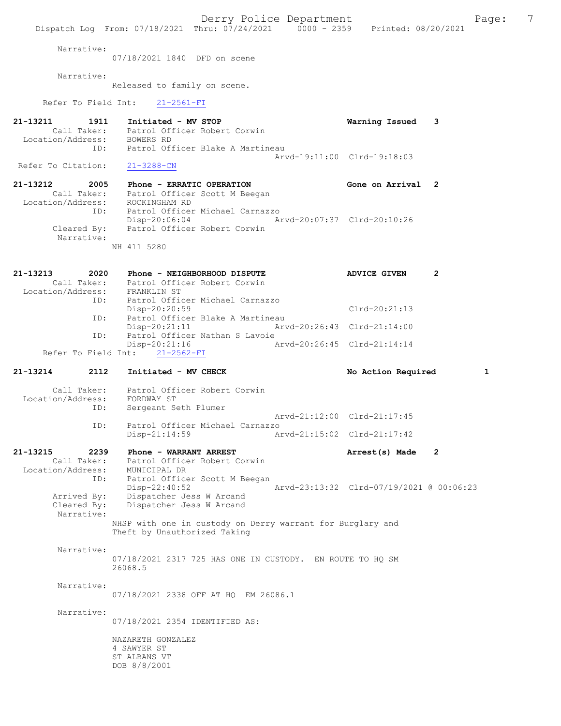Derry Police Department Fage: 7 Dispatch Log From: 07/18/2021 Thru: 07/24/2021 0000 - 2359 Printed: 08/20/2021 Narrative: 07/18/2021 1840 DFD on scene Narrative: Released to family on scene. Refer To Field Int: 21-2561-FI 21-13211 1911 Initiated - MV STOP Warning Issued 3 Call Taker: Patrol Officer Robert Corwin Location/Address: BOWERS RD ID: Patrol Officer Blake A Martineau Arvd-19:11:00 Clrd-19:18:03<br>21-3288-CN Refer To Citation: 21-13212 2005 Phone - ERRATIC OPERATION Gone on Arrival 2 Call Taker: Patrol Officer Scott M Beegan -13212<br>Call Taker: Patrol Ullison<br>Location/Address: ROCKINGHAM RD ID: Patrol Officer Michael Carnazzo Disp-20:06:04 Arvd-20:07:37 Clrd-20:10:26<br>Cleared By: Patrol Officer Robert Corwin Patrol Officer Robert Corwin Narrative: NH 411 5280 21-13213 2020 Phone - NEIGHBORHOOD DISPUTE ADVICE GIVEN 2 Call Taker: Patrol Officer Robert Corwin Location/Address: FRANKLIN ST ID: Patrol Officer Michael Carnazzo Disp-20:20:59 Clrd-20:21:13<br>ID: Patrol Officer Blake A Martineau Patrol Officer Blake A Martineau<br>Disp-20:21:11 Arv Arvd-20:26:43 Clrd-21:14:00 ID: Patrol Officer Nathan S Lavoie<br>Disp-20:21:16 A p-20:21:16 <br>
21-2562-FI <br>
Arvd-20:26:45 Clrd-21:14:14 Refer To Field Int: 21-13214 2112 Initiated - MV CHECK No Action Required 1 Call Taker: Patrol Officer Robert Corwin Location/Address: FORDWAY ST ID: Sergeant Seth Plumer Arvd-21:12:00 Clrd-21:17:45 ID: Patrol Officer Michael Carnazzo Disp-21:14:59 Arvd-21:15:02 Clrd-21:17:42 21-13215 2239 Phone - WARRANT ARREST 22-13215 Arrest(s) Made 2 Call Taker: Patrol Officer Robert Corwin Location/Address: MUNICIPAL DR ID: Patrol Officer Scott M Beegan Disp-22:40:52 Arvd-23:13:32 Clrd-07/19/2021 @ 00:06:23 Arrived By: Dispatcher Jess W Arcand Cleared By: Dispatcher Jess W Arcand Narrative: NHSP with one in custody on Derry warrant for Burglary and Theft by Unauthorized Taking Narrative: 07/18/2021 2317 725 HAS ONE IN CUSTODY. EN ROUTE TO HQ SM 26068.5 Narrative: 07/18/2021 2338 OFF AT HQ EM 26086.1 Narrative: 07/18/2021 2354 IDENTIFIED AS: NAZARETH GONZALEZ

4 SAWYER ST ST ALBANS VT DOB 8/8/2001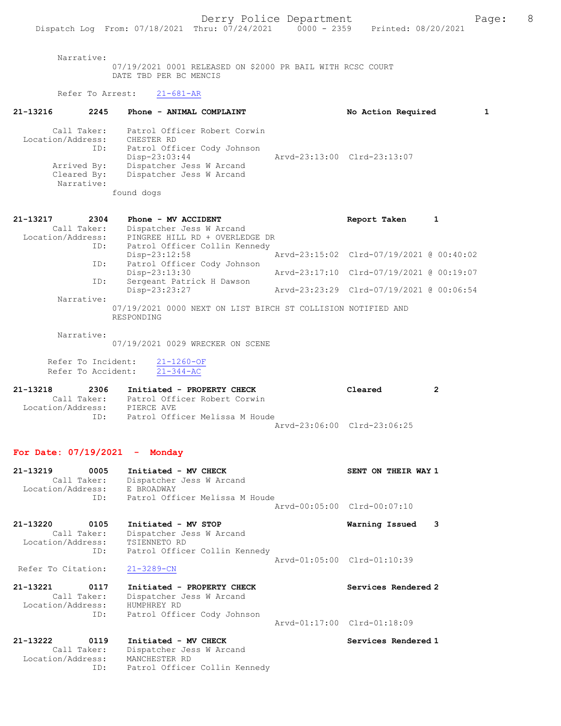Narrative:

07/19/2021 0001 RELEASED ON \$2000 PR BAIL WITH RCSC COURT DATE TBD PER BC MENCIS

## Refer To Arrest: 21-681-AR

| 21-13216<br>2245                         | Phone - ANIMAL COMPLAINT                                                                   | No Action Required          |  |
|------------------------------------------|--------------------------------------------------------------------------------------------|-----------------------------|--|
| Call Taker:<br>Location/Address:<br>ID:  | Patrol Officer Robert Corwin<br>CHESTER RD<br>Patrol Officer Cody Johnson<br>Disp-23:03:44 | Arvd-23:13:00 Clrd-23:13:07 |  |
| Arrived By:<br>Cleared By:<br>Narrative: | Dispatcher Jess W Arcand<br>Dispatcher Jess W Arcand                                       |                             |  |
|                                          | found dogs                                                                                 |                             |  |

| 21-13217          | 2304        | Phone - MV ACCIDENT                                          | Report Taken                             |  |
|-------------------|-------------|--------------------------------------------------------------|------------------------------------------|--|
|                   | Call Taker: | Dispatcher Jess W Arcand                                     |                                          |  |
| Location/Address: |             | PINGREE HILL RD + OVERLEDGE DR                               |                                          |  |
|                   | ID:         | Patrol Officer Collin Kennedy                                |                                          |  |
|                   |             | $Disp-23:12:58$                                              | Arvd-23:15:02 Clrd-07/19/2021 @ 00:40:02 |  |
|                   | ID:         | Patrol Officer Cody Johnson                                  |                                          |  |
|                   |             | Disp-23:13:30                                                | Arvd-23:17:10 Clrd-07/19/2021 @ 00:19:07 |  |
|                   | ID:         | Sergeant Patrick H Dawson                                    |                                          |  |
|                   |             | Disp-23:23:27                                                | Arvd-23:23:29 Clrd-07/19/2021 @ 00:06:54 |  |
|                   | Narrative:  |                                                              |                                          |  |
|                   |             | 07/19/2021 0000 NEXT ON LIST BIRCH ST COLLISION NOTIFIED AND |                                          |  |
|                   |             | RESPONDING                                                   |                                          |  |

Narrative:

07/19/2021 0029 WRECKER ON SCENE

 Refer To Incident: 21-1260-OF Refer To Accident: 21-344-AC

| 21-13218          | 2306        | Initiated - PROPERTY CHECK     | Cleared                     |  |
|-------------------|-------------|--------------------------------|-----------------------------|--|
|                   | Call Taker: | Patrol Officer Robert Corwin   |                             |  |
| Location/Address: |             | PIERCE AVE                     |                             |  |
|                   | TD.         | Patrol Officer Melissa M Houde |                             |  |
|                   |             |                                | Arvd-23:06:00 Clrd-23:06:25 |  |

## For Date: 07/19/2021 - Monday

Location/Address: MANCHESTER RD

ID: Patrol Officer Collin Kennedy

| 21-13219<br>0005<br>Call Taker:<br>Location/Address: E BROADWAY<br>ID: | Initiated - MV CHECK<br>Dispatcher Jess W Arcand<br>Patrol Officer Melissa M Houde                      | SENT ON THEIR WAY 1         |
|------------------------------------------------------------------------|---------------------------------------------------------------------------------------------------------|-----------------------------|
|                                                                        |                                                                                                         | Arvd-00:05:00 Clrd-00:07:10 |
| 21-13220<br>0105<br>Call Taker:<br>Location/Address:                   | Initiated - MV STOP<br>Dispatcher Jess W Arcand<br>TSIENNETO RD<br>Patrol Officer Collin Kennedy<br>ID: | 3<br>Warning Issued         |
| Refer To Citation:                                                     | $21 - 3289 - CN$                                                                                        | Arvd-01:05:00 Clrd-01:10:39 |
| 21-13221<br>0117<br>Call Taker:<br>Location/Address:<br>ID:            | Initiated - PROPERTY CHECK<br>Dispatcher Jess W Arcand<br>HUMPHREY RD<br>Patrol Officer Cody Johnson    | Services Rendered 2         |
|                                                                        |                                                                                                         | Arvd-01:17:00 Clrd-01:18:09 |
| 21-13222 0119<br>Call Taker:                                           | Initiated - MV CHECK<br>Dispatcher Jess W Arcand                                                        | Services Rendered 1         |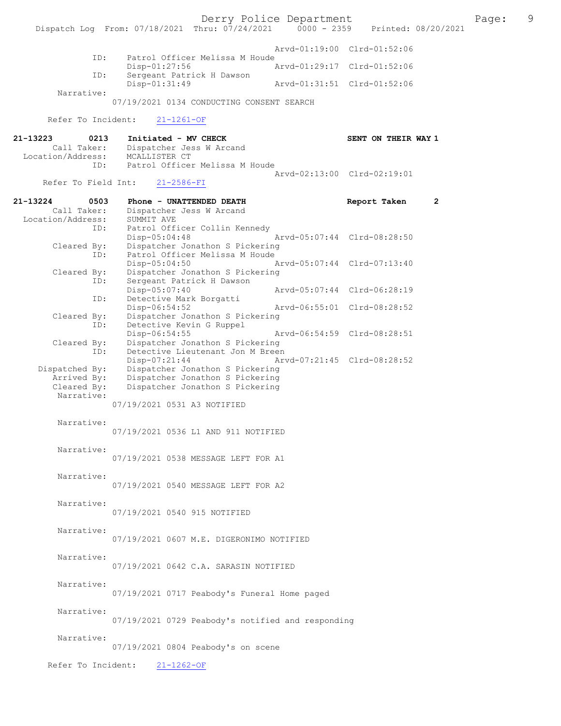Derry Police Department<br>
Page: 9<br>
Printed: 08/20/2021<br>
Printed: 08/20/2021 Dispatch Log From: 07/18/2021 Thru: 07/24/2021 Arvd-01:19:00 Clrd-01:52:06 ID: Patrol Officer Melissa M Houde<br>Disp-01:27:56 Disp-01:27:56 Arvd-01:29:17 Clrd-01:52:06<br>TD: Sergeant Patrick H Dawson Sergeant Patrick H Dawson<br>Disp-01:31:49 Disp-01:31:49 Arvd-01:31:51 Clrd-01:52:06 Narrative: 07/19/2021 0134 CONDUCTING CONSENT SEARCH Refer To Incident: 21-1261-OF 21-13223 0213 Initiated - MV CHECK SENT ON THEIR WAY 1<br>Call Taker: Dispatcher Jess W Arcand Dispatcher Jess W Arcand<br>MCALLISTER CT Location/Address:<br>ID: Patrol Officer Melissa M Houde Arvd-02:13:00 Clrd-02:19:01<br>21-2586-FI Refer To Field Int: 21-13224 0503 Phone - UNATTENDED DEATH Report Taken 2<br>Call Taker: Dispatcher Jess W Arcand Dispatcher Jess W Arcand<br>SUMMIT AVE Location/Address:<br>ID: Patrol Officer Collin Kennedy<br>Disp-05:04:48 Disp-05:04:48 Arvd-05:07:44 Clrd-08:28:50<br>Cleared By: Dispatcher Jonathon S Pickering By: Dispatcher Jonathon S Pickering<br>ID: Patrol Officer Melissa M Houde Patrol Officer Melissa M Houde<br>Disp-05:04:50 Disp-05:04:50 Arvd-05:07:44 Clrd-07:13:40 Cleared By: Dispatcher Jonathon S Pickering<br>ID: Sergeant Patrick H Dawson Sergeant Patrick H Dawson Disp-05:07:40 Arvd-05:07:44 Clrd-06:28:19 ID: Detective Mark Borgatti<br>Disp-06:54:52 Disp-06:54:52 Arvd-06:55:01 Clrd-08:28:52<br>Cleared By: Dispatcher Jonathon S Pickering Dispatcher Jonathon S Pickering ID: Detective Kevin G Ruppel<br>Disp-06:54:55 Disp-06:54:55 Arvd-06:54:59 Cleared By: Dispatcher Jonathon S Pickering By: Dispatcher Jonathon S Pickering<br>TD: Detective Lieutenant Jon M Breen Detective Lieutenant Jon M Breen<br>Disp-07:21:44 Ar Disp-07:21:44 Arvd-07:21:45 Clrd-08:28:52<br>Dispatched By: Dispatcher Jonathon S Pickering patched By: Dispatcher Jonathon S Pickering<br>Arrived By: Dispatcher Jonathon S Pickering Arrived By: Dispatcher Jonathon S Pickering<br>Cleared By: Dispatcher Jonathon S Pickering Dispatcher Jonathon S Pickering Narrative: 07/19/2021 0531 A3 NOTIFIED Narrative: 07/19/2021 0536 L1 AND 911 NOTIFIED Narrative: 07/19/2021 0538 MESSAGE LEFT FOR A1 Narrative: 07/19/2021 0540 MESSAGE LEFT FOR A2 Narrative: 07/19/2021 0540 915 NOTIFIED Narrative: 07/19/2021 0607 M.E. DIGERONIMO NOTIFIED Narrative: 07/19/2021 0642 C.A. SARASIN NOTIFIED Narrative: 07/19/2021 0717 Peabody's Funeral Home paged Narrative: 07/19/2021 0729 Peabody's notified and responding Narrative: 07/19/2021 0804 Peabody's on scene Refer To Incident: 21-1262-OF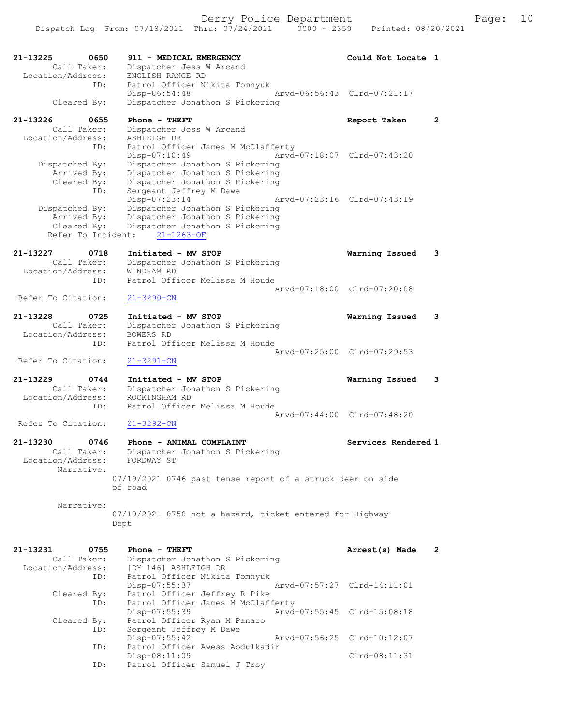Dispatch Log From: 07/18/2021 Thru: 07/24/2021 0000 - 2359 Printed: 08/20/2021

| 21-13225<br>0650                | 911 - MEDICAL EMERGENCY                                               | Could Not Locate 1          |              |
|---------------------------------|-----------------------------------------------------------------------|-----------------------------|--------------|
| Call Taker:                     | Dispatcher Jess W Arcand                                              |                             |              |
| Location/Address:<br>ID:        | ENGLISH RANGE RD<br>Patrol Officer Nikita Tomnyuk                     |                             |              |
|                                 | $Disp-06:54:48$                                                       | Arvd-06:56:43 Clrd-07:21:17 |              |
| Cleared By:                     | Dispatcher Jonathon S Pickering                                       |                             |              |
| 21-13226<br>0655                | Phone - THEFT                                                         | Report Taken                | $\mathbf{2}$ |
| Call Taker:                     | Dispatcher Jess W Arcand                                              |                             |              |
| Location/Address:               | ASHLEIGH DR                                                           |                             |              |
| ID:                             | Patrol Officer James M McClafferty<br>Disp-07:10:49                   | Arvd-07:18:07 Clrd-07:43:20 |              |
| Dispatched By:                  | Dispatcher Jonathon S Pickering                                       |                             |              |
| Arrived By:                     | Dispatcher Jonathon S Pickering                                       |                             |              |
| Cleared By:                     | Dispatcher Jonathon S Pickering                                       |                             |              |
| ID:                             | Sergeant Jeffrey M Dawe<br>Disp-07:23:14                              | Arvd-07:23:16 Clrd-07:43:19 |              |
| Dispatched By:                  | Dispatcher Jonathon S Pickering                                       |                             |              |
| Arrived By:                     | Dispatcher Jonathon S Pickering                                       |                             |              |
| Cleared By:                     | Dispatcher Jonathon S Pickering                                       |                             |              |
| Refer To Incident:              | $21 - 1263 - OF$                                                      |                             |              |
| 21-13227<br>0718                | Initiated - MV STOP                                                   | Warning Issued              | 3            |
| Call Taker:                     | Dispatcher Jonathon S Pickering                                       |                             |              |
| Location/Address:<br>ID:        | WINDHAM RD<br>Patrol Officer Melissa M Houde                          |                             |              |
|                                 |                                                                       | Arvd-07:18:00 Clrd-07:20:08 |              |
| Refer To Citation:              | $21 - 3290 - CN$                                                      |                             |              |
| 21-13228<br>0725                | Initiated - MV STOP                                                   | Warning Issued              | 3            |
| Call Taker:                     | Dispatcher Jonathon S Pickering                                       |                             |              |
| Location/Address:               | BOWERS RD                                                             |                             |              |
| ID:                             | Patrol Officer Melissa M Houde                                        | Arvd-07:25:00 Clrd-07:29:53 |              |
| Refer To Citation:              | $21 - 3291 - CN$                                                      |                             |              |
| 21-13229<br>0744                | Initiated - MV STOP                                                   | Warning Issued              | 3            |
| Call Taker:                     | Dispatcher Jonathon S Pickering                                       |                             |              |
| Location/Address:               | ROCKINGHAM RD<br>Patrol Officer Melissa M Houde                       |                             |              |
| ID:                             |                                                                       | Arvd-07:44:00 Clrd-07:48:20 |              |
| Refer To Citation:              | $21 - 3292 - CN$                                                      |                             |              |
|                                 |                                                                       |                             |              |
| 21-13230<br>0746<br>Call Taker: | Phone - ANIMAL COMPLAINT<br>Dispatcher Jonathon S Pickering           | Services Rendered 1         |              |
| Location/Address:               | FORDWAY ST                                                            |                             |              |
| Narrative:                      |                                                                       |                             |              |
|                                 | 07/19/2021 0746 past tense report of a struck deer on side<br>of road |                             |              |
|                                 |                                                                       |                             |              |
| Narrative:                      |                                                                       |                             |              |
|                                 | 07/19/2021 0750 not a hazard, ticket entered for Highway              |                             |              |
|                                 | Dept                                                                  |                             |              |
|                                 |                                                                       |                             |              |
| 21-13231<br>0755<br>Call Taker: | Phone - THEFT<br>Dispatcher Jonathon S Pickering                      | Arrest(s) Made              | $\mathbf{2}$ |
| Location/Address:               | [DY 146] ASHLEIGH DR                                                  |                             |              |
| ID:                             | Patrol Officer Nikita Tomnyuk                                         |                             |              |
|                                 | Disp-07:55:37                                                         | Arvd-07:57:27 Clrd-14:11:01 |              |
| Cleared By:<br>ID:              | Patrol Officer Jeffrey R Pike<br>Patrol Officer James M McClafferty   |                             |              |
|                                 | Disp-07:55:39                                                         | Arvd-07:55:45 Clrd-15:08:18 |              |
| Cleared By:                     | Patrol Officer Ryan M Panaro                                          |                             |              |
| ID:                             | Sergeant Jeffrey M Dawe<br>Disp-07:55:42                              | Arvd-07:56:25 Clrd-10:12:07 |              |
| ID:                             | Patrol Officer Awess Abdulkadir                                       |                             |              |
|                                 | Disp-08:11:09                                                         | $Clrd-08:11:31$             |              |
| ID:                             | Patrol Officer Samuel J Troy                                          |                             |              |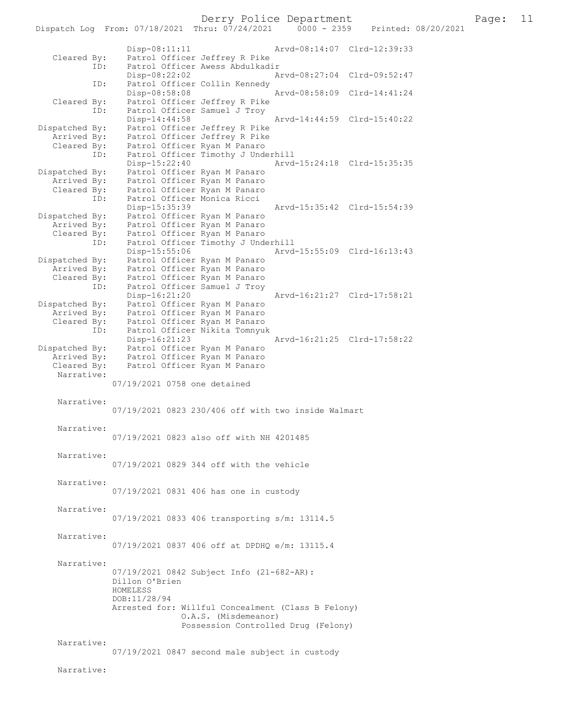Dispatch Log From: 07/18/2021 Thru: 07/24/2021 Disp-08:11:11 Arvd-08:14:07 Clrd-12:39:33 Cleared By: Patrol Officer Jeffrey R Pike ID: Patrol Officer Awess Abdulkadir Disp-08:22:02 Arvd-08:27:04 Clrd-09:52:47<br>ID: Patrol Officer Collin Kennedy Patrol Officer Collin Kennedy<br>Disp-08:58:08 Disp-08:58:08 Arvd-08:58:09 Cleared By: Patrol Officer Jeffrey R Pike By: Patrol Officer Jeffrey R Pike<br>TD: Patrol Officer Samuel J Trov Patrol Officer Samuel J Troy<br>Disp-14:44:58 Disp-14:44:58 Arvd-14:44:59 Clrd-15:40:22<br>Dispatched By: Patrol Officer Jeffrey R Pike Patrol Officer Jeffrey R Pike Arrived By: Patrol Officer Jeffrey R Pike<br>Cleared By: Patrol Officer Ryan M Panaro Cleared By: Patrol Officer Ryan M Panaro ID: Patrol Officer Timothy J Underhill Disp-15:22:40 Arvd-15:24:18 Clrd-15:35:35<br>Dispatched By: Patrol Officer Ryan M Panaro patched By: Patrol Officer Ryan M Panaro<br>Arrived By: Patrol Officer Ryan M Panaro Arrived By: Patrol Officer Ryan M Panaro<br>Cleared By: Patrol Officer Ryan M Panaro Patrol Officer Ryan M Panaro ID: Patrol Officer Monica Ricci Disp-15:35:39 Arvd-15:35:42 Clrd-15:54:39<br>Dispatched By: Patrol Officer Ryan M Panaro patched By: Patrol Officer Ryan M Panaro<br>Arrived By: Patrol Officer Ryan M Panaro Patrol Officer Ryan M Panaro Cleared By: Patrol Officer Ryan M Panaro<br>ID: Patrol Officer Timothy J Und Patrol Officer Timothy J Underhill<br>Disp-15:55:06 Arvd Disp-15:55:06 Arvd-15:55:09 Clrd-16:13:43 Dispatched By: Patrol Officer Ryan M Panaro<br>Arrived By: Patrol Officer Ryan M Panaro Patrol Officer Ryan M Panaro Cleared By: Patrol Officer Ryan M Panaro<br>TD: Patrol Officer Samuel J Trov Patrol Officer Samuel J Troy<br>Disp-16:21:20 Disp-16:21:20 Arvd-16:21:27 Clrd-17:58:21 Dispatched By: Patrol Officer Ryan M Panaro Patrol Officer Ryan M Panaro Cleared By: Patrol Officer Ryan M Panaro ID: Patrol Officer Nikita Tomnyuk Disp-16:21:23 Arvd-16:21:25 Clrd-17:58:22<br>Dispatched By: Patrol Officer Ryan M Panaro patched By: Patrol Officer Ryan M Panaro<br>Arrived By: Patrol Officer Ryan M Panaro Arrived By: Patrol Officer Ryan M Panaro<br>Cleared By: Patrol Officer Ryan M Panaro Patrol Officer Ryan M Panaro Narrative: 07/19/2021 0758 one detained Narrative: 07/19/2021 0823 230/406 off with two inside Walmart Narrative: 07/19/2021 0823 also off with NH 4201485 Narrative: 07/19/2021 0829 344 off with the vehicle Narrative: 07/19/2021 0831 406 has one in custody Narrative: 07/19/2021 0833 406 transporting s/m: 13114.5 Narrative: 07/19/2021 0837 406 off at DPDHQ e/m: 13115.4 Narrative: 07/19/2021 0842 Subject Info (21-682-AR): Dillon O'Brien HOMELESS DOB:11/28/94 Arrested for: Willful Concealment (Class B Felony) O.A.S. (Misdemeanor) Possession Controlled Drug (Felony) Narrative: 07/19/2021 0847 second male subject in custody Narrative: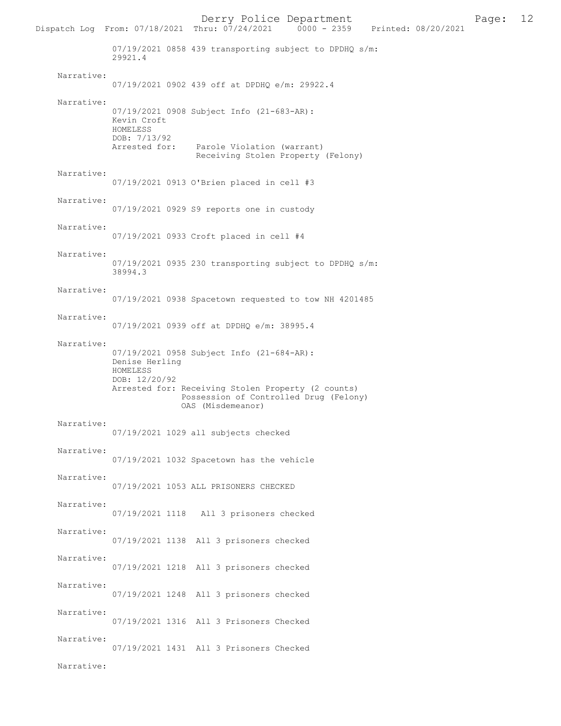Derry Police Department<br>hru:  $07/24/2021$  0000 - 2359 Printed: 08/20/2021 Dispatch Log From: 07/18/2021 Thru: 07/24/2021 07/19/2021 0858 439 transporting subject to DPDHQ s/m: 29921.4 Narrative: 07/19/2021 0902 439 off at DPDHQ e/m: 29922.4 Narrative: 07/19/2021 0908 Subject Info (21-683-AR): Kevin Croft HOMELESS DOB: 7/13/92 Arrested for: Parole Violation (warrant) Receiving Stolen Property (Felony) Narrative: 07/19/2021 0913 O'Brien placed in cell #3 Narrative: 07/19/2021 0929 S9 reports one in custody Narrative: 07/19/2021 0933 Croft placed in cell #4 Narrative: 07/19/2021 0935 230 transporting subject to DPDHQ s/m: 38994.3 Narrative: 07/19/2021 0938 Spacetown requested to tow NH 4201485 Narrative: 07/19/2021 0939 off at DPDHQ e/m: 38995.4 Narrative: 07/19/2021 0958 Subject Info (21-684-AR): Denise Herling HOMELESS DOB: 12/20/92 Arrested for: Receiving Stolen Property (2 counts) Possession of Controlled Drug (Felony) OAS (Misdemeanor) Narrative: 07/19/2021 1029 all subjects checked Narrative: 07/19/2021 1032 Spacetown has the vehicle Narrative: 07/19/2021 1053 ALL PRISONERS CHECKED Narrative: 07/19/2021 1118 All 3 prisoners checked Narrative: 07/19/2021 1138 All 3 prisoners checked Narrative: 07/19/2021 1218 All 3 prisoners checked Narrative: 07/19/2021 1248 All 3 prisoners checked Narrative: 07/19/2021 1316 All 3 Prisoners Checked Narrative: 07/19/2021 1431 All 3 Prisoners Checked Narrative: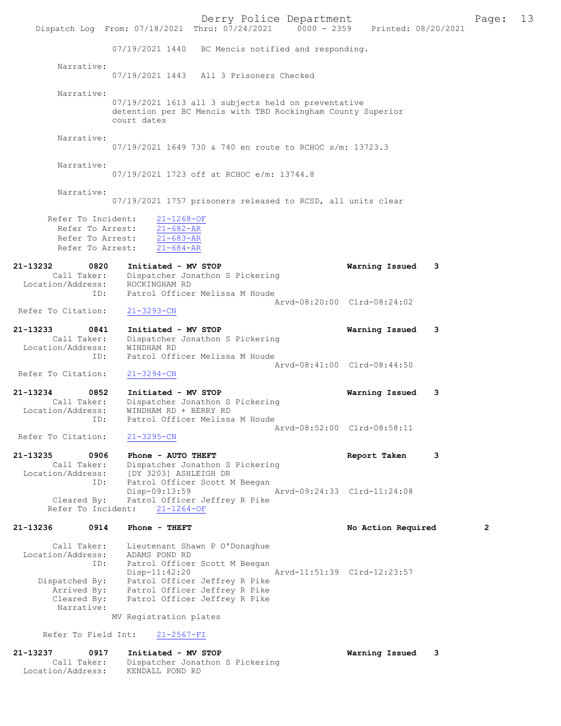|                                   |                                      |                                                                                      | Derry Police Department<br>Dispatch Log From: 07/18/2021 Thru: 07/24/2021 0000 - 2359 Printed: 08/20/2021          |                             |                    |   | Page: | 13 |
|-----------------------------------|--------------------------------------|--------------------------------------------------------------------------------------|--------------------------------------------------------------------------------------------------------------------|-----------------------------|--------------------|---|-------|----|
|                                   |                                      |                                                                                      | 07/19/2021 1440 BC Mencis notified and responding.                                                                 |                             |                    |   |       |    |
|                                   | Narrative:                           |                                                                                      |                                                                                                                    |                             |                    |   |       |    |
|                                   |                                      |                                                                                      | 07/19/2021 1443 All 3 Prisoners Checked                                                                            |                             |                    |   |       |    |
|                                   | Narrative:                           |                                                                                      |                                                                                                                    |                             |                    |   |       |    |
|                                   |                                      | court dates                                                                          | 07/19/2021 1613 all 3 subjects held on preventative<br>detention per BC Mencis with TBD Rockingham County Superior |                             |                    |   |       |    |
|                                   | Narrative:                           |                                                                                      | 07/19/2021 1649 730 & 740 en route to RCHOC s/m: 13723.3                                                           |                             |                    |   |       |    |
|                                   | Narrative:                           |                                                                                      | 07/19/2021 1723 off at RCHOC e/m: 13744.8                                                                          |                             |                    |   |       |    |
|                                   | Narrative:                           |                                                                                      | 07/19/2021 1757 prisoners released to RCSD, all units clear                                                        |                             |                    |   |       |    |
| Refer To Incident:                | Refer To Arrest:<br>Refer To Arrest: | $21 - 1268 - OF$<br>$21 - 682 - AR$<br>Refer To Arrest: 21-683-AR<br>$21 - 684 - AR$ |                                                                                                                    |                             |                    |   |       |    |
| 21-13232                          | 0820                                 | Initiated - MV STOP                                                                  |                                                                                                                    |                             | Warning Issued     | 3 |       |    |
| Location/Address:                 | Call Taker:                          | ROCKINGHAM RD                                                                        | Dispatcher Jonathon S Pickering                                                                                    |                             |                    |   |       |    |
|                                   | ID:                                  |                                                                                      | Patrol Officer Melissa M Houde                                                                                     |                             |                    |   |       |    |
| Refer To Citation:                |                                      | $21 - 3293 - CN$                                                                     |                                                                                                                    | Arvd-08:20:00 Clrd-08:24:02 |                    |   |       |    |
| 21-13233                          | 0841                                 | Initiated - MV STOP                                                                  |                                                                                                                    |                             | Warning Issued     | 3 |       |    |
| Location/Address:                 | Call Taker:                          | WINDHAM RD                                                                           | Dispatcher Jonathon S Pickering                                                                                    |                             |                    |   |       |    |
|                                   | ID:                                  |                                                                                      | Patrol Officer Melissa M Houde                                                                                     |                             |                    |   |       |    |
| Refer To Citation:                |                                      | $21 - 3294 - CN$                                                                     |                                                                                                                    | Arvd-08:41:00 Clrd-08:44:50 |                    |   |       |    |
| 21-13234                          | 0852                                 | Initiated - MV STOP                                                                  |                                                                                                                    |                             | Warning Issued     | 3 |       |    |
|                                   | Call Taker:                          |                                                                                      | Dispatcher Jonathon S Pickering                                                                                    |                             |                    |   |       |    |
| Location/Address:                 | ID:                                  | WINDHAM RD + BERRY RD                                                                | Patrol Officer Melissa M Houde                                                                                     |                             |                    |   |       |    |
| Refer To Citation:                |                                      | $21 - 3295 - CN$                                                                     |                                                                                                                    | Arvd-08:52:00 Clrd-08:58:11 |                    |   |       |    |
|                                   |                                      |                                                                                      |                                                                                                                    |                             |                    |   |       |    |
| 21-13235                          | 0906<br>Call Taker:                  | Phone - AUTO THEFT                                                                   | Dispatcher Jonathon S Pickering                                                                                    |                             | Report Taken       | 3 |       |    |
|                                   |                                      | Location/Address: [DY 3203] ASHLEIGH DR                                              |                                                                                                                    |                             |                    |   |       |    |
|                                   | ID:                                  | $Disp-09:13:59$                                                                      | Patrol Officer Scott M Beegan                                                                                      | Arvd-09:24:33 Clrd-11:24:08 |                    |   |       |    |
| Cleared By:<br>Refer To Incident: |                                      | $21 - 1264 - OF$                                                                     | Patrol Officer Jeffrey R Pike                                                                                      |                             |                    |   |       |    |
| 21-13236                          | 0914                                 | Phone - THEFT                                                                        |                                                                                                                    |                             | No Action Required |   | 2     |    |
|                                   | Call Taker:                          |                                                                                      | Lieutenant Shawn P O'Donaghue                                                                                      |                             |                    |   |       |    |
| Location/Address:                 | ID:                                  | ADAMS POND RD                                                                        | Patrol Officer Scott M Beegan                                                                                      |                             |                    |   |       |    |
|                                   |                                      | $Disp-11:42:20$                                                                      |                                                                                                                    | Arvd-11:51:39 Clrd-12:23:57 |                    |   |       |    |
| Dispatched By:                    | Arrived By:                          |                                                                                      | Patrol Officer Jeffrey R Pike<br>Patrol Officer Jeffrey R Pike                                                     |                             |                    |   |       |    |
|                                   | Cleared By:                          |                                                                                      | Patrol Officer Jeffrey R Pike                                                                                      |                             |                    |   |       |    |
|                                   | Narrative:                           | MV Registration plates                                                               |                                                                                                                    |                             |                    |   |       |    |
| Refer To Field Int:               |                                      | $21 - 2567 - FI$                                                                     |                                                                                                                    |                             |                    |   |       |    |
| 21-13237                          | 0917                                 | Initiated - MV STOP                                                                  |                                                                                                                    |                             | Warning Issued     | 3 |       |    |
| Location/Address:                 | Call Taker:                          | KENDALL POND RD                                                                      | Dispatcher Jonathon S Pickering                                                                                    |                             |                    |   |       |    |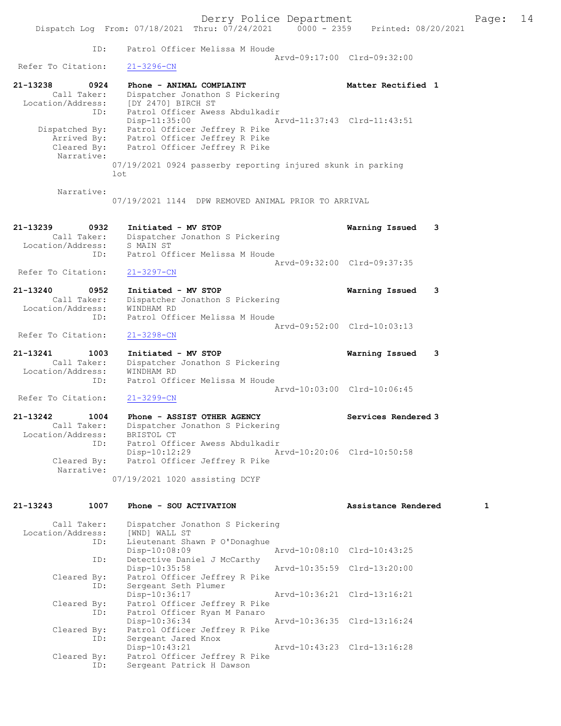Derry Police Department Fage: 14 Dispatch Log From: 07/18/2021 Thru: 07/24/2021 0000 - 2359 Printed: 08/20/2021 ID: Patrol Officer Melissa M Houde Arvd-09:17:00 Clrd-09:32:00<br>21-3296-CN Refer To Citation: 21-13238 0924 Phone - ANIMAL COMPLAINT COMPRESS Matter Rectified 1 Call Taker: Dispatcher Jonathon S Pickering Location/Address: [DY 2470] BIRCH ST ID: Patrol Officer Awess Abdulkadir Disp-11:35:00 Arvd-11:37:43 Clrd-11:43:51 Dispatched By: Patrol Officer Jeffrey R Pike Arrived By: Patrol Officer Jeffrey R Pike Cleared By: Patrol Officer Jeffrey R Pike Narrative: 07/19/2021 0924 passerby reporting injured skunk in parking lot Narrative: 07/19/2021 1144 DPW REMOVED ANIMAL PRIOR TO ARRIVAL 21-13239 0932 Initiated - MV STOP Warning Issued 3 Call Taker: Dispatcher Jonathon S Pickering Location/Address: S MAIN ST ID: Patrol Officer Melissa M Houde Arvd-09:32:00 Clrd-09:37:35<br>21-3297-CN Refer To Citation: 21-13240 0952 Initiated - MV STOP Warning Issued 3 Call Taker: Dispatcher Jonathon S Pickering Location/Address: WINDHAM RD ID: Patrol Officer Melissa M Houde Arvd-09:52:00 Clrd-10:03:13 Refer To Citation: 21-3298-CN 21-13241 1003 Initiated - MV STOP Warning Issued 3 Call Taker: Dispatcher Jonathon S Pickering Location/Address: WINDHAM RD ID: Patrol Officer Melissa M Houde Arvd-10:03:00 Clrd-10:06:45 Refer To Citation: 21-3299-CN 21-13242 1004 Phone - ASSIST OTHER AGENCY Services Rendered 3 Call Taker: Dispatcher Jonathon S Pickering Location/Address: BRISTOL CT ID: Patrol Officer Awess Abdulkadir Disp-10:12:29 Arvd-10:20:06 Cleared By: Patrol Officer Jeffrey R Pike Patrol Officer Jeffrey R Pike Narrative: 07/19/2021 1020 assisting DCYF 21-13243 1007 Phone - SOU ACTIVATION Assistance Rendered 1 Call Taker: Dispatcher Jonathon S Pickering Location/Address: [WND] WALL ST<br>ID: Lieutenant Sha Lieutenant Shawn P O'Donaghue<br>Disp-10:08:09 Disp-10:08:09 Arvd-10:08:10 Clrd-10:43:25 ID: Detective Daniel J McCarthy<br>Disp-10:35:58 Disp-10:35:58 Arvd-10:35:59 Clrd-13:20:00 Cleared By: Patrol Officer Jeffrey R Pike

 ID: Sergeant Seth Plumer Disp-10:36:17 Arvd-10:36:21 Clrd-13:16:21 Cleared By: Patrol Officer Jeffrey R Pike ID: Patrol Officer Ryan M Panaro Disp-10:36:34 Arvd-10:36:35 Clrd-13:16:24 Cleared By: Patrol Officer Jeffrey R Pike ID: Sergeant Jared Knox Disp-10:43:21 Arvd-10:43:23 Clrd-13:16:28 Cleared By: Patrol Officer Jeffrey R Pike ID: Sergeant Patrick H Dawson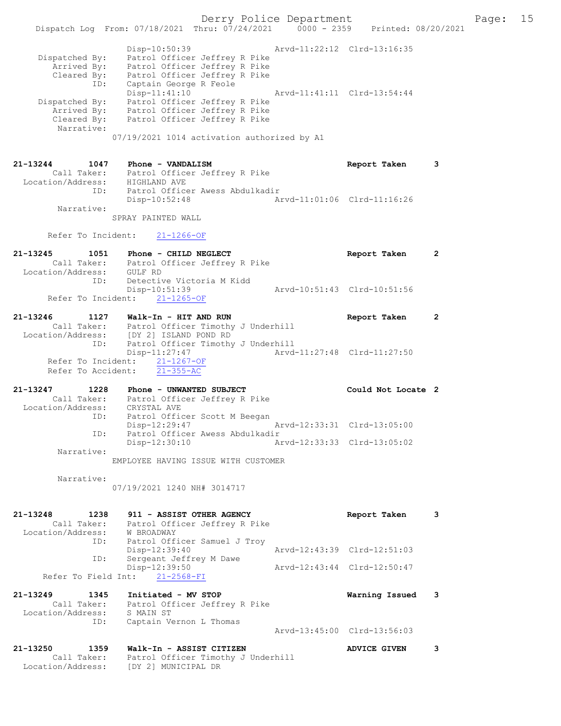Derry Police Department Fage: 15 Dispatch Log From: 07/18/2021 Thru: 07/24/2021 0000 - 2359 Printed: 08/20/2021 Disp-10:50:39 Arvd-11:22:12 Clrd-13:16:35 Dispatched By: Patrol Officer Jeffrey R Pike Arrived By: Patrol Officer Jeffrey R Pike Cleared By: Patrol Officer Jeffrey R Pike ID: Captain George R Feole Disp-11:41:10 Arvd-11:41:11 Clrd-13:54:44 Dispatched By: Patrol Officer Jeffrey R Pike Arrived By: Patrol Officer Jeffrey R Pike Cleared By: Patrol Officer Jeffrey R Pike Narrative: 07/19/2021 1014 activation authorized by A1 21-13244 1047 Phone - VANDALISM Report Taken 3 Call Taker: Patrol Officer Jeffrey R Pike Location/Address: HIGHLAND AVE ID: Patrol Officer Awess Abdulkadir Disp-10:52:48 Arvd-11:01:06 Clrd-11:16:26 Narrative: SPRAY PAINTED WALL Refer To Incident: 21-1266-OF 21-13245 1051 Phone - CHILD NEGLECT Report Taken 2 Call Taker: Patrol Officer Jeffrey R Pike Location/Address: GULF RD ID: Detective Victoria M Kidd Disp-10:51:39 Arvd-10:51:43 Clrd-10:51:56 Refer To Incident: 21-1265-OF 21-13246 1127 Walk-In - HIT AND RUN Report Taken 2 Call Taker: Patrol Officer Timothy J Underhill Location/Address: [DY 2] ISLAND POND RD ID: Patrol Officer Timothy J Underhill Disp-11:27:47 Arvd-11:27:48 Clrd-11:27:50 Refer To Incident: 21-1267-OF Refer To Accident: 21-355-AC 21-13247 1228 Phone - UNWANTED SUBJECT Could Not Locate 2 Call Taker: Patrol Officer Jeffrey R Pike Location/Address: CRYSTAL AVE ID: Patrol Officer Scott M Beegan Disp-12:29:47 Arvd-12:33:31 Clrd-13:05:00 ID: Patrol Officer Awess Abdulkadir<br>Disp-12:30:10 Ar Disp-12:30:10 Arvd-12:33:33 Clrd-13:05:02 Narrative: EMPLOYEE HAVING ISSUE WITH CUSTOMER Narrative: 07/19/2021 1240 NH# 3014717 21-13248 1238 911 - ASSIST OTHER AGENCY Report Taken 3 Call Taker: Patrol Officer Jeffrey R Pike Location/Address: W BROADWAY ID: Patrol Officer Samuel J Troy Disp-12:39:40 Arvd-12:43:39 Clrd-12:51:03 ID: Sergeant Jeffrey M Dawe<br>Disp-12:39:50 Disp-12:39:50 Arvd-12:43:44 Clrd-12:50:47 Refer To Field Int: 21-2568-FI 21-13249 1345 Initiated - MV STOP Warning Issued 3 Call Taker: Patrol Officer Jeffrey R Pike Location/Address: S MAIN ST ID: Captain Vernon L Thomas Arvd-13:45:00 Clrd-13:56:03 21-13250 1359 Walk-In - ASSIST CITIZEN ADVICE GIVEN 3 Call Taker: Patrol Officer Timothy J Underhill

Location/Address: [DY 2] MUNICIPAL DR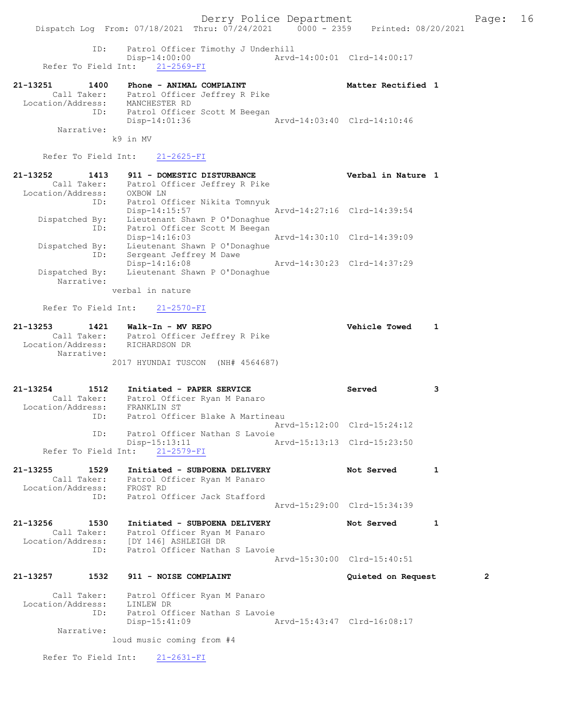ID: Patrol Officer Timothy J Underhill Disp-14:00:00<br>Arvd-14:00:01 Clrd-14:00:17 Refer To Field Int: 21-2569-FI

| 21-13251          | 1400        | Phone - ANIMAL COMPLAINT      |                               |                             | Matter Rectified 1 |  |
|-------------------|-------------|-------------------------------|-------------------------------|-----------------------------|--------------------|--|
|                   | Call Taker: | Patrol Officer Jeffrey R Pike |                               |                             |                    |  |
| Location/Address: |             | MANCHESTER RD                 |                               |                             |                    |  |
|                   | ID:         |                               | Patrol Officer Scott M Beegan |                             |                    |  |
|                   |             | $Disp-14:01:36$               |                               | Arvd-14:03:40 Clrd-14:10:46 |                    |  |
|                   | Narrative:  |                               |                               |                             |                    |  |
|                   |             | k9 in MV                      |                               |                             |                    |  |

Refer To Field Int: 21-2625-FI

| 21-13252<br>1413  | 911 - DOMESTIC DISTURBANCE    | Verbal in Nature 1          |
|-------------------|-------------------------------|-----------------------------|
| Call Taker:       | Patrol Officer Jeffrey R Pike |                             |
| Location/Address: | OXBOW LN                      |                             |
| ID:               | Patrol Officer Nikita Tomnyuk |                             |
|                   | $Disp-14:15:57$               | Arvd-14:27:16 Clrd-14:39:54 |
| Dispatched By:    | Lieutenant Shawn P O'Donaghue |                             |
| ID:               | Patrol Officer Scott M Beegan |                             |
|                   | $Disp-14:16:03$               | Arvd-14:30:10 Clrd-14:39:09 |
| Dispatched By:    | Lieutenant Shawn P O'Donaghue |                             |
| ID:               | Sergeant Jeffrey M Dawe       |                             |
|                   | $Disp-14:16:08$               | Arvd-14:30:23 Clrd-14:37:29 |
| Dispatched By:    | Lieutenant Shawn P O'Donaghue |                             |
| Narrative:        |                               |                             |
|                   | verbal in nature              |                             |

Refer To Field Int: 21-2570-FI

| 21-13253<br>1421                | Walk-In - MV REPO                 | <b>Vehicle Towed</b> |  |
|---------------------------------|-----------------------------------|----------------------|--|
| Call Taker:                     | Patrol Officer Jeffrey R Pike     |                      |  |
| Location/Address:<br>Narrative: | RICHARDSON DR                     |                      |  |
|                                 | 2017 HYUNDAI TUSCON (NH# 4564687) |                      |  |

| $21 - 13254$      | 1512        | Initiated - PAPER SERVICE      |                                  | Served                      |  |
|-------------------|-------------|--------------------------------|----------------------------------|-----------------------------|--|
|                   | Call Taker: |                                | Patrol Officer Ryan M Panaro     |                             |  |
| Location/Address: |             | FRANKLIN ST                    |                                  |                             |  |
|                   | ID:         |                                | Patrol Officer Blake A Martineau |                             |  |
|                   |             |                                |                                  | Arvd-15:12:00 Clrd-15:24:12 |  |
|                   | TD:         |                                | Patrol Officer Nathan S Lavoie   |                             |  |
|                   |             | Disp-15:13:11                  |                                  | Arvd-15:13:13 Clrd-15:23:50 |  |
|                   |             | Refer To Field Int: 21-2579-FI |                                  |                             |  |

- 21-13255 1529 Initiated SUBPOENA DELIVERY 1 Not Served 1 Call Taker: Patrol Officer Ryan M Panaro Location/Address: FROST RD ID: Patrol Officer Jack Stafford Arvd-15:29:00 Clrd-15:34:39
- 21-13256 1530 Initiated SUBPOENA DELIVERY Not Served 1 Call Taker: Patrol Officer Ryan M Panaro Location/Address: [DY 146] ASHLEIGH DR ID: Patrol Officer Nathan S Lavoie Arvd-15:30:00 Clrd-15:40:51
- 21-13257 1532 911 NOISE COMPLAINT Quieted on Request 2

 Call Taker: Patrol Officer Ryan M Panaro Location/Address: LINLEW DR ID: Patrol Officer Nathan S Lavoie Disp-15:41:09 Arvd-15:43:47 Clrd-16:08:17 Narrative:

loud music coming from #4

Refer To Field Int: 21-2631-FI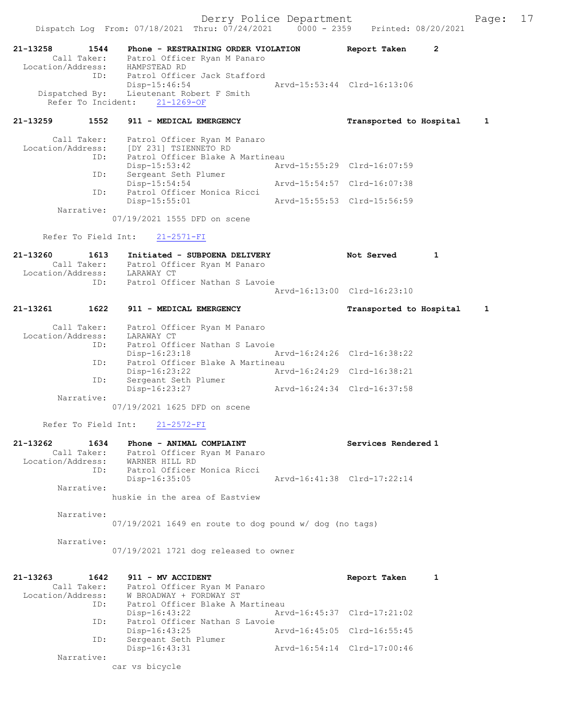Dispatch Log From: 07/18/2021 Thru: 07/24/2021 0000 - 2359 Printed: 08/20/2021 21-13258 1544 Phone - RESTRAINING ORDER VIOLATION Report Taken 2 Call Taker: Patrol Officer Ryan M Panaro Location/Address: HAMPSTEAD RD ID: Patrol Officer Jack Stafford Disp-15:46:54 Arvd-15:53:44 Clrd-16:13:06 Dispatched By: Lieutenant Robert F Smith Refer To Incident: 21-1269-OF 21-13259 1552 911 - MEDICAL EMERGENCY Transported to Hospital 1 Call Taker: Patrol Officer Ryan M Panaro Location/Address: [DY 231] TSIENNETO RD ID: Patrol Officer Blake A Martineau Disp-15:53:42 <br>
Sergeant Seth Plumer<br>
Arvd-15:55:29 Clrd-16:07:59<br>
Arvd-15:55:29 Clrd-16:07:59 ID: Sergeant  $\frac{15}{2}$ <br>Disp-15:54:54 Disp-15:54:54 Arvd-15:54:57 Clrd-16:07:38 ID: Patrol Officer Monica Ricci Arvd-15:55:53 Clrd-15:56:59 Narrative: 07/19/2021 1555 DFD on scene Refer To Field Int: 21-2571-FI 21-13260 1613 Initiated - SUBPOENA DELIVERY Not Served 1 Call Taker: Patrol Officer Ryan M Panaro Location/Address: LARAWAY CT ID: Patrol Officer Nathan S Lavoie Arvd-16:13:00 Clrd-16:23:10 21-13261 1622 911 - MEDICAL EMERGENCY Transported to Hospital 1 Call Taker: Patrol Officer Ryan M Panaro Location/Address: LARAWAY CT<br>ID: Patrol Offi Patrol Officer Nathan S Lavoie<br>Disp-16:23:18 Disp-16:23:18 Arvd-16:24:26 Clrd-16:38:22 ID: Patrol Officer Blake A Martineau Disp-16:23:22 Arvd-16:24:29 Clrd-16:38:21 ID: Sergeant Seth Plumer Disp-16:23:27 Arvd-16:24:34 Clrd-16:37:58 Narrative: 07/19/2021 1625 DFD on scene Refer To Field Int: 21-2572-FI 21-13262 1634 Phone - ANIMAL COMPLAINT Services Rendered 1 Call Taker: Patrol Officer Ryan M Panaro Location/Address: WARNER HILL RD ID: Patrol Officer Monica Ricci Disp-16:35:05 Arvd-16:41:38 Clrd-17:22:14 Narrative: huskie in the area of Eastview Narrative: 07/19/2021 1649 en route to dog pound w/ dog (no tags) Narrative: 07/19/2021 1721 dog released to owner 21-13263 1642 911 - MV ACCIDENT Report Taken 1 Call Taker: Patrol Officer Ryan M Panaro<br>Location/Address: W BROADWAY + FORDWAY ST Location/Address: W BROADWAY + FORDWAY ST ID: Patrol Officer Blake A Martineau Disp-16:43:22 Arvd-16:45:37 Clrd-17:21:02 ID: Patrol Officer Nathan S Lavoie<br>Disp-16:43:25 Arvd-16:45:05 Clrd-16:55:45 Disp-16:43:25 Arvd-16:45:05 Clrd-16:55:45 ID: Sergeant Seth Plumer Disp-16:43:31 Arvd-16:54:14 Clrd-17:00:46 Narrative:

car vs bicycle

Derry Police Department Fage: 17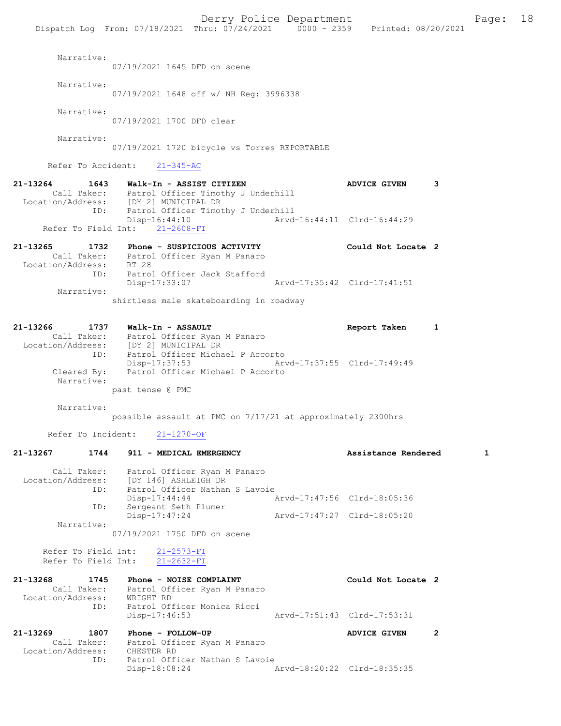Derry Police Department Fage: 18 Dispatch Log From: 07/18/2021 Thru: 07/24/2021 0000 - 2359 Printed: 08/20/2021 Narrative: 07/19/2021 1645 DFD on scene Narrative: 07/19/2021 1648 off w/ NH Reg: 3996338 Narrative: 07/19/2021 1700 DFD clear Narrative: 07/19/2021 1720 bicycle vs Torres REPORTABLE Refer To Accident: 21-345-AC 21-13264 1643 Walk-In - ASSIST CITIZEN ADVICE GIVEN 3 Call Taker: Patrol Officer Timothy J Underhill Location/Address: [DY 2] MUNICIPAL DR ID: Patrol Officer Timothy J Underhill<br>Disp-16:44:10 Arvd- Disp-16:44:10 Arvd-16:44:11 Clrd-16:44:29 Refer To Field Int: 21-2608-FI 21-13265 1732 Phone - SUSPICIOUS ACTIVITY Could Not Locate 2 Call Taker: Patrol Officer Ryan M Panaro Location/Address: RT 28 ID: Patrol Officer Jack Stafford<br>Disp-17:33:07 Arvd-17:35:42 Clrd-17:41:51 Narrative: shirtless male skateboarding in roadway 21-13266 1737 Walk-In - ASSAULT Report Taken 1 Call Taker: Patrol Officer Ryan M Panaro Location/Address: [DY 2] MUNICIPAL DR ID: Patrol Officer Michael P Accorto Disp-17:37:53 Arvd-17:37:55 Clrd-17:49:49 Cleared By: Patrol Officer Michael P Accorto Narrative: past tense @ PMC Narrative: possible assault at PMC on 7/17/21 at approximately 2300hrs Refer To Incident: 21-1270-OF 21-13267 1744 911 - MEDICAL EMERGENCY Assistance Rendered 1 Call Taker: Patrol Officer Ryan M Panaro Location/Address: [DY 146] ASHLEIGH DR ID: Patrol Officer Nathan S Lavoie Disp-17:44:44 Arvd-17:47:56 Clrd-18:05:36 ID: Sergeant Seth Plumer Disp-17:47:24 Arvd-17:47:27 Clrd-18:05:20 Narrative: 07/19/2021 1750 DFD on scene Refer To Field Int: 21-2573-FI Refer To Field Int: 21-2632-FI

| 21-13268          | 1745        | Phone - NOISE COMPLAINT        | Could Not Locate 2          |  |
|-------------------|-------------|--------------------------------|-----------------------------|--|
|                   | Call Taker: | Patrol Officer Ryan M Panaro   |                             |  |
| Location/Address: |             | WRIGHT RD                      |                             |  |
|                   | ID:         | Patrol Officer Monica Ricci    |                             |  |
|                   |             | Disp-17:46:53                  | Arvd-17:51:43 Clrd-17:53:31 |  |
|                   |             |                                |                             |  |
| 21-13269          | 1807        | Phone - FOLLOW-UP              | <b>ADVICE GIVEN</b>         |  |
|                   | Call Taker: | Patrol Officer Ryan M Panaro   |                             |  |
| Location/Address: |             | CHESTER RD                     |                             |  |
|                   | ID:         | Patrol Officer Nathan S Lavoie |                             |  |
|                   |             | $Disp-18:08:24$                | Arvd-18:20:22 Clrd-18:35:35 |  |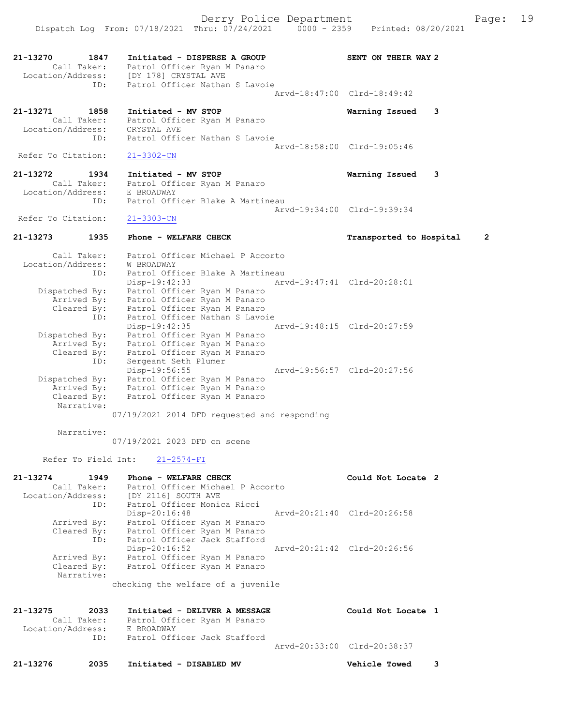21-13270 1847 Initiated - DISPERSE A GROUP SENT ON THEIR WAY 2 Call Taker: Patrol Officer Ryan M Panaro Location/Address: [DY 178] CRYSTAL AVE ID: Patrol Officer Nathan S Lavoie Arvd-18:47:00 Clrd-18:49:42 21-13271 1858 Initiated - MV STOP Warning Issued 3 Call Taker: Patrol Officer Ryan M Panaro Location/Address: CRYSTAL AVE ID: Patrol Officer Nathan S Lavoie Arvd-18:58:00 Clrd-19:05:46 Refer To Citation: 21-3302-CN 21-13272 1934 Initiated - MV STOP Warning Issued 3 Call Taker: Patrol Officer Ryan M Panaro Location/Address: E BROADWAY ID: Patrol Officer Blake A Martineau Arvd-19:34:00 Clrd-19:39:34 Refer To Citation: 21-3303-CN 21-13273 1935 Phone - WELFARE CHECK Transported to Hospital 2 Call Taker: Patrol Officer Michael P Accorto Location/Address: W BROADWAY ID: Patrol Officer Blake A Martineau Disp-19:42:33 Arvd-19:47:41 Clrd-20:28:01 Dispatched By: Patrol Officer Ryan M Panaro Arrived By: Patrol Officer Ryan M Panaro Cleared By: Patrol Officer Ryan M Panaro ID: Patrol Officer Nathan S Lavoie Disp-19:42:35 Arvd-19:48:15 Clrd-20:27:59 Dispatched By: Patrol Officer Ryan M Panaro Arrived By: Patrol Officer Ryan M Panaro Cleared By: Patrol Officer Ryan M Panaro ID: Sergeant Seth Plumer Disp-19:56:55 Arvd-19:56:57 Clrd-20:27:56 Dispatched By: Patrol Officer Ryan M Panaro Arrived By: Patrol Officer Ryan M Panaro Cleared By: Patrol Officer Ryan M Panaro Narrative: 07/19/2021 2014 DFD requested and responding Narrative: 07/19/2021 2023 DFD on scene Refer To Field Int: 21-2574-FI 21-13274 1949 Phone - WELFARE CHECK COUL Could Not Locate 2 Call Taker: Patrol Officer Michael P Accorto Location/Address: [DY 2116] SOUTH AVE ID: Patrol Officer Monica Ricci Disp-20:16:48 Arvd-20:21:40 Clrd-20:26:58 Arrived By: Patrol Officer Ryan M Panaro Cleared By: Patrol Officer Ryan M Panaro ID: Patrol Officer Jack Stafford Disp-20:16:52 Arvd-20:21:42 Clrd-20:26:56 Arrived By: Patrol Officer Ryan M Panaro Cleared By: Patrol Officer Ryan M Panaro Narrative: checking the welfare of a juvenile 21-13275 2033 Initiated - DELIVER A MESSAGE Could Not Locate 1 Call Taker: Patrol Officer Ryan M Panaro Location/Address: E BROADWAY ID: Patrol Officer Jack Stafford Arvd-20:33:00 Clrd-20:38:37 21-13276 2035 Initiated - DISABLED MV Vehicle Towed 3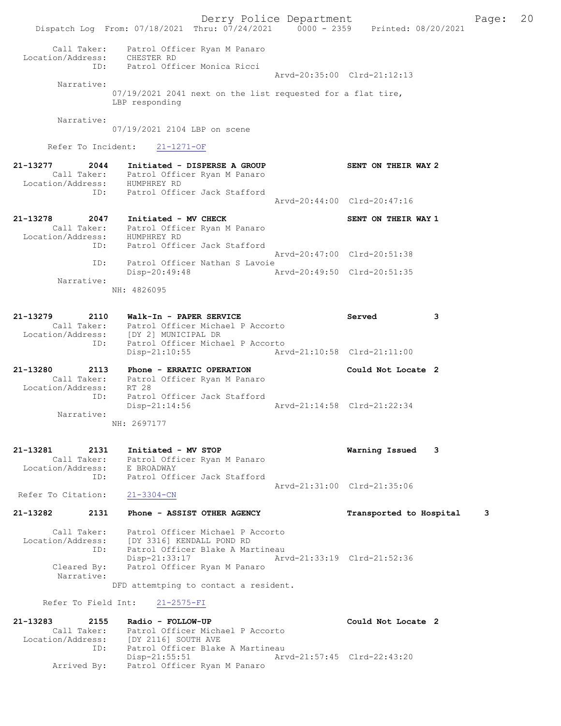Derry Police Department Fage: 20 Dispatch Log From: 07/18/2021 Thru: 07/24/2021 0000 - 2359 Printed: 08/20/2021 Call Taker: Patrol Officer Ryan M Panaro Location/Address: CHESTER RD ID: Patrol Officer Monica Ricci Arvd-20:35:00 Clrd-21:12:13 Narrative: 07/19/2021 2041 next on the list requested for a flat tire, LBP responding Narrative: 07/19/2021 2104 LBP on scene Refer To Incident: 21-1271-OF 21-13277 2044 Initiated - DISPERSE A GROUP SENT ON THEIR WAY 2 Call Taker: Patrol Officer Ryan M Panaro Location/Address: HUMPHREY RD ID: Patrol Officer Jack Stafford Arvd-20:44:00 Clrd-20:47:16 21-13278 2047 Initiated - MV CHECK SENT ON THEIR WAY 1 Call Taker: Patrol Officer Ryan M Panaro Location/Address: HUMPHREY RD ID: Patrol Officer Jack Stafford Arvd-20:47:00 Clrd-20:51:38 ID: Patrol Officer Nathan S Lavoie<br>Disp-20:49:48 Arvd-20:49:50 Clrd-20:51:35 Disp-20:49:48 Narrative: NH: 4826095 21-13279 2110 Walk-In - PAPER SERVICE Served 3 Call Taker: Patrol Officer Michael P Accorto Location/Address: [DY 2] MUNICIPAL DR ID: Patrol Officer Michael P Accorto Disp-21:10:55 Arvd-21:10:58 Clrd-21:11:00 21-13280 2113 Phone - ERRATIC OPERATION Could Not Locate 2 Call Taker: Patrol Officer Ryan M Panaro Location/Address: RT 28 ID: Patrol Officer Jack Stafford Disp-21:14:56 Arvd-21:14:58 Clrd-21:22:34 Narrative: NH: 2697177 21-13281 2131 Initiated - MV STOP Warning Issued 3 Call Taker: Patrol Officer Ryan M Panaro Location/Address: E BROADWAY ID: Patrol Officer Jack Stafford Arvd-21:31:00 Clrd-21:35:06<br>21-3304-CN Refer To Citation: 21-13282 2131 Phone - ASSIST OTHER AGENCY Transported to Hospital 3 Call Taker: Patrol Officer Michael P Accorto Location/Address: [DY 3316] KENDALL POND RD ID: Patrol Officer Blake A Martineau Disp-21:33:17 Arvd-21:33:19 Clrd-21:52:36<br>Cleared By: Patrol Officer Ryan M Panaro Patrol Officer Ryan M Panaro Narrative: DFD attemtping to contact a resident. Refer To Field Int: 21-2575-FI 21-13283 2155 Radio - FOLLOW-UP Could Not Locate 2 Call Taker: Patrol Officer Michael P Accorto Location/Address: [DY 2116] SOUTH AVE ID: Patrol Officer Blake A Martineau Disp-21:55:51 Arvd-21:57:45 Clrd-22:43:20 Arrived By: Patrol Officer Ryan M Panaro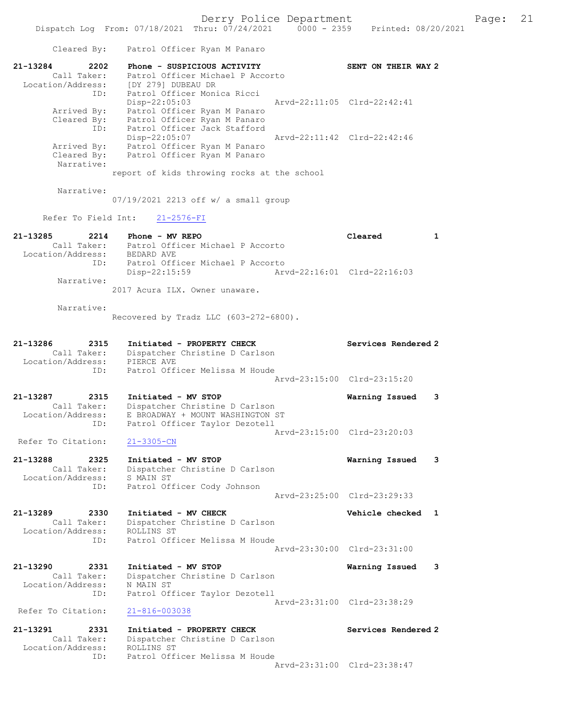Dispatch Log From: 07/18/2021 Thru: 07/24/2021 0000 - 2359 Printed: 08/20/2021 Cleared By: Patrol Officer Ryan M Panaro 21-13284 2202 Phone - SUSPICIOUS ACTIVITY SENT ON THEIR WAY 2 Call Taker: Patrol Officer Michael P Accorto Location/Address: [DY 279] DUBEAU DR ID: Patrol Officer Monica Ricci Disp-22:05:03 Arvd-22:11:05 Clrd-22:42:41 Arrived By: Patrol Officer Ryan M Panaro Cleared By: Patrol Officer Ryan M Panaro ID: Patrol Officer Jack Stafford Disp-22:05:07 Arvd-22:11:42 Clrd-22:42:46 Arrived By: Patrol Officer Ryan M Panaro Cleared By: Patrol Officer Ryan M Panaro Narrative: report of kids throwing rocks at the school Narrative: 07/19/2021 2213 off w/ a small group Refer To Field Int: 21-2576-FI 21-13285 2214 Phone - MV REPO Cleared 1 Call Taker: Patrol Officer Michael P Accorto Location/Address: BEDARD AVE ID: Patrol Officer Michael P Accorto<br>Disp-22:15:59 Mrvd-22:16:01 Clrd-22:16:03 Disp-22:15:59 Narrative: 2017 Acura ILX. Owner unaware. Narrative: Recovered by Tradz LLC (603-272-6800). 21-13286 2315 Initiated - PROPERTY CHECK Services Rendered 2 Call Taker: Dispatcher Christine D Carlson Location/Address: PIERCE AVE ID: Patrol Officer Melissa M Houde Arvd-23:15:00 Clrd-23:15:20 21-13287 2315 Initiated - MV STOP Warning Issued 3 Call Taker: Dispatcher Christine D Carlson Location/Address: E BROADWAY + MOUNT WASHINGTON ST ID: Patrol Officer Taylor Dezotell Arvd-23:15:00 Clrd-23:20:03 Refer To Citation: 21-3305-CN 21-13288 2325 Initiated - MV STOP Warning Issued 3 Call Taker: Dispatcher Christine D Carlson Location/Address: S MAIN ST ID: Patrol Officer Cody Johnson Arvd-23:25:00 Clrd-23:29:33 21-13289 2330 Initiated - MV CHECK Vehicle checked 1 Call Taker: Dispatcher Christine D Carlson Location/Address: ROLLINS ST ID: Patrol Officer Melissa M Houde Arvd-23:30:00 Clrd-23:31:00 21-13290 2331 Initiated - MV STOP Warning Issued 3 Call Taker: Dispatcher Christine D Carlson Location/Address: N MAIN ST ID: Patrol Officer Taylor Dezotell Arvd-23:31:00 Clrd-23:38:29<br>21-816-003038 Refer To Citation: 21-13291 2331 Initiated - PROPERTY CHECK Services Rendered 2 Call Taker: Dispatcher Christine D Carlson Location/Address: ROLLINS ST ID: Patrol Officer Melissa M Houde

Arvd-23:31:00 Clrd-23:38:47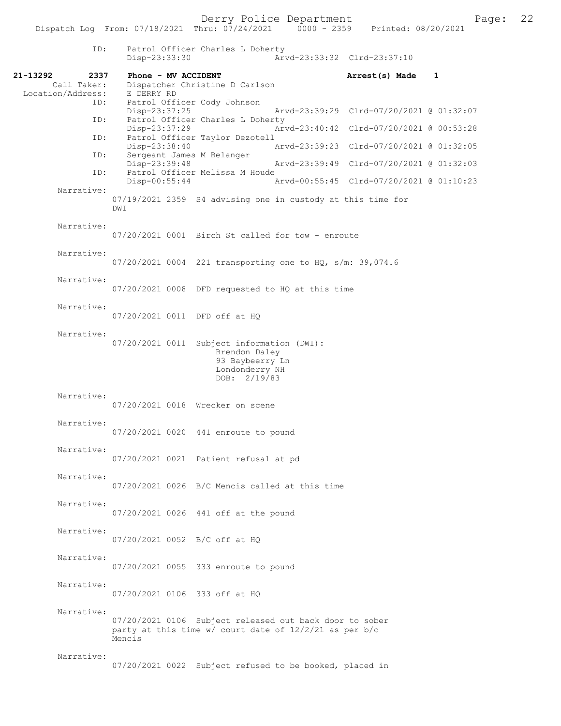ID: Patrol Officer Charles L Doherty Disp-23:33:30 Arvd-23:33:32 Clrd-23:37:10 21-13292 2337 Phone - MV ACCIDENT Call Taker: Dispatcher Christine D Carlson Arrest(s) Made 1 Dispatcher Christine D Carlson Location/Address: E DERRY RD Patrol Officer Cody Johnson<br>Disp-23:37:25 Disp-23:37:25 Arvd-23:39:29 Clrd-07/20/2021 @ 01:32:07<br>TD: Patrol Officer Charles L Doberty Patrol Officer Charles L Doherty<br>Disp-23:37:29 Ary Disp-23:37:29 Arvd-23:40:42 Clrd-07/20/2021 @ 00:53:28 ID: Patrol Officer Taylor Dezotell Disp-23:38:40 Arvd-23:39:23 Clrd-07/20/2021 @ 01:32:05<br>ID: Sergeant James M Belanger Sergeant James M Belanger<br>Disp-23:39:48 Disp-23:39:48 Arvd-23:39:49 Clrd-07/20/2021 @ 01:32:03<br>ID: Patrol Officer Melissa M Houde Patrol Officer Melissa M Houde<br>Disp-00:55:44 Disp-00:55:44 Arvd-00:55:45 Clrd-07/20/2021 @ 01:10:23 Narrative: 07/19/2021 2359 S4 advising one in custody at this time for DWI Narrative: 07/20/2021 0001 Birch St called for tow - enroute Narrative: 07/20/2021 0004 221 transporting one to HQ, s/m: 39,074.6 Narrative: 07/20/2021 0008 DFD requested to HQ at this time Narrative: 07/20/2021 0011 DFD off at HQ Narrative: 07/20/2021 0011 Subject information (DWI): Brendon Daley 93 Baybeerry Ln Londonderry NH DOB: 2/19/83 Narrative: 07/20/2021 0018 Wrecker on scene Narrative: 07/20/2021 0020 441 enroute to pound Narrative: 07/20/2021 0021 Patient refusal at pd Narrative: 07/20/2021 0026 B/C Mencis called at this time Narrative: 07/20/2021 0026 441 off at the pound Narrative: 07/20/2021 0052 B/C off at HQ Narrative: 07/20/2021 0055 333 enroute to pound Narrative: 07/20/2021 0106 333 off at HQ Narrative: 07/20/2021 0106 Subject released out back door to sober party at this time w/ court date of 12/2/21 as per b/c Mencis Narrative: 07/20/2021 0022 Subject refused to be booked, placed in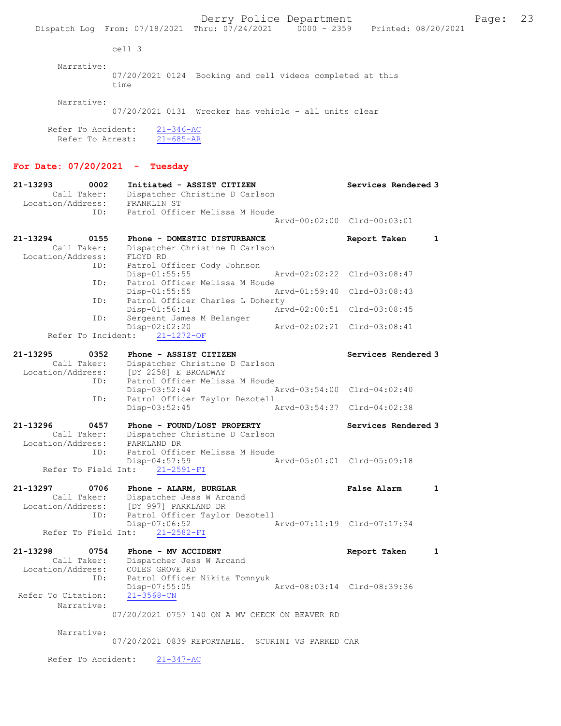Derry Police Department Fage: 23 Dispatch Log From: 07/18/2021 Thru: 07/24/2021 0000 - 2359 Printed: 08/20/2021 cell 3 Narrative: 07/20/2021 0124 Booking and cell videos completed at this time Narrative: 07/20/2021 0131 Wrecker has vehicle - all units clear Refer To Accident: 21-346-AC Refer To Arrest: 21-685-AR For Date: 07/20/2021 - Tuesday 21-13293 0002 Initiated - ASSIST CITIZEN Services Rendered 3 Call Taker: Dispatcher Christine D Carlson Location/Address: FRANKLIN ST ID: Patrol Officer Melissa M Houde Arvd-00:02:00 Clrd-00:03:01 21-13294 0155 Phone - DOMESTIC DISTURBANCE Report Taken 1 Call Taker: Dispatcher Christine D Carlson Location/Address: FLOYD RD ID: Patrol Officer Cody Johnson Disp-01:55:55 Arvd-02:02:22 Clrd-03:08:47 ID: Patrol Officer Melissa M Houde<br>Disp-01:55:55 Mrvd-01:59:40 Clrd-03:08:43 Disp-01:55:55<br>ID: Patrol Officer Charles L Dol ID: Patrol Officer Charles L Doherty Disp-01:56:11 Arvd-02:00:51 Clrd-03:08:45 ID: Sergeant James M Belanger Disp-02:02:20 Arvd-02:02:21 Clrd-03:08:41 Refer To Incident: 21-1272-OF 21-13295 0352 Phone - ASSIST CITIZEN Services Rendered 3 Call Taker: Dispatcher Christine D Carlson Location/Address: [DY 2258] E BROADWAY ID: Patrol Officer Melissa M Houde Disp-03:52:44 Arvd-03:54:00 Clrd-04:02:40 ID: Patrol Officer Taylor Dezotell Disp-03:52:45 Arvd-03:54:37 Clrd-04:02:38 21-13296 0457 Phone - FOUND/LOST PROPERTY Services Rendered 3 Call Taker: Dispatcher Christine D Carlson Location/Address: PARKLAND DR ID: Patrol Officer Melissa M Houde<br>Disp-04:57:59 7 Arvd-05:01:01 Clrd-05:09:18 Refer To Field Int: 21-2591-FI 21-13297 0706 Phone - ALARM, BURGLAR False Alarm 1 Call Taker: Dispatcher Jess W Arcand Location/Address: [DY 997] PARKLAND DR ID: Patrol Officer Taylor Dezotell Disp-07:06:52 Refer To Field Int: 21-2582-FI 21-13298 0754 Phone - MV ACCIDENT Report Taken 1 Call Taker: Dispatcher Jess W Arcand Location/Address: COLES GROVE RD ID: Patrol Officer Nikita Tomnyuk Disp-07:55:05 <br>21-3568-CN Refer To Citation: Narrative: 07/20/2021 0757 140 ON A MV CHECK ON BEAVER RD Narrative: 07/20/2021 0839 REPORTABLE. SCURINI VS PARKED CAR

Refer To Accident: 21-347-AC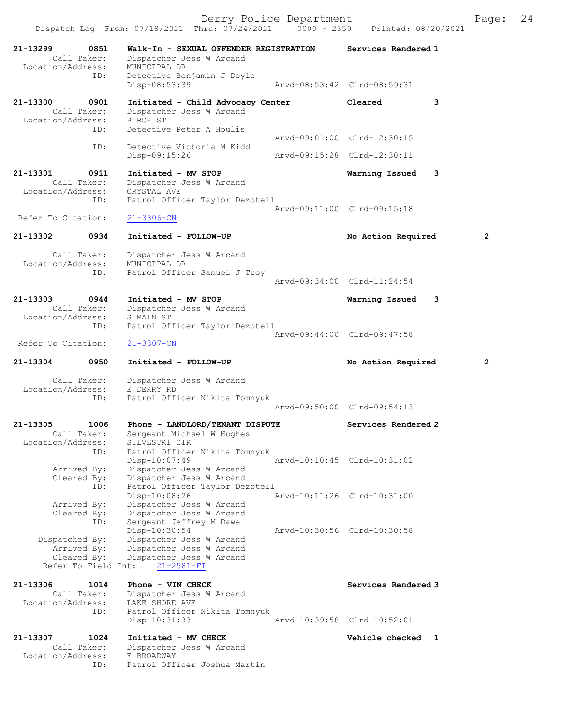Dispatch Log From: 07/18/2021 Thru: 07/24/2021 0000 - 2359 Printed: 08/20/2021 21-13299 0851 Walk-In - SEXUAL OFFENDER REGISTRATION Services Rendered 1 Call Taker: Dispatcher Jess W Arcand Location/Address: MUNICIPAL DR ID: Detective Benjamin J Doyle<br>Disp-08:53:39 Disp-08:53:39 Arvd-08:53:42 Clrd-08:59:31 21-13300 0901 Initiated - Child Advocacy Center Cleared 3 Call Taker: Dispatcher Jess W Arcand Location/Address: BIRCH ST ID: Detective Peter A Houlis Arvd-09:01:00 Clrd-12:30:15 ID: Detective Victoria M Kidd Disp-09:15:26 Arvd-09:15:28 Clrd-12:30:11 21-13301 0911 Initiated - MV STOP Warning Issued 3 Call Taker: Dispatcher Jess W Arcand Location/Address: CRYSTAL AVE ID: Patrol Officer Taylor Dezotell Arvd-09:11:00 Clrd-09:15:18 Refer To Citation: 21-3306-CN 21-13302 0934 Initiated - FOLLOW-UP No Action Required 2 Call Taker: Dispatcher Jess W Arcand Location/Address: MUNICIPAL DR ID: Patrol Officer Samuel J Troy Arvd-09:34:00 Clrd-11:24:54 21-13303 0944 Initiated - MV STOP Warning Issued 3 Call Taker: Dispatcher Jess W Arcand Location/Address: S MAIN ST ID: Patrol Officer Taylor Dezotell Arvd-09:44:00 Clrd-09:47:58 Refer To Citation: 21-3307-CN 21-13304 0950 Initiated - FOLLOW-UP No Action Required 2 Call Taker: Dispatcher Jess W Arcand Location/Address: E DERRY RD ID: Patrol Officer Nikita Tomnyuk Arvd-09:50:00 Clrd-09:54:13 21-13305 1006 Phone - LANDLORD/TENANT DISPUTE Services Rendered 2 Call Taker: Sergeant Michael W Hughes Location/Address: SILVESTRI CIR ID: Patrol Officer Nikita Tomnyuk Disp-10:07:49 Arvd-10:10:45 Clrd-10:31:02 Arrived By: Dispatcher Jess W Arcand Cleared By: Dispatcher Jess W Arcand ID: Patrol Officer Taylor Dezotell Disp-10:08:26 Arvd-10:11:26 Clrd-10:31:00 Arrived By: Dispatcher Jess W Arcand Cleared By: Dispatcher Jess W Arcand ID: Sergeant Jeffrey M Dawe Disp-10:30:54 Arvd-10:30:56 Clrd-10:30:58 Dispatched By: Dispatcher Jess W Arcand Arrived By: Dispatcher Jess W Arcand Cleared By: Dispatcher Jess W Arcand Refer To Field Int: 21-2581-FI 21-13306 1014 Phone - VIN CHECK Services Rendered 3 Call Taker: Dispatcher Jess W Arcand Location/Address: LAKE SHORE AVE ID: Patrol Officer Nikita Tomnyuk Disp-10:31:33 Arvd-10:39:58 Clrd-10:52:01 21-13307 1024 Initiated - MV CHECK Nerror Number of Vehicle checked 1 Call Taker: Dispatcher Jess W Arcand

Location/Address: E BROADWAY

ID: Patrol Officer Joshua Martin

Derry Police Department Fage: 24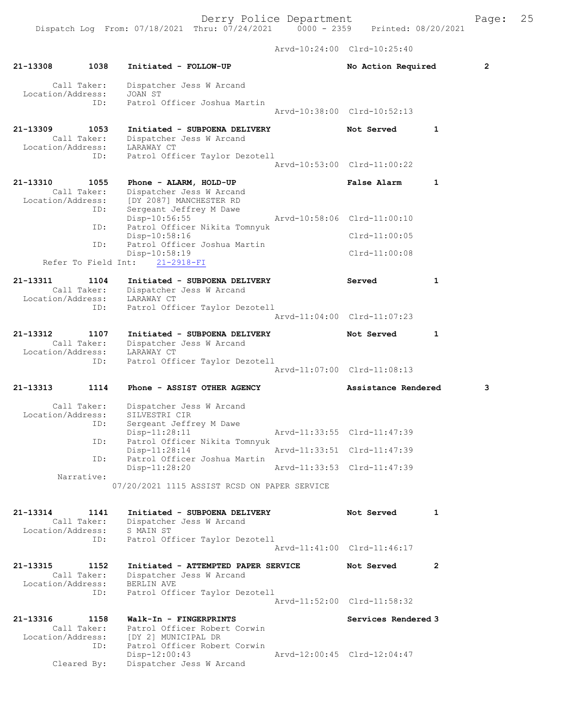Derry Police Department Fage: 25

 Arvd-10:24:00 Clrd-10:25:40 21-13308 1038 Initiated - FOLLOW-UP No Action Required 2 Call Taker: Dispatcher Jess W Arcand Location/Address: JOAN ST ID: Patrol Officer Joshua Martin Arvd-10:38:00 Clrd-10:52:13 21-13309 1053 Initiated - SUBPOENA DELIVERY Not Served 1 Call Taker: Dispatcher Jess W Arcand Location/Address: LARAWAY CT ID: Patrol Officer Taylor Dezotell Arvd-10:53:00 Clrd-11:00:22 21-13310 1055 Phone - ALARM, HOLD-UP False Alarm 1 Call Taker: Dispatcher Jess W Arcand Location/Address: [DY 2087] MANCHESTER RD ID: Sergeant Jeffrey M Dawe Disp-10:56:55 Arvd-10:58:06 Clrd-11:00:10 ID: Patrol Officer Nikita Tomnyuk Disp-10:58:16 Clrd-11:00:05 ID: Patrol Officer Joshua Martin Disp-10:58:19 Clrd-11:00:08 Refer To Field Int: 21-2918-FI 21-13311 1104 Initiated - SUBPOENA DELIVERY Served 1 Call Taker: Dispatcher Jess W Arcand Location/Address: LARAWAY CT ID: Patrol Officer Taylor Dezotell Arvd-11:04:00 Clrd-11:07:23 21-13312 1107 Initiated - SUBPOENA DELIVERY Not Served 1 Call Taker: Dispatcher Jess W Arcand Location/Address: LARAWAY CT ID: Patrol Officer Taylor Dezotell Arvd-11:07:00 Clrd-11:08:13 21-13313 1114 Phone - ASSIST OTHER AGENCY Assistance Rendered 3 Call Taker: Dispatcher Jess W Arcand Location/Address: SILVESTRI CIR ID: Sergeant Jeffrey M Dawe Disp-11:28:11 Arvd-11:33:55 Clrd-11:47:39 ID: Patrol Officer Nikita Tomnyuk Disp-11:28:14 Arvd-11:33:51 Clrd-11:47:39 ID: Patrol Officer Joshua Martin Disp-11:28:20 Narrative: 07/20/2021 1115 ASSIST RCSD ON PAPER SERVICE 21-13314 1141 Initiated - SUBPOENA DELIVERY Not Served 1 Call Taker: Dispatcher Jess W Arcand Location/Address: S MAIN ST ID: Patrol Officer Taylor Dezotell Arvd-11:41:00 Clrd-11:46:17 21-13315 1152 Initiated - ATTEMPTED PAPER SERVICE Not Served 2 Call Taker: Dispatcher Jess W Arcand Location/Address: BERLIN AVE ID: Patrol Officer Taylor Dezotell Arvd-11:52:00 Clrd-11:58:32 21-13316 1158 Walk-In - FINGERPRINTS Services Rendered 3 Call Taker: Patrol Officer Robert Corwin Location/Address: [DY 2] MUNICIPAL DR ID: Patrol Officer Robert Corwin Disp-12:00:43 Arvd-12:00:45 Clrd-12:04:47 Cleared By: Dispatcher Jess W Arcand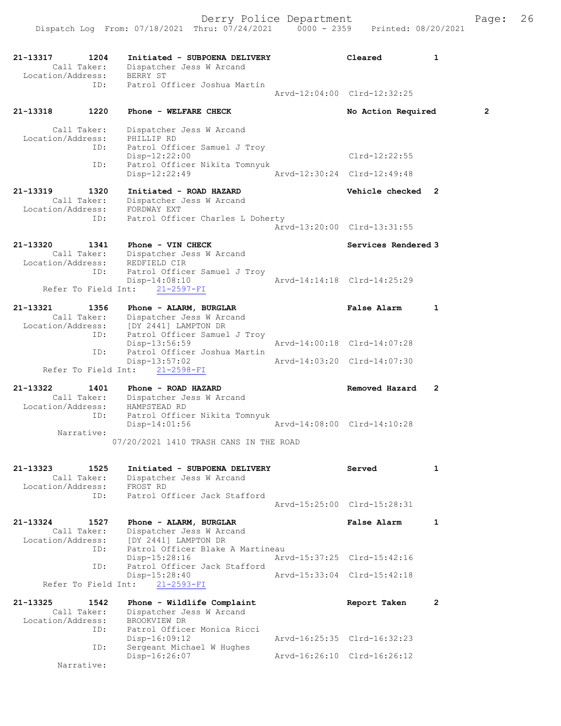| 21-13317<br>Location/Address:                | 1204<br>Call Taker:        | Initiated - SUBPOENA DELIVERY<br>Dispatcher Jess W Arcand<br>BERRY ST                                            | Cleared                     | 1 |
|----------------------------------------------|----------------------------|------------------------------------------------------------------------------------------------------------------|-----------------------------|---|
|                                              | ID:                        | Patrol Officer Joshua Martin                                                                                     | Arvd-12:04:00 Clrd-12:32:25 |   |
| 21–13318                                     | 1220                       | Phone - WELFARE CHECK                                                                                            | No Action Required          | 2 |
| Location/Address:                            | Call Taker:<br>ID:         | Dispatcher Jess W Arcand<br>PHILLIP RD<br>Patrol Officer Samuel J Troy                                           |                             |   |
|                                              | ID:                        | Disp-12:22:00<br>Patrol Officer Nikita Tomnyuk                                                                   | Clrd-12:22:55               |   |
|                                              |                            | Disp-12:22:49                                                                                                    | Arvd-12:30:24 Clrd-12:49:48 |   |
| 21-13319<br>Location/Address:                | 1320<br>Call Taker:        | Initiated - ROAD HAZARD<br>Dispatcher Jess W Arcand<br>FORDWAY EXT                                               | Vehicle checked             | 2 |
|                                              | ID:                        | Patrol Officer Charles L Doherty                                                                                 | Arvd-13:20:00 Clrd-13:31:55 |   |
| 21-13320<br>CALL TAKET:<br>Location/Address: | 1341                       | Phone - VIN CHECK<br>Dispatcher Jess W Arcand<br>REDFIELD CIR                                                    | Services Rendered 3         |   |
|                                              | ID:<br>Refer To Field Int: | Patrol Officer Samuel J Troy<br>$Disp-14:08:10$<br>$21 - 2597 - FI$                                              | Arvd-14:14:18 Clrd-14:25:29 |   |
| 21-13321<br>Location/Address:                | 1356<br>Call Taker:<br>ID: | Phone - ALARM, BURGLAR<br>Dispatcher Jess W Arcand<br>[DY 2441] LAMPTON DR<br>Patrol Officer Samuel J Troy       | <b>False Alarm</b>          | 1 |
|                                              |                            | $Disp-13:56:59$                                                                                                  | Arvd-14:00:18 Clrd-14:07:28 |   |
|                                              | ID:<br>Refer To Field Int: | Patrol Officer Joshua Martin<br>$Disp-13:57:02$<br>$21 - 2598 - FI$                                              | Arvd-14:03:20 Clrd-14:07:30 |   |
| 21-13322<br>Location/Address:                | 1401<br>Call Taker:        | Phone - ROAD HAZARD<br>Dispatcher Jess W Arcand<br>HAMPSTEAD RD                                                  | Removed Hazard              | 2 |
|                                              | ID:<br>Narrative:          | Patrol Officer Nikita Tomnyuk<br>$Disp-14:01:56$                                                                 | Arvd-14:08:00 Clrd-14:10:28 |   |
|                                              |                            | 07/20/2021 1410 TRASH CANS IN THE ROAD                                                                           |                             |   |
| 21-13323<br>Location/Address:                | 1525<br>Call Taker:        | Initiated - SUBPOENA DELIVERY<br>Dispatcher Jess W Arcand<br>FROST RD                                            | Served                      | 1 |
|                                              | ID:                        | Patrol Officer Jack Stafford                                                                                     | Arvd-15:25:00 Clrd-15:28:31 |   |
| 21-13324<br>Location/Address:                | 1527<br>Call Taker:<br>ID: | Phone - ALARM, BURGLAR<br>Dispatcher Jess W Arcand<br>$[DY 2441] LAMPTON DR$<br>Patrol Officer Blake A Martineau | <b>False Alarm</b>          | 1 |
|                                              | ID:                        | Disp-15:28:16<br>Patrol Officer Jack Stafford                                                                    | Arvd-15:37:25 Clrd-15:42:16 |   |
|                                              | Refer To Field Int:        | Disp-15:28:40<br>$21 - 2593 - FI$                                                                                | Arvd-15:33:04 Clrd-15:42:18 |   |
| 21-13325                                     | 1542                       | Phone - Wildlife Complaint                                                                                       | Report Taken                | 2 |
| Location/Address:                            | Call Taker:<br>ID:         | Dispatcher Jess W Arcand<br>BROOKVIEW DR<br>Patrol Officer Monica Ricci                                          |                             |   |
|                                              | ID:                        | Disp-16:09:12<br>Sergeant Michael W Hughes                                                                       | Arvd-16:25:35 Clrd-16:32:23 |   |
|                                              | Narrative:                 | Disp-16:26:07                                                                                                    | Arvd-16:26:10 Clrd-16:26:12 |   |
|                                              |                            |                                                                                                                  |                             |   |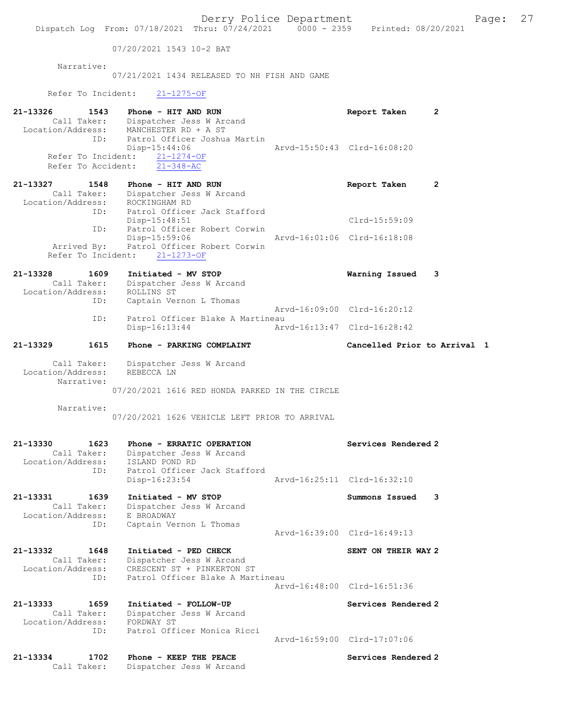07/20/2021 1543 10-2 BAT

 Narrative: 07/21/2021 1434 RELEASED TO NH FISH AND GAME Refer To Incident: 21-1275-OF

| 21-13326<br>Location/Address:                | 1543<br>Call Taker:                             | Phone - HIT AND RUN<br>Dispatcher Jess W Arcand<br>MANCHESTER RD + A ST                                 | Report Taken                 | 2 |
|----------------------------------------------|-------------------------------------------------|---------------------------------------------------------------------------------------------------------|------------------------------|---|
|                                              | ID:<br>Refer To Incident:<br>Refer To Accident: | Patrol Officer Joshua Martin<br>$Disp-15:44:06$<br>$21 - 1274 - OF$<br>$21 - 348 - AC$                  | Arvd-15:50:43 Clrd-16:08:20  |   |
|                                              |                                                 |                                                                                                         |                              |   |
| 21-13327<br>Location/Address:                | 1548<br>Call Taker:                             | Phone - HIT AND RUN<br>Dispatcher Jess W Arcand<br>ROCKINGHAM RD                                        | Report Taken                 | 2 |
|                                              | ID:                                             | Patrol Officer Jack Stafford<br>Disp-15:48:51                                                           | Clrd-15:59:09                |   |
|                                              | ID:                                             | Patrol Officer Robert Corwin<br>Disp-15:59:06<br>Arrived By: Patrol Officer Robert Corwin               | Arvd-16:01:06 Clrd-16:18:08  |   |
|                                              | Refer To Incident:                              | $21 - 1273 - OF$                                                                                        |                              |   |
| 21-13328<br>Call Taker:<br>Location/Address: | 1609                                            | Initiated - MV STOP<br>Dispatcher Jess W Arcand<br>ROLLINS ST                                           | Warning Issued               | 3 |
|                                              | ID:                                             | Captain Vernon L Thomas                                                                                 | Arvd-16:09:00 Clrd-16:20:12  |   |
|                                              | ID:                                             | Patrol Officer Blake A Martineau<br>$Disp-16:13:44$                                                     | Arvd-16:13:47 Clrd-16:28:42  |   |
| 21-13329                                     | 1615                                            | Phone - PARKING COMPLAINT                                                                               | Cancelled Prior to Arrival 1 |   |
|                                              |                                                 |                                                                                                         |                              |   |
| Call Taker:<br>Location/Address:             | Narrative:                                      | Dispatcher Jess W Arcand<br>REBECCA LN<br>07/20/2021 1616 RED HONDA PARKED IN THE CIRCLE                |                              |   |
|                                              | Narrative:                                      |                                                                                                         |                              |   |
|                                              |                                                 | 07/20/2021 1626 VEHICLE LEFT PRIOR TO ARRIVAL                                                           |                              |   |
| 21-13330<br>Location/Address:                | 1623<br>Call Taker:                             | Phone - ERRATIC OPERATION<br>Dispatcher Jess W Arcand<br>ISLAND POND RD<br>Patrol Officer Jack Stafford | Services Rendered 2          |   |
|                                              | ID:                                             | Disp-16:23:54                                                                                           | Arvd-16:25:11 Clrd-16:32:10  |   |
| 21-13331<br>Call Taker:<br>Location/Address: | 1639                                            | Initiated - MV STOP<br>Dispatcher Jess W Arcand<br>E BROADWAY                                           | Summons Issued               | 3 |
|                                              | ID:                                             | Captain Vernon L Thomas                                                                                 | Arvd-16:39:00 Clrd-16:49:13  |   |
| 21-13332                                     | 1648                                            | Initiated - PED CHECK                                                                                   | SENT ON THEIR WAY 2          |   |
| Location/Address:                            | Call Taker:                                     | Dispatcher Jess W Arcand<br>CRESCENT ST + PINKERTON ST                                                  |                              |   |
|                                              | ID:                                             | Patrol Officer Blake A Martineau                                                                        | Aryd-16:48:00 Clrd-16:51:36  |   |
| 21-13333<br>Call Taker:<br>Location/Address: | 1659                                            | Initiated - FOLLOW-UP<br>Dispatcher Jess W Arcand<br>FORDWAY ST                                         | Services Rendered 2          |   |
|                                              | ID:                                             | Patrol Officer Monica Ricci                                                                             | Arvd-16:59:00 Clrd-17:07:06  |   |
| 21-13334<br>Call Taker:                      | 1702                                            | Phone - KEEP THE PEACE<br>Dispatcher Jess W Arcand                                                      | Services Rendered 2          |   |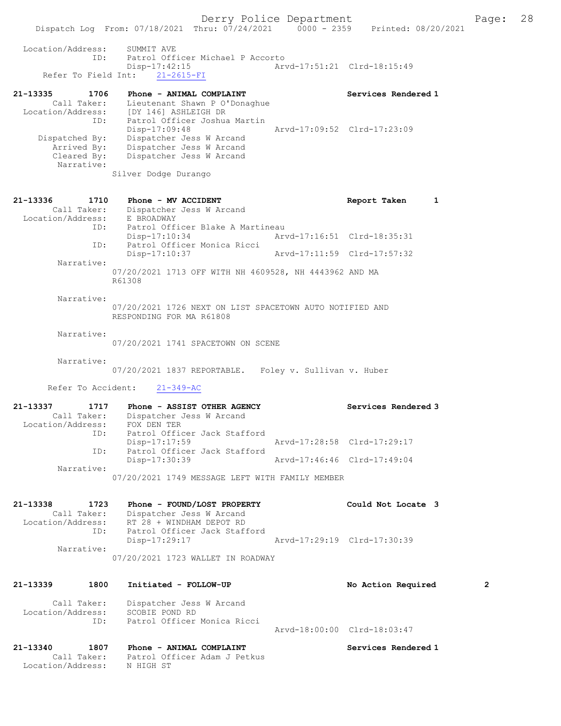Dispatch Log From: 07/18/2021 Thru: 07/24/2021 0000 - 2359 Printed: 08/20/2021 Location/Address: SUMMIT AVE ID: Patrol Officer Michael P Accorto Disp-17:42:15 Arvd-17:51:21 Clrd-18:15:49 Refer To Field Int: 21-2615-FI 21-13335 1706 Phone - ANIMAL COMPLAINT Number of Services Rendered 1 Call Taker: Lieutenant Shawn P O'Donaghue Location/Address: [DY 146] ASHLEIGH DR ID: Patrol Officer Joshua Martin Disp-17:09:48 Arvd-17:09:52 Clrd-17:23:09 Dispatched By: Dispatcher Jess W Arcand Arrived By: Dispatcher Jess W Arcand Cleared By: Dispatcher Jess W Arcand Narrative: Silver Dodge Durango 21-13336 1710 Phone - MV ACCIDENT 1 21-13336 Report Taken 1 Call Taker: Dispatcher Jess W Arcand Location/Address: E BROADWAY ID: Patrol Officer Blake A Martineau Disp-17:10:34 Arvd-17:16:51 Clrd-18:35:31 ID: Patrol Officer Monica Ricci<br>Disp-17:10:37 Arvd-17:11:59 Clrd-17:57:32 Narrative: 07/20/2021 1713 OFF WITH NH 4609528, NH 4443962 AND MA R61308 Narrative: 07/20/2021 1726 NEXT ON LIST SPACETOWN AUTO NOTIFIED AND RESPONDING FOR MA R61808 Narrative: 07/20/2021 1741 SPACETOWN ON SCENE Narrative: 07/20/2021 1837 REPORTABLE. Foley v. Sullivan v. Huber Refer To Accident: 21-349-AC 21-13337 1717 Phone - ASSIST OTHER AGENCY Services Rendered 3 Call Taker: Dispatcher Jess W Arcand Location/Address: FOX DEN TER ID: Patrol Officer Jack Stafford Disp-17:17:59 Arvd-17:28:58 Clrd-17:29:17 ID: Patrol Officer Jack Stafford Disp-17:30:39 Arvd-17:46:46 Clrd-17:49:04 Narrative: 07/20/2021 1749 MESSAGE LEFT WITH FAMILY MEMBER 21-13338 1723 Phone - FOUND/LOST PROPERTY Could Not Locate 3 Call Taker: Dispatcher Jess W Arcand Location/Address: RT 28 + WINDHAM DEPOT RD ID: Patrol Officer Jack Stafford Disp-17:29:17 Arvd-17:29:19 Clrd-17:30:39 Narrative: 07/20/2021 1723 WALLET IN ROADWAY 21-13339 1800 Initiated - FOLLOW-UP No Action Required 2 Call Taker: Dispatcher Jess W Arcand Location/Address: SCOBIE POND RD ID: Patrol Officer Monica Ricci Arvd-18:00:00 Clrd-18:03:47 21-13340 1807 Phone - ANIMAL COMPLAINT Services Rendered 1 Call Taker: Patrol Officer Adam J Petkus

Location/Address: N HIGH ST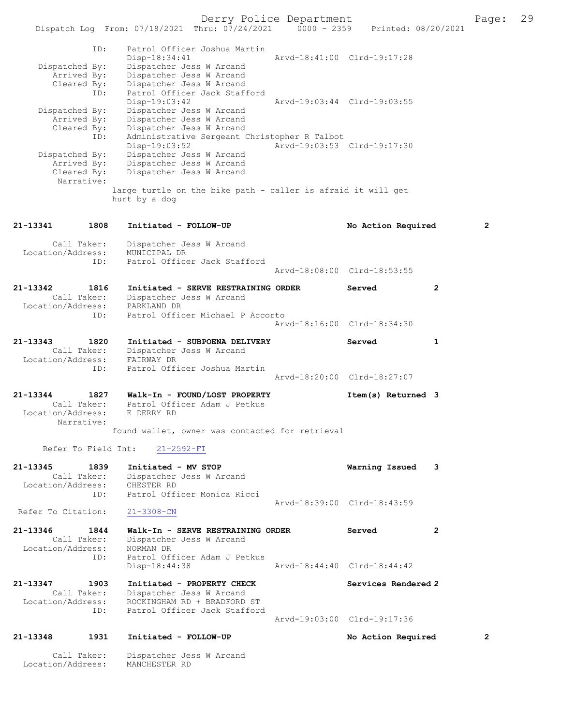|                                  |            | Dispatch Log From: 07/18/2021 Thru: 07/24/2021                                | $0000 - 2359$ | Printed: 08/20/2021         |              |   |
|----------------------------------|------------|-------------------------------------------------------------------------------|---------------|-----------------------------|--------------|---|
|                                  | ID:        | Patrol Officer Joshua Martin<br>$Disp-18:34:41$                               |               | Arvd-18:41:00 Clrd-19:17:28 |              |   |
| Dispatched By:                   |            | Dispatcher Jess W Arcand                                                      |               |                             |              |   |
| Arrived By:<br>Cleared By:       |            | Dispatcher Jess W Arcand<br>Dispatcher Jess W Arcand                          |               |                             |              |   |
|                                  | ID:        | Patrol Officer Jack Stafford<br>Disp-19:03:42                                 |               | Arvd-19:03:44 Clrd-19:03:55 |              |   |
| Dispatched By:<br>Arrived By:    |            | Dispatcher Jess W Arcand<br>Dispatcher Jess W Arcand                          |               |                             |              |   |
| Cleared By:                      |            | Dispatcher Jess W Arcand                                                      |               |                             |              |   |
|                                  | ID:        | Administrative Sergeant Christopher R Talbot                                  |               |                             |              |   |
| Dispatched By:                   |            | Disp-19:03:52<br>Dispatcher Jess W Arcand                                     |               | Arvd-19:03:53 Clrd-19:17:30 |              |   |
| Arrived By:                      |            | Dispatcher Jess W Arcand                                                      |               |                             |              |   |
| Cleared By:                      | Narrative: | Dispatcher Jess W Arcand                                                      |               |                             |              |   |
|                                  |            | large turtle on the bike path - caller is afraid it will get<br>hurt by a dog |               |                             |              |   |
| 21-13341                         | 1808       | Initiated - FOLLOW-UP                                                         |               | No Action Required          |              | 2 |
| Call Taker:<br>Location/Address: |            | Dispatcher Jess W Arcand<br>MUNICIPAL DR                                      |               |                             |              |   |
|                                  | ID:        | Patrol Officer Jack Stafford                                                  |               | Arvd-18:08:00 Clrd-18:53:55 |              |   |
| 21-13342<br>Call Taker:          | 1816       | Initiated - SERVE RESTRAINING ORDER<br>Dispatcher Jess W Arcand               |               | Served                      | $\mathbf{2}$ |   |
| Location/Address:                | ID:        | PARKLAND DR<br>Patrol Officer Michael P Accorto                               |               |                             |              |   |
|                                  |            |                                                                               |               | Arvd-18:16:00 Clrd-18:34:30 |              |   |
| 21-13343                         | 1820       | Initiated - SUBPOENA DELIVERY                                                 |               | Served                      | 1            |   |
| Call Taker:                      |            | Dispatcher Jess W Arcand                                                      |               |                             |              |   |
| Location/Address:                | ID:        | FAIRWAY DR<br>Patrol Officer Joshua Martin                                    |               |                             |              |   |
|                                  |            |                                                                               |               | Arvd-18:20:00 Clrd-18:27:07 |              |   |
| 21-13344                         | 1827       | Walk-In - FOUND/LOST PROPERTY                                                 |               | Item(s) Returned 3          |              |   |
| Call Taker:                      |            | Patrol Officer Adam J Petkus                                                  |               |                             |              |   |
| Location/Address:                | Narrative: | E DERRY RD                                                                    |               |                             |              |   |
|                                  |            | found wallet, owner was contacted for retrieval                               |               |                             |              |   |
| Refer To Field Int:              |            | $21 - 2592 - FI$                                                              |               |                             |              |   |
| 21-13345                         | 1839       | Initiated - MV STOP                                                           |               | Warning Issued              | 3            |   |
| Call Taker:<br>Location/Address: |            | Dispatcher Jess W Arcand<br>CHESTER RD                                        |               |                             |              |   |
|                                  | ID:        | Patrol Officer Monica Ricci                                                   |               |                             |              |   |
| Refer To Citation:               |            | $21 - 3308 - CN$                                                              |               | Arvd-18:39:00 Clrd-18:43:59 |              |   |
|                                  |            |                                                                               |               |                             |              |   |
| 21-13346<br>Call Taker:          | 1844       | Walk-In - SERVE RESTRAINING ORDER<br>Dispatcher Jess W Arcand                 |               | Served                      | $\mathbf{2}$ |   |
| Location/Address:                |            | NORMAN DR                                                                     |               |                             |              |   |
|                                  | ID:        | Patrol Officer Adam J Petkus<br>Disp-18:44:38                                 |               | Arvd-18:44:40 Clrd-18:44:42 |              |   |
|                                  |            |                                                                               |               |                             |              |   |
| 21-13347<br>Call Taker:          | 1903       | Initiated - PROPERTY CHECK<br>Dispatcher Jess W Arcand                        |               | Services Rendered 2         |              |   |
| Location/Address:                |            | ROCKINGHAM RD + BRADFORD ST                                                   |               |                             |              |   |
|                                  | ID:        | Patrol Officer Jack Stafford                                                  |               | Arvd-19:03:00 Clrd-19:17:36 |              |   |
|                                  |            |                                                                               |               |                             |              |   |
| 21-13348                         | 1931       | Initiated - FOLLOW-UP                                                         |               | No Action Required          |              | 2 |
| Call Taker:<br>Location/Address: |            | Dispatcher Jess W Arcand<br>MANCHESTER RD                                     |               |                             |              |   |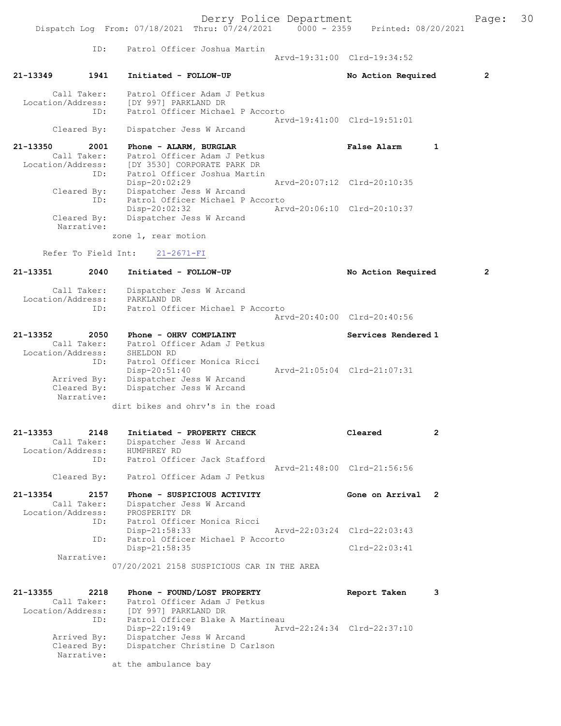Derry Police Department Fage: 30 Dispatch Log From: 07/18/2021 Thru: 07/24/2021 0000 - 2359 Printed: 08/20/2021 ID: Patrol Officer Joshua Martin Arvd-19:31:00 Clrd-19:34:52 21-13349 1941 Initiated - FOLLOW-UP No Action Required 2 Call Taker: Patrol Officer Adam J Petkus Location/Address: [DY 997] PARKLAND DR Patrol Officer Michael P Accorto Arvd-19:41:00 Clrd-19:51:01 Cleared By: Dispatcher Jess W Arcand 21-13350 2001 Phone - ALARM, BURGLAR False Alarm 1 Call Taker: Patrol Officer Adam J Petkus<br>Location/Address: [DY 3530] CORPORATE PARK DR Location/Address: [DY 3530] CORPORATE PARK DR ID: Patrol Officer Joshua Martin Disp-20:02:29 Arvd-20:07:12 Clrd-20:10:35 Cleared By: Dispatcher Jess W Arcand ID: Patrol Officer Michael P Accorto<br>Disp-20:02:32 Arw Disp-20:02:32 Arvd-20:06:10 Cleared By: Dispatcher Jess W Arcand Dispatcher Jess W Arcand Narrative: zone 1, rear motion Refer To Field Int: 21-2671-FI 21-13351 2040 Initiated - FOLLOW-UP No Action Required 2 Call Taker: Dispatcher Jess W Arcand<br>ion/Address: PARKLAND DR Location/Address: ID: Patrol Officer Michael P Accorto Arvd-20:40:00 Clrd-20:40:56 21-13352 2050 Phone - OHRV COMPLAINT Services Rendered 1 Call Taker: Patrol Officer Adam J Petkus Location/Address: SHELDON RD ESS: SAELDON ND<br>ID: Patrol Officer Monica Ricci<br>Disp-20:51:40 Disp-20:51:40 Arvd-21:05:04 Clrd-21:07:31<br>Arrived By: Dispatcher Jess W Arcand Arrived By: Dispatcher Jess W Arcand<br>Cleared By: Dispatcher Jess W Arcand Dispatcher Jess W Arcand Narrative: dirt bikes and ohrv's in the road 21-13353 2148 Initiated - PROPERTY CHECK Cleared 2 Call Taker: Dispatcher Jess W Arcand Location/Address:<br>TD: ID: Patrol Officer Jack Stafford Arvd-21:48:00 Clrd-21:56:56 Cleared By: Patrol Officer Adam J Petkus 21-13354 2157 Phone - SUSPICIOUS ACTIVITY Gone on Arrival 2 Call Taker: Dispatcher Jess W Arcand<br>ion/Address: PROSPERITY DR Location/Address: ID: Patrol Officer Monica Ricci Disp-21:58:33 Arvd-22:03:24 Clrd-22:03:43 ID: Patrol Officer Michael P Accorto Disp-21:58:35 Clrd-22:03:41 Narrative: 07/20/2021 2158 SUSPICIOUS CAR IN THE AREA 21-13355 2218 Phone - FOUND/LOST PROPERTY Report Taken 3 Call Taker: Patrol Officer Adam J Petkus Location/Address: [DY 997] PARKLAND DR<br>ID: Patrol Officer Blake A Martineau ID: Patrol Officer Blake A Martineau Disp-22:19:49 Arvd-22:24:34 Clrd-22:37:10 Arrived By: Dispatcher Jess W Arcand Cleared By: Dispatcher Christine D Carlson Narrative: at the ambulance bay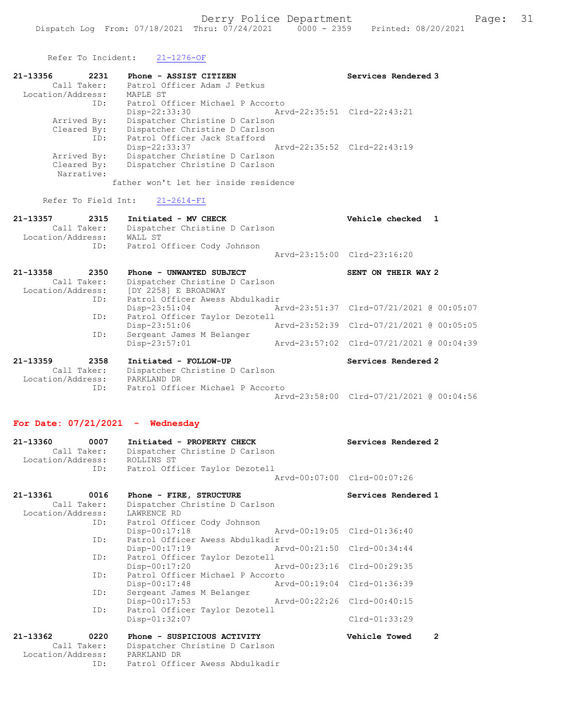Refer To Incident: 21-1276-OF

| 21-13356          | 2231        | Phone - ASSIST CITIZEN           |                             | Services Rendered 3         |
|-------------------|-------------|----------------------------------|-----------------------------|-----------------------------|
|                   | Call Taker: | Patrol Officer Adam J Petkus     |                             |                             |
| Location/Address: |             | MAPLE ST                         |                             |                             |
|                   | ID:         | Patrol Officer Michael P Accorto |                             |                             |
|                   |             | $Disp-22:33:30$                  | Arvd-22:35:51 Clrd-22:43:21 |                             |
|                   | Arrived By: | Dispatcher Christine D Carlson   |                             |                             |
|                   | Cleared By: | Dispatcher Christine D Carlson   |                             |                             |
|                   | ID:         | Patrol Officer Jack Stafford     |                             |                             |
|                   |             | $Disp-22:33:37$                  |                             | Arvd-22:35:52 Clrd-22:43:19 |
|                   | Arrived By: | Dispatcher Christine D Carlson   |                             |                             |
|                   | Cleared By: | Dispatcher Christine D Carlson   |                             |                             |
|                   | Narrative:  |                                  |                             |                             |
|                   |             |                                  |                             |                             |

father won't let her inside residence

Refer To Field Int: 21-2614-FI

| 21-13357<br>Location/Address: | 2315<br>Call Taker:<br>ID: | Initiated - MV CHECK<br>Dispatcher Christine D Carlson<br>WALL ST<br>Patrol Officer Cody Johnson |                             | Vehicle checked 1   |  |
|-------------------------------|----------------------------|--------------------------------------------------------------------------------------------------|-----------------------------|---------------------|--|
|                               |                            |                                                                                                  | Aryd-23:15:00 Clrd-23:16:20 |                     |  |
| 21-13358<br>Location/Address: | 2350<br>Call Taker:        | Phone - UNWANTED SUBJECT<br>Dispatcher Christine D Carlson<br>[DY 2258] E BROADWAY               |                             | SENT ON THEIR WAY 2 |  |

| 21-13359 | 2358<br>Call Taker. | Initiated - FOLLOW-UP<br>Dienatcher Christine D Carlson | Services Rendered 2                      |  |
|----------|---------------------|---------------------------------------------------------|------------------------------------------|--|
|          | ID:                 | Sergeant James M Belanger<br>$Disp-23:57:01$            | Arvd-23:57:02 Clrd-07/21/2021 @ 00:04:39 |  |
|          |                     | $Disp-23:51:06$                                         | Arvd-23:52:39 Clrd-07/21/2021 @ 00:05:05 |  |
|          | ID:                 | Patrol Officer Taylor Dezotell                          |                                          |  |
|          |                     | $Disp-23:51:04$                                         | Arvd-23:51:37 Clrd-07/21/2021 @ 00:05:07 |  |
|          | ID:                 | Patrol Officer Awess Abdulkadir                         |                                          |  |

 Call Taker: Dispatcher Christine D Carlson Location/Address: PARKLAND DR ID: Patrol Officer Michael P Accorto Arvd-23:58:00 Clrd-07/21/2021 @ 00:04:56

## For Date: 07/21/2021 - Wednesday

| 21-13360          | 0007        | Initiated - PROPERTY CHECK     | Services Rendered 2         |
|-------------------|-------------|--------------------------------|-----------------------------|
|                   | Call Taker: | Dispatcher Christine D Carlson |                             |
| Location/Address: |             | ROLLINS ST                     |                             |
|                   | ID:         | Patrol Officer Taylor Dezotell |                             |
|                   |             |                                | Arvd-00:07:00 Clrd-00:07:26 |
| 21-13361          | 0016        | Phone - FIRE, STRUCTURE        | Services Rendered 1         |

|                               | $11010 - 11107$ , $011001010$             |                             |                      |                          |  |
|-------------------------------|-------------------------------------------|-----------------------------|----------------------|--------------------------|--|
| Call Taker:                   | Dispatcher Christine D Carlson            |                             |                      |                          |  |
| Location/Address: LAWRENCE RD |                                           |                             |                      |                          |  |
|                               | ID: Patrol Officer Cody Johnson           |                             |                      |                          |  |
|                               | Disp-00:17:18 Arvd-00:19:05 Clrd-01:36:40 |                             |                      |                          |  |
| ID:                           | Patrol Officer Awess Abdulkadir           |                             |                      |                          |  |
|                               | $Disp-00:17:19$                           | Arvd-00:21:50 Clrd-00:34:44 |                      |                          |  |
| ID:                           | Patrol Officer Taylor Dezotell            |                             |                      |                          |  |
|                               | Disp-00:17:20                             | Arvd-00:23:16 Clrd-00:29:35 |                      |                          |  |
| ID:                           | Patrol Officer Michael P Accorto          |                             |                      |                          |  |
|                               | $Disp-00:17:48$                           | Arvd-00:19:04 Clrd-01:36:39 |                      |                          |  |
| ID:                           | Sergeant James M Belanger                 |                             |                      |                          |  |
|                               | Disp-00:17:53                             | Arvd-00:22:26 Clrd-00:40:15 |                      |                          |  |
| ID:                           | Patrol Officer Taylor Dezotell            |                             |                      |                          |  |
|                               | $Disp-01:32:07$                           |                             | Clrd-01:33:29        |                          |  |
| 21-13362<br>0220              | Phone - SUSPICIOUS ACTIVITY               |                             | <b>Vehicle Towed</b> | $\overline{\phantom{a}}$ |  |
| Call Taker:                   | Dispatcher Christine D Carlson            |                             |                      |                          |  |
| Location/Address:             | PARKLAND DR                               |                             |                      |                          |  |
| ID:                           | Patrol Officer Awess Abdulkadir           |                             |                      |                          |  |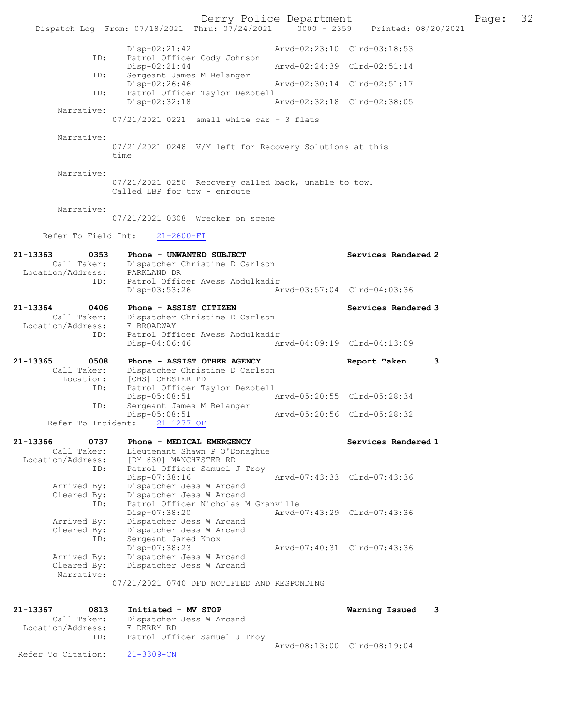Derry Police Department The Page: 32 Dispatch Log From: 07/18/2021 Thru: 07/24/2021 0000 - 2359 Printed: 08/20/2021 Disp-02:21:42 Arvd-02:23:10 Clrd-03:18:53 ID: Patrol Officer Cody Johnson<br>Disp-02:21:44 Disp-02:21:44 Arvd-02:24:39 Clrd-02:51:14 ID: Sergeant James M Belanger Disp-02:26:46 Arvd-02:30:14 Clrd-02:51:17 ID: Patrol Officer Taylor Dezotell Disp-02:32:18 Arvd-02:32:18 Clrd-02:38:05 Narrative: 07/21/2021 0221 small white car - 3 flats Narrative: 07/21/2021 0248 V/M left for Recovery Solutions at this time Narrative: 07/21/2021 0250 Recovery called back, unable to tow. Called LBP for tow - enroute Narrative: 07/21/2021 0308 Wrecker on scene Refer To Field Int: 21-2600-FI 21-13363 0353 Phone - UNWANTED SUBJECT Subsets Services Rendered 2 Call Taker: Dispatcher Christine D Carlson Location/Address: PARKLAND DR ID: Patrol Officer Awess Abdulkadir Disp-03:53:26 Arvd-03:57:04 Clrd-04:03:36 21-13364 0406 Phone - ASSIST CITIZEN Services Rendered 3 Call Taker: Dispatcher Christine D Carlson Location/Address: E BROADWAY ID: Patrol Officer Awess Abdulkadir Disp-04:06:46 Arvd-04:09:19 Clrd-04:13:09 21-13365 0508 Phone - ASSIST OTHER AGENCY Report Taken 3 Call Taker: Dispatcher Christine D Carlson Location: [CHS] CHESTER PD ID: Patrol Officer Taylor Dezotell Disp-05:08:51 Arvd-05:20:55 Clrd-05:28:34 ID: Sergeant James M Belanger Disp-05:08:51 Arvd-05:20:56 Clrd-05:28:32 Refer To Incident: 21-1277-OF 21-13366 0737 Phone - MEDICAL EMERGENCY Services Rendered 1 Call Taker: Lieutenant Shawn P O'Donaghue Location/Address: [DY 830] MANCHESTER RD ID: Patrol Officer Samuel J Troy Disp-07:38:16 Arvd-07:43:33 Clrd-07:43:36 Arrived By: Dispatcher Jess W Arcand Cleared By: Dispatcher Jess W Arcand ID: Patrol Officer Nicholas M Granville<br>Disp-07:38:20 Arvd-0 Disp-07:38:20 Arvd-07:43:29 Clrd-07:43:36 Arrived By: Dispatcher Jess W Arcand Cleared By: Dispatcher Jess W Arcand ID: Sergeant Jared Knox Disp-07:38:23 Arvd-07:40:31 Clrd-07:43:36 Arrived By: Dispatcher Jess W Arcand Cleared By: Dispatcher Jess W Arcand Narrative: 07/21/2021 0740 DFD NOTIFIED AND RESPONDING 21-13367 0813 Initiated - MV STOP Warning Issued 3 Call Taker: Dispatcher Jess W Arcand Location/Address: E DERRY RD ID: Patrol Officer Samuel J Troy Arvd-08:13:00 Clrd-08:19:04 Refer To Citation: 21-3309-CN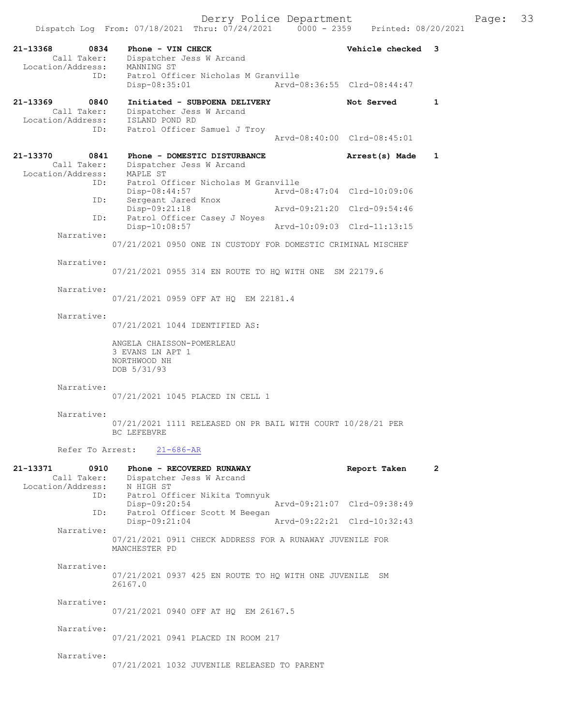| 21-13368<br>0834<br>Call Taker:<br>Location/Address:                  | Phone - VIN CHECK<br>Dispatcher Jess W Arcand<br>MANNING ST                                                 | Vehicle checked             | $\overline{\mathbf{3}}$ |
|-----------------------------------------------------------------------|-------------------------------------------------------------------------------------------------------------|-----------------------------|-------------------------|
| ID:                                                                   | Patrol Officer Nicholas M Granville<br>$Disp-08:35:01$                                                      | Arvd-08:36:55 Clrd-08:44:47 |                         |
| 21-13369<br>0840<br>Call Taker:<br>Location/Address:<br>ID:           | Initiated - SUBPOENA DELIVERY<br>Dispatcher Jess W Arcand<br>ISLAND POND RD<br>Patrol Officer Samuel J Troy | Not Served                  | 1                       |
|                                                                       |                                                                                                             | Arvd-08:40:00 Clrd-08:45:01 |                         |
| 21-13370<br>0841<br>Call Taker:<br>Location/Address:                  | Phone - DOMESTIC DISTURBANCE<br>Dispatcher Jess W Arcand<br>MAPLE ST                                        | Arrest(s) Made              | $\mathbf{1}$            |
| ID:                                                                   | Patrol Officer Nicholas M Granville<br>Disp-08:44:57                                                        | Arvd-08:47:04 Clrd-10:09:06 |                         |
| ID:                                                                   | Sergeant Jared Knox<br>Disp-09:21:18                                                                        | Arvd-09:21:20 Clrd-09:54:46 |                         |
| ID:                                                                   | Patrol Officer Casey J Noyes<br>$Disp-10:08:57$                                                             | Arvd-10:09:03 Clrd-11:13:15 |                         |
| Narrative:                                                            | 07/21/2021 0950 ONE IN CUSTODY FOR DOMESTIC CRIMINAL MISCHEF                                                |                             |                         |
| Narrative:                                                            | 07/21/2021 0955 314 EN ROUTE TO HQ WITH ONE SM 22179.6                                                      |                             |                         |
| Narrative:                                                            | 07/21/2021 0959 OFF AT HQ EM 22181.4                                                                        |                             |                         |
| Narrative:                                                            | 07/21/2021 1044 IDENTIFIED AS:                                                                              |                             |                         |
|                                                                       | ANGELA CHAISSON-POMERLEAU<br>3 EVANS LN APT 1<br>NORTHWOOD NH<br>DOB 5/31/93                                |                             |                         |
| Narrative:                                                            | 07/21/2021 1045 PLACED IN CELL 1                                                                            |                             |                         |
| Narrative:                                                            | 07/21/2021 1111 RELEASED ON PR BAIL WITH COURT 10/28/21 PER<br>BC LEFEBVRE                                  |                             |                         |
|                                                                       | Refer To Arrest: 21-686-AR                                                                                  |                             |                         |
| 21–13371<br>0910<br>Call Taker:<br>Location/Address: N HIGH ST<br>ID: | Phone - RECOVERED RUNAWAY<br>Dispatcher Jess W Arcand<br>Patrol Officer Nikita Tomnyuk                      | Report Taken                | $\mathbf{2}$            |
| ID:                                                                   | $Disp-09:20:54$<br>Patrol Officer Scott M Beegan                                                            | Arvd-09:21:07 Clrd-09:38:49 |                         |
| Narrative:                                                            | Disp-09:21:04                                                                                               | Arvd-09:22:21 Clrd-10:32:43 |                         |
|                                                                       | 07/21/2021 0911 CHECK ADDRESS FOR A RUNAWAY JUVENILE FOR<br>MANCHESTER PD                                   |                             |                         |
| Narrative:                                                            | 07/21/2021 0937 425 EN ROUTE TO HQ WITH ONE JUVENILE SM<br>26167.0                                          |                             |                         |
| Narrative:                                                            | 07/21/2021 0940 OFF AT HQ EM 26167.5                                                                        |                             |                         |
| Narrative:                                                            | 07/21/2021 0941 PLACED IN ROOM 217                                                                          |                             |                         |
| Narrative:                                                            | 07/21/2021 1032 JUVENILE RELEASED TO PARENT                                                                 |                             |                         |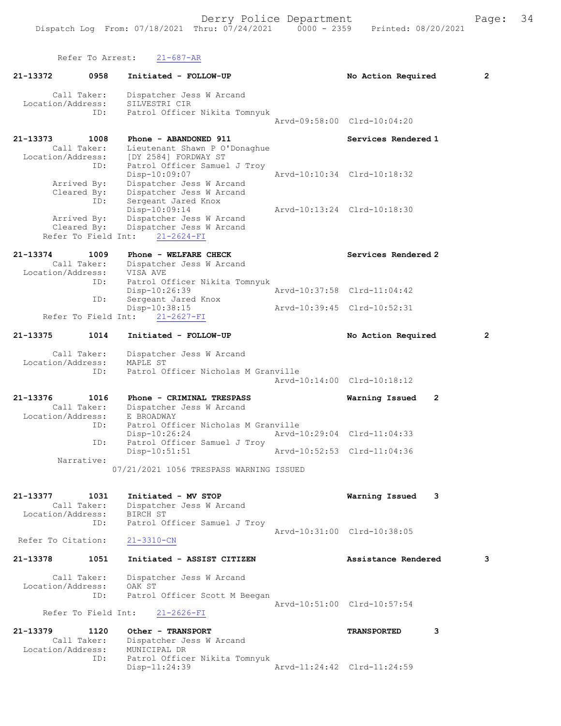Refer To Arrest: 21-687-AR

| 21-13372           | 0958                               | Initiated - FOLLOW-UP                                                       | No Action Required          |   | $\overline{2}$ |
|--------------------|------------------------------------|-----------------------------------------------------------------------------|-----------------------------|---|----------------|
| Location/Address:  | Call Taker:                        | Dispatcher Jess W Arcand<br>SILVESTRI CIR                                   |                             |   |                |
|                    | ID:                                | Patrol Officer Nikita Tomnyuk                                               | Arvd-09:58:00 Clrd-10:04:20 |   |                |
| 21-13373           | 1008<br>Call Taker:                | Phone - ABANDONED 911<br>Lieutenant Shawn P O'Donaghue                      | Services Rendered 1         |   |                |
| Location/Address:  | ID:                                | [DY 2584] FORDWAY ST<br>Patrol Officer Samuel J Troy                        |                             |   |                |
|                    | Arrived By:<br>Cleared By:         | Disp-10:09:07<br>Dispatcher Jess W Arcand<br>Dispatcher Jess W Arcand       | Aryd-10:10:34 Clrd-10:18:32 |   |                |
|                    | ID:<br>Arrived By:                 | Sergeant Jared Knox<br>Disp-10:09:14<br>Dispatcher Jess W Arcand            | Arvd-10:13:24 Clrd-10:18:30 |   |                |
|                    | Cleared By:<br>Refer To Field Int: | Dispatcher Jess W Arcand<br>$21 - 2624 - FI$                                |                             |   |                |
| 21-13374           | 1009<br>Call Taker:                | Phone - WELFARE CHECK                                                       | Services Rendered 2         |   |                |
| Location/Address:  |                                    | Dispatcher Jess W Arcand<br>VISA AVE                                        |                             |   |                |
|                    | ID:<br>ID:                         | Patrol Officer Nikita Tomnyuk<br>Disp-10:26:39<br>Sergeant Jared Knox       | Arvd-10:37:58 Clrd-11:04:42 |   |                |
|                    | Refer To Field Int:                | Disp-10:38:15<br>$21 - 2627 - FI$                                           | Arvd-10:39:45 Clrd-10:52:31 |   |                |
| 21-13375           | 1014                               | Initiated - FOLLOW-UP                                                       | No Action Required          |   | $\overline{2}$ |
| Location/Address:  | Call Taker:<br>ID:                 | Dispatcher Jess W Arcand<br>MAPLE ST<br>Patrol Officer Nicholas M Granville |                             |   |                |
|                    |                                    |                                                                             | Arvd-10:14:00 Clrd-10:18:12 |   |                |
| 21-13376           | 1016<br>Call Taker:                | Phone - CRIMINAL TRESPASS<br>Dispatcher Jess W Arcand                       | Warning Issued              | 2 |                |
| Location/Address:  | ID:                                | E BROADWAY<br>Patrol Officer Nicholas M Granville<br>$Disp-10:26:24$        | Arvd-10:29:04 Clrd-11:04:33 |   |                |
|                    | ID:                                | Patrol Officer Samuel J Troy<br>$Disp-10:51:51$                             | Arvd-10:52:53 Clrd-11:04:36 |   |                |
|                    | Narrative:                         | 07/21/2021 1056 TRESPASS WARNING ISSUED                                     |                             |   |                |
| 21-13377           | 1031                               | Initiated - MV STOP                                                         | Warning Issued              | 3 |                |
| Location/Address:  | Call Taker:                        | Dispatcher Jess W Arcand<br>BIRCH ST                                        |                             |   |                |
| Refer To Citation: | ID:                                | Patrol Officer Samuel J Troy<br>$21 - 3310 - CN$                            | Aryd-10:31:00 Clrd-10:38:05 |   |                |
| 21-13378           | 1051                               | Initiated - ASSIST CITIZEN                                                  | Assistance Rendered         |   | 3              |
|                    | Call Taker:                        | Dispatcher Jess W Arcand                                                    |                             |   |                |
| Location/Address:  | ID:                                | OAK ST<br>Patrol Officer Scott M Beegan                                     |                             |   |                |
|                    | Refer To Field Int:                | $21 - 2626 - FI$                                                            | Arvd-10:51:00 Clrd-10:57:54 |   |                |
| 21-13379           | 1120                               | Other - TRANSPORT                                                           | TRANSPORTED                 | 3 |                |
| Location/Address:  | Call Taker:                        | Dispatcher Jess W Arcand<br>MUNICIPAL DR                                    |                             |   |                |
|                    | ID:                                | Patrol Officer Nikita Tomnyuk<br>Disp-11:24:39                              | Arvd-11:24:42 Clrd-11:24:59 |   |                |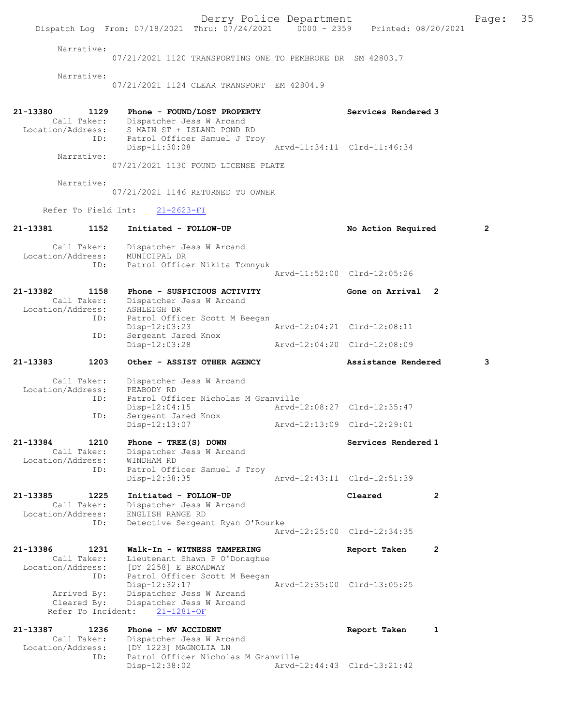Derry Police Department Fage: 35 Dispatch Log From: 07/18/2021 Thru: 07/24/2021 0000 - 2359 Printed: 08/20/2021 Narrative: 07/21/2021 1120 TRANSPORTING ONE TO PEMBROKE DR SM 42803.7 Narrative: 07/21/2021 1124 CLEAR TRANSPORT EM 42804.9 21-13380 1129 Phone - FOUND/LOST PROPERTY Services Rendered 3 Call Taker: Dispatcher Jess W Arcand Location/Address: S MAIN ST + ISLAND POND RD ID: Patrol Officer Samuel J Troy Disp-11:30:08 Arvd-11:34:11 Clrd-11:46:34 Narrative: 07/21/2021 1130 FOUND LICENSE PLATE Narrative: 07/21/2021 1146 RETURNED TO OWNER Refer To Field Int: 21-2623-FI 21-13381 1152 Initiated - FOLLOW-UP No Action Required 2 Call Taker: Dispatcher Jess W Arcand Location/Address: MUNICIPAL DR ID: Patrol Officer Nikita Tomnyuk Arvd-11:52:00 Clrd-12:05:26 21-13382 1158 Phone - SUSPICIOUS ACTIVITY Cone on Arrival 2 Call Taker: Dispatcher Jess W Arcand Location/Address: ASHLEIGH DR ID: Patrol Officer Scott M Beegan Disp-12:03:23 Arvd-12:04:21 Clrd-12:08:11<br>ID: Sergeant Jared Knox Sergeant Jared Knox<br>Disp-12:03:28 Disp-12:03:28 Arvd-12:04:20 Clrd-12:08:09 21-13383 1203 Other - ASSIST OTHER AGENCY Assistance Rendered 3 Call Taker: Dispatcher Jess W Arcand Location/Address: PEABODY RD ID: Patrol Officer Nicholas M Granville Disp-12:04:15 Arvd-12:08:27 Clrd-12:35:47 ID: Sergeant Jaros<br>Disp-12:13:07 Disp-12:0:11<br>Sergeant Jared Knox<br>- 12:13:09 Clrd-12:29:01 21-13384 1210 Phone - TREE(S) DOWN Services Rendered 1 Call Taker: Dispatcher Jess W Arcand Location/Address: WINDHAM RD ID: Patrol Officer Samuel J Troy Disp-12:38:35 Arvd-12:43:11 Clrd-12:51:39 21-13385 1225 Initiated - FOLLOW-UP Cleared 2 Call Taker: Dispatcher Jess W Arcand Location/Address: ENGLISH RANGE RD ID: Detective Sergeant Ryan O'Rourke Arvd-12:25:00 Clrd-12:34:35 21-13386 1231 Walk-In - WITNESS TAMPERING Report Taken 2 Call Taker: Lieutenant Shawn P O'Donaghue Location/Address: [DY 2258] E BROADWAY ID: Patrol Officer Scott M Beegan Disp-12:32:17 Arvd-12:35:00 Clrd-13:05:25 Arrived By: Dispatcher Jess W Arcand Cleared By: Dispatcher Jess W Arcand Refer To Incident: 21-1281-OF 21-13387 1236 Phone - MV ACCIDENT Report Taken 1 Call Taker: Dispatcher Jess W Arcand Location/Address: [DY 1223] MAGNOLIA LN ID: Patrol Officer Nicholas M Granville Disp-12:38:02 Arvd-12:44:43 Clrd-13:21:42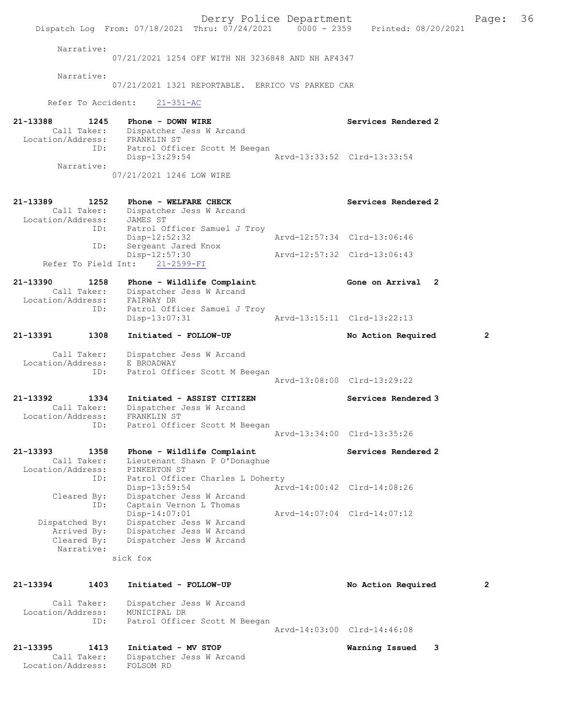Derry Police Department The Page: 36 Dispatch Log From: 07/18/2021 Thru: 07/24/2021 0000 - 2359 Printed: 08/20/2021 Narrative: 07/21/2021 1254 OFF WITH NH 3236848 AND NH AF4347 Narrative: 07/21/2021 1321 REPORTABLE. ERRICO VS PARKED CAR Refer To Accident: 21-351-AC 21-13388 1245 Phone - DOWN WIRE North Services Rendered 2 Call Taker: Dispatcher Jess W Arcand Location/Address: FRANKLIN ST ID: Patrol Officer Scott M Beegan<br>Disp-13:29:54 Disp-13:29:54 Arvd-13:33:52 Clrd-13:33:54 Narrative: 07/21/2021 1246 LOW WIRE 21-13389 1252 Phone - WELFARE CHECK Services Rendered 2 Call Taker: Dispatcher Jess W Arcand Location/Address: JAMES ST ID: Patrol Officer Samuel J Troy<br>Disp-12:52:32 Disp-12:52:32 Arvd-12:57:34 Clrd-13:06:46 ID: Sergeant Jared Knox Disp-12:57:30 Arvd-12:57:32 Clrd-13:06:43 Refer To Field Int: 21-2599-FI 21-13390 1258 Phone - Wildlife Complaint Gone on Arrival 2 Call Taker: Dispatcher Jess W Arcand<br>Cion/Address: FAIRWAY DR Location/Address:<br>ID: Patrol Officer Samuel J Troy Disp-13:07:31 Arvd-13:15:11 Clrd-13:22:13 21-13391 1308 Initiated - FOLLOW-UP No Action Required 2 Call Taker: Dispatcher Jess W Arcand Location/Address: E BROADWAY ID: Patrol Officer Scott M Beegan Arvd-13:08:00 Clrd-13:29:22 21-13392 1334 Initiated - ASSIST CITIZEN Services Rendered 3 Call Taker: Dispatcher Jess W Arcand<br>tion/Address: FRANKLIN ST Location/Address:<br>ID: Patrol Officer Scott M Beegan Arvd-13:34:00 Clrd-13:35:26 21-13393 1358 Phone - Wildlife Complaint Services Rendered 2 Call Taker: Lieutenant Shawn P O'Donaghue Location/Address: PINKERTON ST ID: Patrol Officer Charles L Doherty Disp-13:59:54 Arvd-14:00:42 Clrd-14:08:26 Cleared By: Dispatcher Jess W Arcand ID: Captain Vernon L Thomas<br>Disp-14:07:01 Disp-14:07:01 Arvd-14:07:04 Clrd-14:07:12 Dispatched By: Dispatcher Jess W Arcand Arrived By: Dispatcher Jess W Arcand Cleared By: Dispatcher Jess W Arcand Narrative: sick fox 21-13394 1403 Initiated - FOLLOW-UP No Action Required 2 Call Taker: Dispatcher Jess W Arcand Location/Address: MUNICIPAL DR ID: Patrol Officer Scott M Beegan Arvd-14:03:00 Clrd-14:46:08 21-13395 1413 Initiated - MV STOP Warning Issued 3 Call Taker: Dispatcher Jess W Arcand Location/Address: FOLSOM RD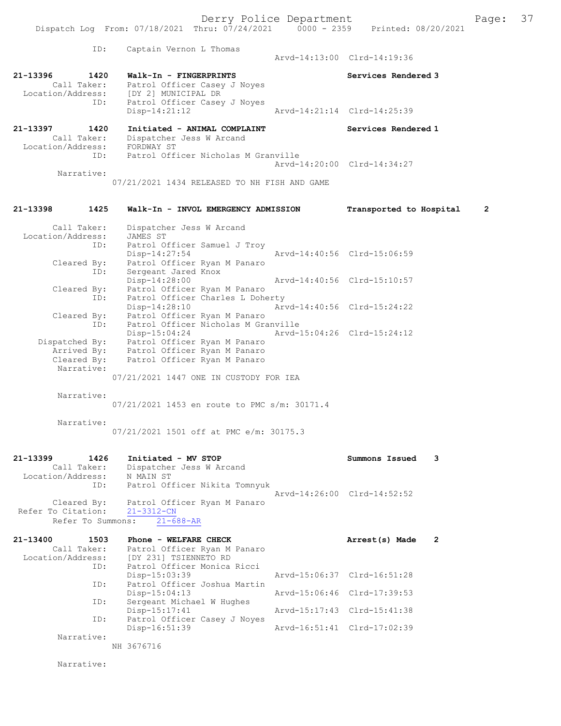|                                                      | Dispatch Log From: 07/18/2021 Thru: 07/24/2021 0000 - 2359                                            |                             | Printed: 08/20/2021         |   |
|------------------------------------------------------|-------------------------------------------------------------------------------------------------------|-----------------------------|-----------------------------|---|
| ID:                                                  | Captain Vernon L Thomas                                                                               |                             | Arvd-14:13:00 Clrd-14:19:36 |   |
| 21-13396<br>1420<br>Call Taker:                      | Walk-In - FINGERPRINTS<br>Patrol Officer Casey J Noyes<br>Location/Address: [DY 2] MUNICIPAL DR       |                             | Services Rendered 3         |   |
| ID:                                                  | Patrol Officer Casey J Noyes<br>$Disp-14:21:12$                                                       |                             | Arvd-14:21:14 Clrd-14:25:39 |   |
| 21-13397<br>1420<br>Call Taker:<br>Location/Address: | Initiated - ANIMAL COMPLAINT<br>Dispatcher Jess W Arcand<br>FORDWAY ST                                |                             | Services Rendered 1         |   |
| ID:                                                  | Patrol Officer Nicholas M Granville                                                                   |                             | Arvd-14:20:00 Clrd-14:34:27 |   |
| Narrative:                                           | 07/21/2021 1434 RELEASED TO NH FISH AND GAME                                                          |                             |                             |   |
| 21-13398<br>1425                                     | Walk-In - INVOL EMERGENCY ADMISSION                                                                   |                             | Transported to Hospital     | 2 |
| Call Taker:<br>Location/Address:                     | Dispatcher Jess W Arcand<br>JAMES ST                                                                  |                             |                             |   |
| ID:<br>Cleared By:                                   | Patrol Officer Samuel J Troy<br>Disp-14:27:54<br>Patrol Officer Ryan M Panaro                         |                             | Arvd-14:40:56 Clrd-15:06:59 |   |
| ID:<br>Cleared By:                                   | Sergeant Jared Knox<br>Disp-14:28:00<br>Patrol Officer Ryan M Panaro                                  |                             | Arvd-14:40:56 Clrd-15:10:57 |   |
| ID:<br>Cleared By:                                   | Patrol Officer Charles L Doherty<br>Disp-14:28:10<br>Patrol Officer Ryan M Panaro                     |                             | Arvd-14:40:56 Clrd-15:24:22 |   |
| ID:<br>Arrived By:                                   | Patrol Officer Nicholas M Granville<br>$Disp-15:04:24$<br>Dispatched By: Patrol Officer Ryan M Panaro | Arvd-15:04:26 Clrd-15:24:12 |                             |   |
| Cleared By:<br>Narrative:                            | Patrol Officer Ryan M Panaro<br>Patrol Officer Ryan M Panaro                                          |                             |                             |   |
| Narrative:                                           | 07/21/2021 1447 ONE IN CUSTODY FOR IEA                                                                |                             |                             |   |
|                                                      | 07/21/2021 1453 en route to PMC s/m: 30171.4                                                          |                             |                             |   |
| Narrative:                                           | 07/21/2021 1501 off at PMC e/m: 30175.3                                                               |                             |                             |   |
| 21-13399<br>1426<br>Call Taker:<br>Location/Address: | Initiated - MV STOP<br>Dispatcher Jess W Arcand<br>N MAIN ST                                          |                             | Summons Issued              | 3 |
| ID:<br>Cleared By:                                   | Patrol Officer Nikita Tomnyuk<br>Patrol Officer Ryan M Panaro                                         |                             | Aryd-14:26:00 Clrd-14:52:52 |   |
| Refer To Citation:<br>Refer To Summons:              | $21 - 3312 - CN$<br>$21 - 688 - AR$                                                                   |                             |                             |   |
| 21-13400<br>1503<br>Call Taker:<br>Location/Address: | Phone - WELFARE CHECK<br>Patrol Officer Ryan M Panaro<br>[DY 231] TSIENNETO RD                        |                             | Arrest(s) Made              | 2 |
| ID:<br>ID:                                           | Patrol Officer Monica Ricci<br>Disp-15:03:39<br>Patrol Officer Joshua Martin                          |                             | Arvd-15:06:37 Clrd-16:51:28 |   |
| ID:                                                  | $Disp-15:04:13$<br>Sergeant Michael W Hughes                                                          |                             | Arvd-15:06:46 Clrd-17:39:53 |   |
| ID:                                                  | $Disp-15:17:41$<br>Patrol Officer Casey J Noyes                                                       |                             | Arvd-15:17:43 Clrd-15:41:38 |   |
| Narrative:                                           | Disp-16:51:39<br>NH 3676716                                                                           |                             | Arvd-16:51:41 Clrd-17:02:39 |   |
|                                                      |                                                                                                       |                             |                             |   |

Narrative: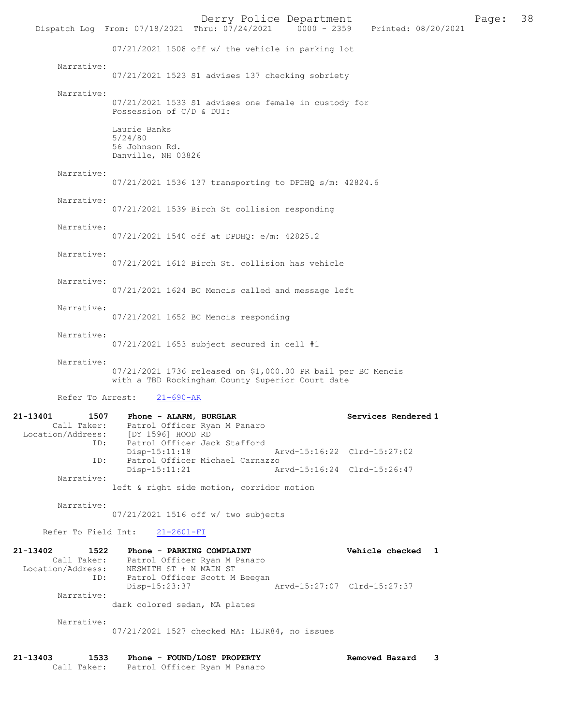Derry Police Department<br>
Page: 38 Printed: 08/20/2021 0000 - 2359 Printed: 08/20/2021 Dispatch Log From: 07/18/2021 Thru: 07/24/2021 07/21/2021 1508 off w/ the vehicle in parking lot Narrative: 07/21/2021 1523 S1 advises 137 checking sobriety Narrative: 07/21/2021 1533 S1 advises one female in custody for Possession of C/D & DUI: Laurie Banks 5/24/80 56 Johnson Rd. Danville, NH 03826 Narrative: 07/21/2021 1536 137 transporting to DPDHQ s/m: 42824.6 Narrative: 07/21/2021 1539 Birch St collision responding Narrative: 07/21/2021 1540 off at DPDHQ: e/m: 42825.2 Narrative: 07/21/2021 1612 Birch St. collision has vehicle Narrative: 07/21/2021 1624 BC Mencis called and message left Narrative: 07/21/2021 1652 BC Mencis responding Narrative: 07/21/2021 1653 subject secured in cell #1 Narrative: 07/21/2021 1736 released on \$1,000.00 PR bail per BC Mencis with a TBD Rockingham County Superior Court date Refer To Arrest: 21-690-AR 21-13401 1507 Phone - ALARM, BURGLAR Services Rendered 1 Call Taker: Patrol Officer Ryan M Panaro Location/Address: [DY 1596] HOOD RD<br>ID: Patrol Officer Jac Patrol Officer Jack Stafford<br>Disp-15:11:18 Disp-15:11:18 Arvd-15:16:22 Clrd-15:27:02<br>ID: Patrol Officer Michael Carnazzo ID: Patrol Officer Michael Carnazzo Arvd-15:16:24 Clrd-15:26:47 Narrative: left & right side motion, corridor motion Narrative: 07/21/2021 1516 off w/ two subjects Refer To Field Int: 21-2601-FI 21-13402 1522 Phone - PARKING COMPLAINT Vehicle checked 1 Call Taker: Patrol Officer Ryan M Panaro Patrol Officer Ryan M Panaro Location/Address: NESMITH ST + N MAIN ST ID: Patrol Officer Scott M Beegan<br>Disp-15:23:37 Disp-15:23:37 Arvd-15:27:07 Clrd-15:27:37 Narrative: dark colored sedan, MA plates Narrative: 07/21/2021 1527 checked MA: 1EJR84, no issues 21-13403 1533 Phone - FOUND/LOST PROPERTY Removed Hazard 3

Call Taker: Patrol Officer Ryan M Panaro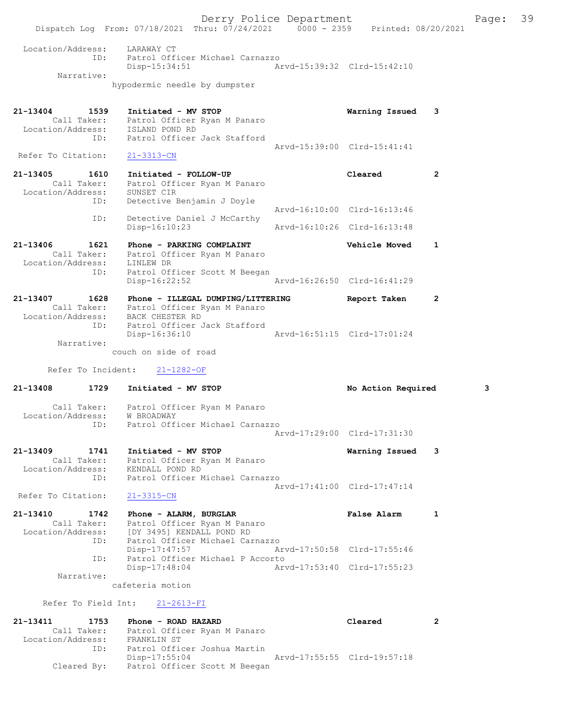Derry Police Department Fage: 39 Dispatch Log From: 07/18/2021 Thru: 07/24/2021 0000 - 2359 Printed: 08/20/2021 Location/Address: LARAWAY CT ID: Patrol Officer Michael Carnazzo Disp-15:34:51 Arvd-15:39:32 Clrd-15:42:10 Narrative: hypodermic needle by dumpster 21-13404 1539 Initiated - MV STOP Warning Issued 3 Call Taker: Patrol Officer Ryan M Panaro Location/Address: ISLAND POND RD ID: Patrol Officer Jack Stafford Arvd-15:39:00 Clrd-15:41:41 Refer To Citation: 21-3313-CN 21-13405 1610 Initiated - FOLLOW-UP Cleared 2 Call Taker: Patrol Officer Ryan M Panaro Location/Address: SUNSET CIR ID: Detective Benjamin J Doyle Arvd-16:10:00 Clrd-16:13:46 ID: Detective Daniel J McCarthy<br>Disp-16:10:23 Disp-16:10:23 Arvd-16:10:26 Clrd-16:13:48 21-13406 1621 Phone - PARKING COMPLAINT Vehicle Moved 1 Call Taker: Patrol Officer Ryan M Panaro Location/Address: LINLEW DR ID: Patrol Officer Scott M Beegan Disp-16:22:52 Arvd-16:26:50 Clrd-16:41:29 21-13407 1628 Phone - ILLEGAL DUMPING/LITTERING Report Taken 2 Call Taker: Patrol Officer Ryan M Panaro Location/Address: BACK CHESTER RD ID: Patrol Officer Jack Stafford Disp-16:36:10 Arvd-16:51:15 Clrd-17:01:24 Narrative: couch on side of road Refer To Incident: 21-1282-OF 21-13408 1729 Initiated - MV STOP No Action Required 3 Call Taker: Patrol Officer Ryan M Panaro Location/Address: W BROADWAY ID: Patrol Officer Michael Carnazzo Arvd-17:29:00 Clrd-17:31:30 21-13409 1741 Initiated - MV STOP Warning Issued 3 Call Taker: Patrol Officer Ryan M Panaro Location/Address: KENDALL POND RD ID: Patrol Officer Michael Carnazzo Arvd-17:41:00 Clrd-17:47:14 Refer To Citation: 21-3315-CN 21-13410 1742 Phone - ALARM, BURGLAR 1 False Alarm 1 Call Taker: Patrol Officer Ryan M Panaro Location/Address: [DY 3495] KENDALL POND RD ID: Patrol Officer Michael Carnazzo Disp-17:47:57 Arvd-17:50:58 Clrd-17:55:46 ID: Patrol Officer Michael P Accorto<br>Disp-17:48:04 Arv Disp-17:48:04 Arvd-17:53:40 Clrd-17:55:23 Narrative: cafeteria motion Refer To Field Int: 21-2613-FI 21-13411 1753 Phone - ROAD HAZARD Cleared 2 Call Taker: Patrol Officer Ryan M Panaro Location/Address: FRANKLIN ST ID: Patrol Officer Joshua Martin Disp-17:55:04 Arvd-17:55:55 Clrd-19:57:18

Cleared By: Patrol Officer Scott M Beegan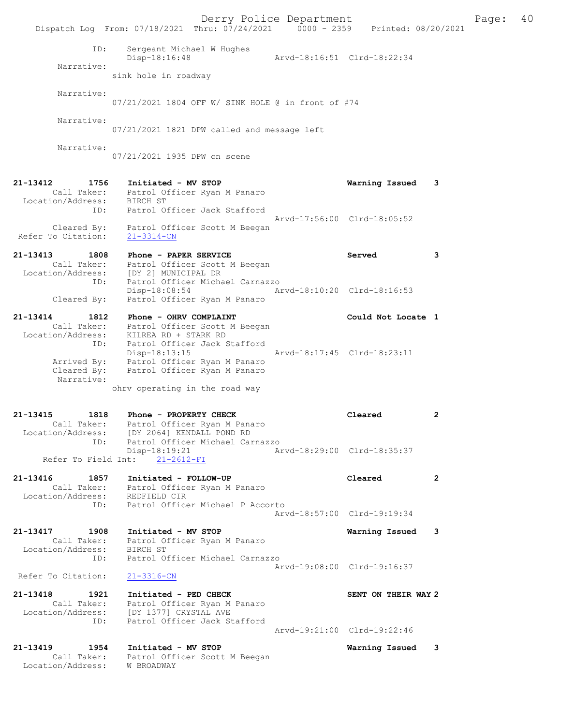|                                                             | Dispatch Log From: 07/18/2021 Thru: 07/24/2021 0000 - 2359 Printed: 08/20/2021                                                                 | Derry Police Department     |                             |              | Page: | 40 |
|-------------------------------------------------------------|------------------------------------------------------------------------------------------------------------------------------------------------|-----------------------------|-----------------------------|--------------|-------|----|
| ID:<br>Narrative:                                           | Sergeant Michael W Hughes<br>Disp-18:16:48<br>sink hole in roadway                                                                             | Arvd-18:16:51 Clrd-18:22:34 |                             |              |       |    |
| Narrative:                                                  | 07/21/2021 1804 OFF W/ SINK HOLE @ in front of #74                                                                                             |                             |                             |              |       |    |
| Narrative:                                                  | 07/21/2021 1821 DPW called and message left                                                                                                    |                             |                             |              |       |    |
| Narrative:                                                  | 07/21/2021 1935 DPW on scene                                                                                                                   |                             |                             |              |       |    |
| 21-13412<br>Location/Address: BIRCH ST                      | 1756 Initiated - MV STOP<br>Call Taker: Patrol Officer Ryan M Panaro                                                                           |                             | Warning Issued 3            |              |       |    |
| ID:<br>Cleared By:                                          | Patrol Officer Jack Stafford<br>Patrol Officer Scott M Beegan                                                                                  |                             | Arvd-17:56:00 Clrd-18:05:52 |              |       |    |
| Refer To Citation:                                          | $21 - 3314 - CN$                                                                                                                               |                             |                             |              |       |    |
| 21-13413<br>1808                                            | Phone - PAPER SERVICE<br>Call Taker: Patrol Officer Scott M Beegan<br>Location/Address: [DY 2] MUNICIPAL DR<br>Patrol Officer Michael Carnazzo |                             | Served                      | 3            |       |    |
| ID:<br>Cleared By:                                          | Disp-18:08:54<br>Patrol Officer Ryan M Panaro                                                                                                  | Arvd-18:10:20 Clrd-18:16:53 |                             |              |       |    |
| 21-13414<br>1812<br>ID:                                     | Phone - OHRV COMPLAINT<br>Call Taker: Patrol Officer Scott M Beegan<br>Location/Address: KILREA RD + STARK RD<br>Patrol Officer Jack Stafford  |                             | Could Not Locate 1          |              |       |    |
| Arrived By:<br>Cleared By:<br>Narrative:                    | $Disp-18:13:15$<br>Patrol Officer Ryan M Panaro<br>Patrol Officer Ryan M Panaro                                                                | Arvd-18:17:45 Clrd-18:23:11 |                             |              |       |    |
|                                                             | ohrv operating in the road way                                                                                                                 |                             |                             |              |       |    |
| 21-13415<br>1818                                            | Phone - PROPERTY CHECK<br>Call Taker: Patrol Officer Ryan M Panaro<br>Location/Address: [DY 2064] KENDALL POND RD                              |                             | Cleared                     | 2            |       |    |
| ID:<br>Refer To Field Int:                                  | Patrol Officer Michael Carnazzo<br>$Disp-18:19:21$<br>$21 - 2612 - FI$                                                                         |                             | Arvd-18:29:00 Clrd-18:35:37 |              |       |    |
| 21-13416<br>1857<br>Call Taker:<br>Location/Address:        | Initiated - FOLLOW-UP<br>Patrol Officer Ryan M Panaro<br>REDFIELD CIR                                                                          |                             | Cleared                     | $\mathbf{2}$ |       |    |
| ID:                                                         | Patrol Officer Michael P Accorto                                                                                                               |                             | Arvd-18:57:00 Clrd-19:19:34 |              |       |    |
| 21-13417<br>1908<br>Call Taker:<br>Location/Address:        | Initiated - MV STOP<br>Patrol Officer Ryan M Panaro<br>BIRCH ST                                                                                |                             | Warning Issued              | -3           |       |    |
| ID:<br>Refer To Citation:                                   | Patrol Officer Michael Carnazzo<br>$21 - 3316 - CN$                                                                                            |                             | Arvd-19:08:00 Clrd-19:16:37 |              |       |    |
| 21-13418<br>1921<br>Call Taker:<br>Location/Address:<br>ID: | Initiated - PED CHECK<br>Patrol Officer Ryan M Panaro<br>[DY 1377] CRYSTAL AVE<br>Patrol Officer Jack Stafford                                 |                             | SENT ON THEIR WAY 2         |              |       |    |
|                                                             |                                                                                                                                                |                             | Arvd-19:21:00 Clrd-19:22:46 |              |       |    |
| 21-13419<br>1954<br>Call Taker:<br>Location/Address:        | Initiated - MV STOP<br>Patrol Officer Scott M Beegan<br>W BROADWAY                                                                             |                             | Warning Issued              | 3            |       |    |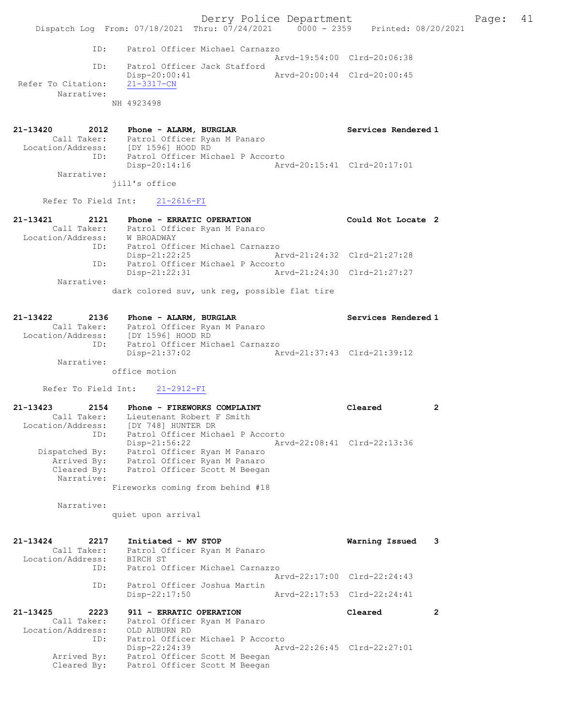Derry Police Department The Page: 41 Dispatch Log From: 07/18/2021 Thru: 07/24/2021 0000 - 2359 Printed: 08/20/2021 ID: Patrol Officer Michael Carnazzo Arvd-19:54:00 Clrd-20:06:38 ID: Patrol Officer Jack Stafford Disp-20:00:41 Arvd-20:00:44 Clrd-20:00:45 Refer To Citation: 21-3317-CN Narrative: NH 4923498 21-13420 2012 Phone - ALARM, BURGLAR Services Rendered 1 Call Taker: Patrol Officer Ryan M Panaro Location/Address: [DY 1596] HOOD RD ID: Patrol Officer Michael P Accorto Disp-20:14:16 Arvd-20:15:41 Clrd-20:17:01 Narrative: jill's office Refer To Field Int: 21-2616-FI 21-13421 2121 Phone - ERRATIC OPERATION Could Not Locate 2 Call Taker: Patrol Officer Ryan M Panaro Location/Address: W BROADWAY ID: Patrol Officer Michael Carnazzo Disp-21:22:25 Arvd-21:24:32 Clrd-21:27:28 ID: Patrol Officer Michael P Accorto Disp-21:22:31 Arvd-21:24:30 Clrd-21:27:27 Narrative: dark colored suv, unk reg, possible flat tire 21-13422 2136 Phone - ALARM, BURGLAR Services Rendered 1 Call Taker: Patrol Officer Ryan M Panaro Location/Address: [DY 1596] HOOD RD

 ID: Patrol Officer Michael Carnazzo Disp-21:37:02 Arvd-21:37:43 Clrd-21:39:12 Narrative:

office motion

Refer To Field Int: 21-2912-FI

21-13423 2154 Phone - FIREWORKS COMPLAINT Cleared 2 Call Taker: Lieutenant Robert F Smith Location/Address: [DY 748] HUNTER DR ID: Patrol Officer Michael P Accorto Disp-21:56:22 Arvd-22:08:41 Clrd-22:13:36 Dispatched By: Patrol Officer Ryan M Panaro Arrived By: Patrol Officer Ryan M Panaro Cleared By: Patrol Officer Scott M Beegan Narrative: Fireworks coming from behind #18

Narrative:

quiet upon arrival

21-13424 2217 Initiated - MV STOP Warning Issued 3 Call Taker: Patrol Officer Ryan M Panaro Location/Address: BIRCH ST ID: Patrol Officer Michael Carnazzo Arvd-22:17:00 Clrd-22:24:43 ID: Patrol Officer Joshua Martin Disp-22:17:50 Arvd-22:17:53 Clrd-22:24:41 21-13425 2223 911 - ERRATIC OPERATION Cleared 2 Call Taker: Patrol Officer Ryan M Panaro Location/Address: OLD AUBURN RD ID: Patrol Officer Michael P Accorto ID: Patrol Officer Michael P Accorto<br>Disp-22:24:39 Arvd-22:26:45 Clrd-22:27:01 Arrived By: Patrol Officer Scott M Beegan Cleared By: Patrol Officer Scott M Beegan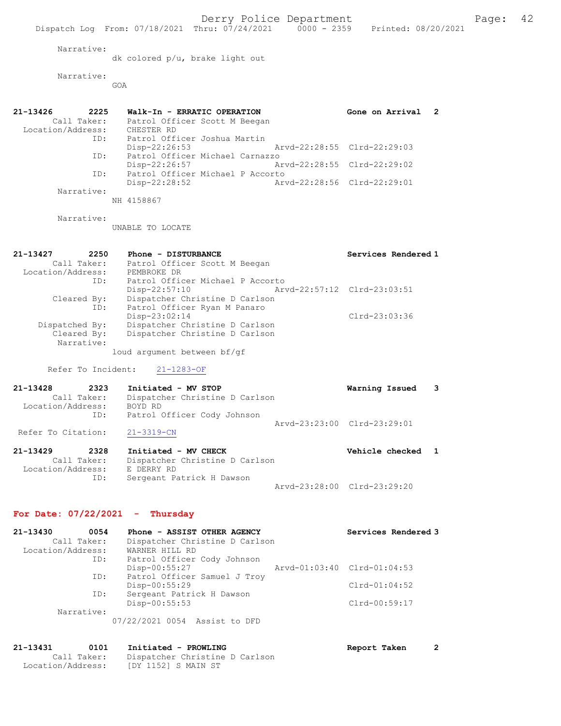Dispatch Log From: 07/18/2021 Thru: 07/24/2021 0000 - 2359 Printed: 08/20/2021

Narrative:

dk colored p/u, brake light out

 Narrative: GOA

21-13426 2225 Walk-In - ERRATIC OPERATION Gone on Arrival 2 Call Taker: Patrol Officer Scott M Beegan Location/Address: CHESTER RD ID: Patrol Officer Joshua Martin Disp-22:26:53 Arvd-22:28:55 Clrd-22:29:03 ID: Patrol Officer Michael Carnazzo Disp-22:26:57 Arvd-22:28:55 Clrd-22:29:02 ID: Patrol Officer Michael P Accorto Disp-22:28:52 Arvd-22:28:56 Clrd-22:29:01 Narrative:

NH 4158867

Narrative:

UNABLE TO LOCATE

| 21-13427<br>2250  | Phone - DISTURBANCE                            | Services Rendered 1 |
|-------------------|------------------------------------------------|---------------------|
| Call Taker:       | Patrol Officer Scott M Beegan                  |                     |
| Location/Address: | PEMBROKE DR                                    |                     |
| ID:               | Patrol Officer Michael P Accorto               |                     |
|                   | Arvd-22:57:12 Clrd-23:03:51<br>$Disp-22:57:10$ |                     |
| Cleared By:       | Dispatcher Christine D Carlson                 |                     |
| ID:               | Patrol Officer Ryan M Panaro                   |                     |
|                   | Disp-23:02:14                                  | $Clrd-23:03:36$     |
| Dispatched By:    | Dispatcher Christine D Carlson                 |                     |
| Cleared By:       | Dispatcher Christine D Carlson                 |                     |
| Narrative:        |                                                |                     |
|                   | loud argument between bf/gf                    |                     |

Refer To Incident: 21-1283-OF

| 21-13428           | 2323        | Initiated - MV STOP            | Warning Issued 3            |  |
|--------------------|-------------|--------------------------------|-----------------------------|--|
|                    | Call Taker: | Dispatcher Christine D Carlson |                             |  |
| Location/Address:  |             | BOYD RD                        |                             |  |
|                    | ID:         | Patrol Officer Cody Johnson    |                             |  |
|                    |             |                                | Aryd-23:23:00 Clrd-23:29:01 |  |
| Refer To Citation: |             | $21 - 3319 - CN$               |                             |  |

| 21-13429          | 2328        | Initiated - MV CHECK           | Vehicle checked 1           |  |
|-------------------|-------------|--------------------------------|-----------------------------|--|
|                   | Call Taker: | Dispatcher Christine D Carlson |                             |  |
| Location/Address: |             | E DERRY RD                     |                             |  |
|                   | ID:         | Sergeant Patrick H Dawson      |                             |  |
|                   |             |                                | Arvd-23:28:00 Clrd-23:29:20 |  |

## For Date: 07/22/2021 - Thursday

| 21-13430          | 0054 | Phone - ASSIST OTHER AGENCY    | Services Rendered 3         |
|-------------------|------|--------------------------------|-----------------------------|
| Call Taker:       |      | Dispatcher Christine D Carlson |                             |
| Location/Address: |      | WARNER HILL RD                 |                             |
|                   | ID:  | Patrol Officer Cody Johnson    |                             |
|                   |      | Disp-00:55:27                  | Arvd-01:03:40 Clrd-01:04:53 |
|                   | ID:  | Patrol Officer Samuel J Troy   |                             |
|                   |      | Disp-00:55:29                  | $Clrd-01:04:52$             |
|                   | ID:  | Sergeant Patrick H Dawson      |                             |
|                   |      | $Disp-00:55:53$                | Clrd-00:59:17               |
| Narrative:        |      |                                |                             |
|                   |      | 07/22/2021 0054 Assist to DFD  |                             |

21-13431 0101 Initiated - PROWLING Report Taken 2 Call Taker: Dispatcher Christine D Carlson Location/Address: [DY 1152] S MAIN ST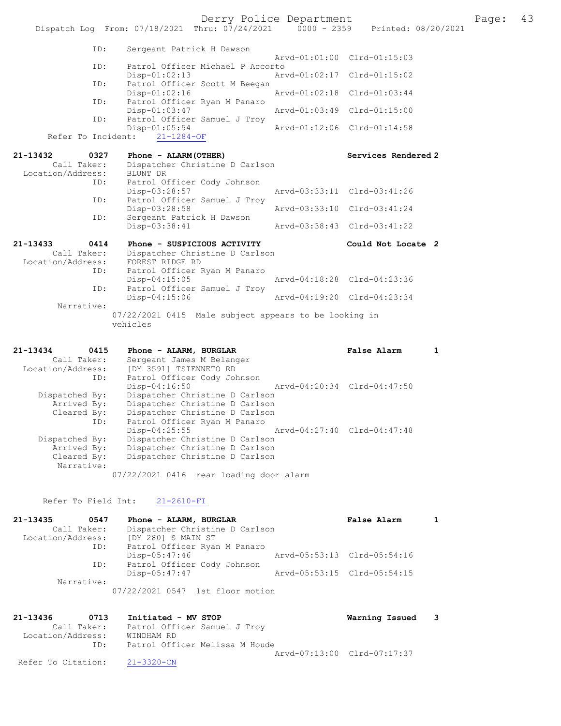Derry Police Department The Page: 43 Dispatch Log From: 07/18/2021 Thru: 07/24/2021 0000 - 2359 Printed: 08/20/2021 ID: Sergeant Patrick H Dawson Arvd-01:00 Clrd-01:15:03<br>TD: Patrol Officer Michael P Accorto Patrol Officer Michael P Accorto<br>Disp-01:02:13 Ary Disp-01:02:13 Arvd-01:02:17 Clrd-01:15:02<br>TD: Patrol Officer Scott M Beegan Patrol Officer Scott M Beegan<br>Disp-01:02:16 Disp-01:02:16 Arvd-01:02:18 Clrd-01:03:44 ID: Patrol Officer Ryan M Panaro<br>Disp-01:03:47 Disp-01:03:47 <br>Disp-01:03:47 Arvd-01:03:49 Clrd-01:15:00<br>Disp-01:05ficer Samuel J Trov Patrol Officer Samuel J Troy<br>Disp-01:05:54 Disp-01:05:54 Arvd-01:12:06 Clrd-01:14:58 Refer To Incident: 21-1284-OF 21-13432 0327 Phone - ALARM(OTHER) Services Rendered 2 Call Taker: Dispatcher Christine D Carlson 13432<br>Call Taker: Dispaction<br>Location/Address: BLUNT DR ID: Patrol Officer Cody Johnson Disp-03:28:57 Arvd-03:33:11 Clrd-03:41:26 ID: Patrol Officer Samuel J Troy<br>Disp-03:28:58 Disp-03:28:58 Arvd-03:33:10 Clrd-03:41:24<br>ID: Sergeant Patrick H Dawson Sergeant Patrick H Dawson<br>Disp-03:38:41 Disp-03:38:41 Arvd-03:38:43 Clrd-03:41:22 21-13433 0414 Phone - SUSPICIOUS ACTIVITY Could Not Locate 2 Call Taker: Dispatcher Christine D Carlson Location/Address: FOREST RIDGE RD ID: Patrol Officer Ryan M Panaro Disp-04:15:05 Arvd-04:18:28 Clrd-04:23:36 ID: Patrol Officer Samuel J Troy Disp-04:15:06 Arvd-04:19:20 Clrd-04:23:34 Narrative: 07/22/2021 0415 Male subject appears to be looking in vehicles 21-13434 0415 Phone - ALARM, BURGLAR False Alarm 1

 Call Taker: Sergeant James M Belanger Location/Address: [DY 3591] TSIENNETO RD ID: Patrol Officer Cody Johnson Disp-04:16:50 Arvd-04:20:34 Clrd-04:47:50 Dispatched By: Dispatcher Christine D Carlson Arrived By: Dispatcher Christine D Carlson Cleared By: Dispatcher Christine D Carlson ID: Patrol Officer Ryan M Panaro Disp-04:25:55 Arvd-04:27:40 Clrd-04:47:48 Dispatched By: Dispatcher Christine D Carlson Arrived By: Dispatcher Christine D Carlson Cleared By: Dispatcher Christine D Carlson Narrative:

07/22/2021 0416 rear loading door alarm

### Refer To Field Int: 21-2610-FI

| 21-13435          | 0547        | Phone - ALARM, BURGLAR           | <b>False Alarm</b>          |  |
|-------------------|-------------|----------------------------------|-----------------------------|--|
|                   | Call Taker: | Dispatcher Christine D Carlson   |                             |  |
| Location/Address: |             | [DY 280] S MAIN ST               |                             |  |
|                   | ID:         | Patrol Officer Ryan M Panaro     |                             |  |
|                   |             | $Disp-05:47:46$                  | Arvd-05:53:13 Clrd-05:54:16 |  |
|                   | ID:         | Patrol Officer Cody Johnson      |                             |  |
|                   |             | Disp-05:47:47                    | Arvd-05:53:15 Clrd-05:54:15 |  |
|                   | Narrative:  |                                  |                             |  |
|                   |             | 07/22/2021 0547 1st floor motion |                             |  |

21-13436 0713 Initiated - MV STOP Warning Issued 3 Call Taker: Patrol Officer Samuel J Troy Location/Address: WINDHAM RD ID: Patrol Officer Melissa M Houde Arvd-07:13:00 Clrd-07:17:37 Refer To Citation: 21-3320-CN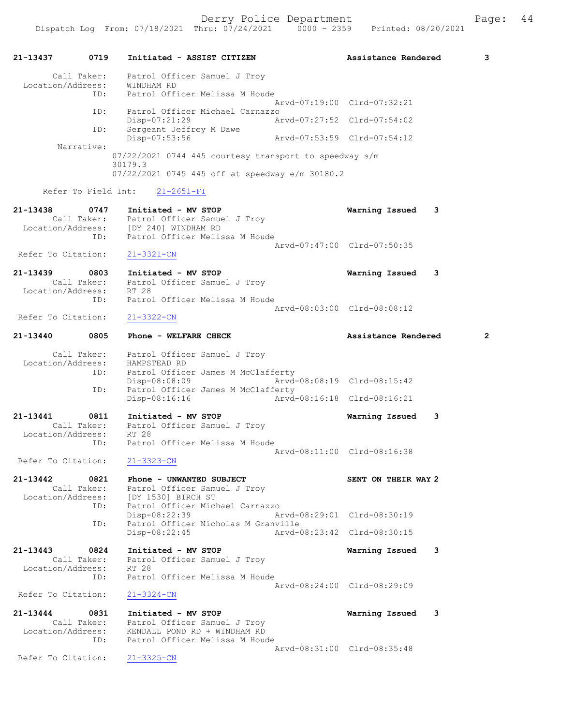Derry Police Department Fage: 44

21-13437 0719 Initiated - ASSIST CITIZEN Assistance Rendered 3 Call Taker: Patrol Officer Samuel J Troy Location/Address: WINDHAM RD ID: Patrol Officer Melissa M Houde Arvd-07:19:00 Clrd-07:32:21 ID: Patrol Officer Michael Carnazzo Disp-07:21:29 Arvd-07:27:52 Clrd-07:54:02<br>ID: Sergeant Jeffrey M Dawe Sergeant Jeffrey M Dawe<br>Disp-07:53:56 Disp-07:53:56 Arvd-07:53:59 Clrd-07:54:12 Narrative: 07/22/2021 0744 445 courtesy transport to speedway s/m 30179.3 07/22/2021 0745 445 off at speedway e/m 30180.2 Refer To Field Int: 21-2651-FI 21-13438 0747 Initiated - MV STOP Warning Issued 3 Call Taker: Patrol Officer Samuel J Troy Location/Address: [DY 240] WINDHAM RD ID: Patrol Officer Melissa M Houde Arvd-07:47:00 Clrd-07:50:35 Refer To Citation: 21-3321-CN 21-13439 0803 Initiated - MV STOP Warning Issued 3 Call Taker: Patrol Officer Samuel J Troy Location/Address: RT 28 ID: Patrol Officer Melissa M Houde Arvd-08:03:00 Clrd-08:08:12<br>21-3322-CN Refer To Citation: 21-13440 0805 Phone - WELFARE CHECK 2 Assistance Rendered 2 Call Taker: Patrol Officer Samuel J Troy Location/Address: HAMPSTEAD RD ID: Patrol Officer James M McClafferty Disp-08:08:09 Arvd-08:08:19 Clrd-08:15:42 ID: Patrol Officer James M McClafferty<br>Disp-08:16:16 Disp-08:16:16 Arvd-08:16:18 Clrd-08:16:21 21-13441 0811 Initiated - MV STOP Warning Issued 3 Call Taker: Patrol Officer Samuel J Troy Location/Address: RT 28 ID: Patrol Officer Melissa M Houde Arvd-08:11:00 Clrd-08:16:38 Refer To Citation: 21-3323-CN 21-13442 0821 Phone - UNWANTED SUBJECT SENT ON THEIR WAY 2 Call Taker: Patrol Officer Samuel J Troy Location/Address: [DY 1530] BIRCH ST ID: Patrol Officer Michael Carnazzo<br>Disp-08:22:39 Ar Disp-08:22:39 Arvd-08:29:01 Clrd-08:30:19<br>TD: Patrol Officer Nicholas M Granville Patrol Officer Nicholas M Granville<br>Disp-08:22:45 Arvd-0 Disp-08:22:45 Arvd-08:23:42 Clrd-08:30:15 21-13443 0824 Initiated - MV STOP Warning Issued 3 Call Taker: Patrol Officer Samuel J Troy Location/Address: RT 28 ID: Patrol Officer Melissa M Houde Arvd-08:24:00 Clrd-08:29:09 Refer To Citation: 21-3324-CN 21-13444 0831 Initiated - MV STOP Warning Issued 3 Call Taker: Patrol Officer Samuel J Troy Location/Address: KENDALL POND RD + WINDHAM RD ID: Patrol Officer Melissa M Houde Arvd-08:31:00 Clrd-08:35:48<br>21-3325-CN Refer To Citation: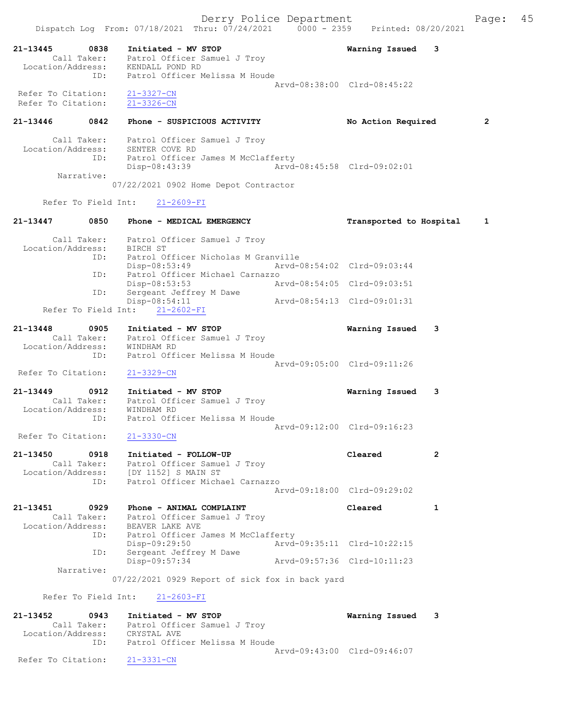21-13445 0838 Initiated - MV STOP Warning Issued 3 Call Taker: Patrol Officer Samuel J Troy Location/Address: KENDALL POND RD ID: Patrol Officer Melissa M Houde Arvd-08:38:00 Clrd-08:45:22 Refer To Citation: 21-3327-CN Refer To Citation: 21-3326-CN 21-13446 0842 Phone - SUSPICIOUS ACTIVITY No Action Required 2 Call Taker: Patrol Officer Samuel J Troy Location/Address: SENTER COVE RD ID: Patrol Officer James M McClafferty Disp-08:43:39 Arvd-08:45:58 Clrd-09:02:01 Narrative: 07/22/2021 0902 Home Depot Contractor Refer To Field Int: 21-2609-FI 21-13447 0850 Phone - MEDICAL EMERGENCY Transported to Hospital 1 Call Taker: Patrol Officer Samuel J Troy Location/Address: BIRCH ST ID: Patrol Officer Nicholas M Granville<br>Disp-08:53:49 Arvd-0 Disp-08:53:49 Arvd-08:54:02 Clrd-09:03:44 ID: Patrol Officer Michael Carnazzo Disp-08:53:53 Arvd-08:54:05 Clrd-09:03:51 ID: Sergeant Jeffrey M Dawe Disp-08:54:11 Arvd-08:54:13 Clrd-09:01:31 Refer To Field Int: 21-2602-FI 21-13448 0905 Initiated - MV STOP Warning Issued 3 Call Taker: Patrol Officer Samuel J Troy Location/Address: WINDHAM RD ID: Patrol Officer Melissa M Houde Arvd-09:05:00 Clrd-09:11:26 Refer To Citation: 21-3329-CN 21-13449 0912 Initiated - MV STOP Warning Issued 3 Call Taker: Patrol Officer Samuel J Troy Location/Address: WINDHAM RD ID: Patrol Officer Melissa M Houde Arvd-09:12:00 Clrd-09:16:23 Refer To Citation: 21-3330-CN 21-13450 0918 Initiated - FOLLOW-UP Cleared 2 Call Taker: Patrol Officer Samuel J Troy Location/Address: [DY 1152] S MAIN ST ID: Patrol Officer Michael Carnazzo Arvd-09:18:00 Clrd-09:29:02 21-13451 0929 Phone - ANIMAL COMPLAINT Cleared 1 Call Taker: Patrol Officer Samuel J Troy Location/Address: BEAVER LAKE AVE ID: Patrol Officer James M McClafferty Disp-09:29:50 Arvd-09:35:11 Clrd-10:22:15<br>Sergeant Jeffrey M Dawe ID: Sergeant Jeffrey M Dawe Disp-09:57:34 Arvd-09:57:36 Clrd-10:11:23 Narrative: 07/22/2021 0929 Report of sick fox in back yard Refer To Field Int: 21-2603-FI 21-13452 0943 Initiated - MV STOP Warning Issued 3 Call Taker: Patrol Officer Samuel J Troy Location/Address: CRYSTAL AVE ID: Patrol Officer Melissa M Houde Arvd-09:43:00 Clrd-09:46:07 Refer To Citation: 21-3331-CN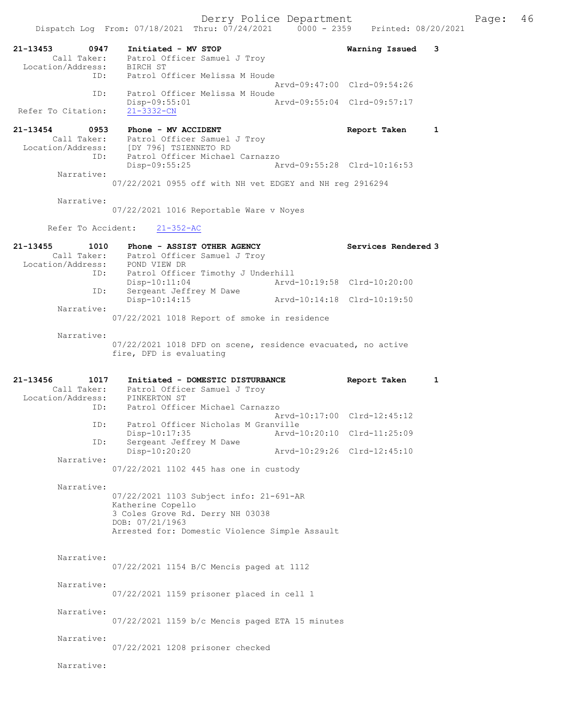Derry Police Department The Page: 46 Dispatch Log From: 07/18/2021 Thru: 07/24/2021 0000 - 2359 Printed: 08/20/2021 21-13453 0947 Initiated - MV STOP Warning Issued 3 Call Taker: Patrol Officer Samuel J Troy 13453<br>Call Taker: Patrol On<br>Location/Address: BIRCH ST ID: Patrol Officer Melissa M Houde Arvd-09:47:00 Clrd-09:54:26 ID: Patrol Officer Melissa M Houde<br>Disp-09:55:01 Disp-09:55:01 Arvd-09:55:04 Clrd-09:57:17 Refer To Citation: 21-13454 0953 Phone - MV ACCIDENT CONSIDERT Report Taken 1 Call Taker: Patrol Officer Samuel J Troy Location/Address: [DY 796] TSIENNETO RD ID: Patrol Officer Michael Carnazzo Disp-09:55:25 Arvd-09:55:28 Clrd-10:16:53 Narrative: 07/22/2021 0955 off with NH vet EDGEY and NH reg 2916294 Narrative: 07/22/2021 1016 Reportable Ware v Noyes Refer To Accident: 21-352-AC 21-13455 1010 Phone - ASSIST OTHER AGENCY Services Rendered 3 Call Taker: Patrol Officer Samuel J Troy Location/Address: POND VIEW DR ID: Patrol Officer Timothy J Underhill Arvd-10:19:58 Clrd-10:20:00 ID: Sergeant Jeffrey M Dawe Disp-10:14:15 Arvd-10:14:18 Clrd-10:19:50 Narrative: 07/22/2021 1018 Report of smoke in residence Narrative: 07/22/2021 1018 DFD on scene, residence evacuated, no active fire, DFD is evaluating 21-13456 1017 Initiated - DOMESTIC DISTURBANCE Report Taken 1 Call Taker: Patrol Officer Samuel J Troy Location/Address: PINKERTON ST ID: Patrol Officer Michael Carnazzo Arvd-10:17:00 Clrd-12:45:12 ID: Patrol Officer Nicholas M Granville<br>Disp-10:17:35 Arvd-2 Disp-10:17:35 Arvd-10:20:10 Clrd-11:25:09 ID: Sergeant Jeffrey M Dawe Disp-10:20:20 Arvd-10:29:26 Clrd-12:45:10 Narrative: 07/22/2021 1102 445 has one in custody Narrative: 07/22/2021 1103 Subject info: 21-691-AR Katherine Copello 3 Coles Grove Rd. Derry NH 03038 DOB: 07/21/1963 Arrested for: Domestic Violence Simple Assault Narrative: 07/22/2021 1154 B/C Mencis paged at 1112 Narrative: 07/22/2021 1159 prisoner placed in cell 1 Narrative: 07/22/2021 1159 b/c Mencis paged ETA 15 minutes Narrative: 07/22/2021 1208 prisoner checked Narrative: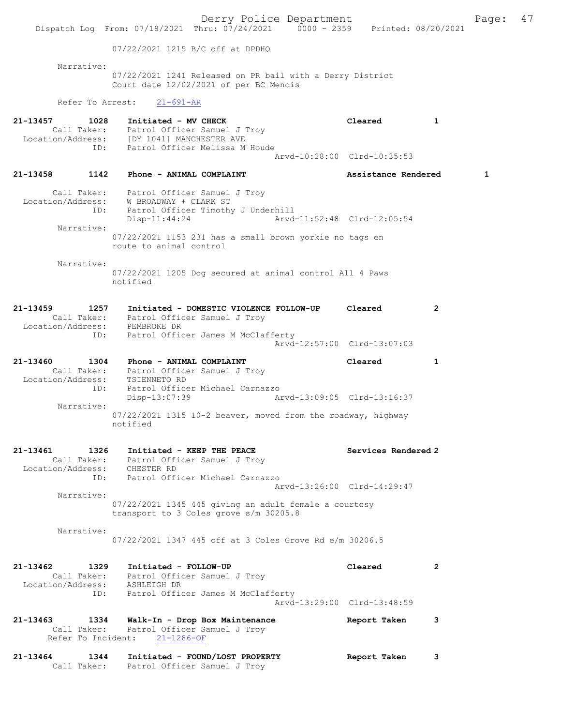Derry Police Department Fage: 47 Dispatch Log From: 07/18/2021 Thru: 07/24/2021 0000 - 2359 Printed: 08/20/2021 07/22/2021 1215 B/C off at DPDHQ Narrative: 07/22/2021 1241 Released on PR bail with a Derry District Court date 12/02/2021 of per BC Mencis Refer To Arrest: 21-691-AR 21-13457 1028 Initiated - MV CHECK 1 Cleared 1 Call Taker: Patrol Officer Samuel J Troy Location/Address: [DY 1041] MANCHESTER AVE ID: Patrol Officer Melissa M Houde Arvd-10:28:00 Clrd-10:35:53 21-13458 1142 Phone - ANIMAL COMPLAINT Assistance Rendered 1 Call Taker: Patrol Officer Samuel J Troy Location/Address: W BROADWAY + CLARK ST ID: Patrol Officer Timothy J Underhill<br>Disp-11:44:24 Arvd Arvd-11:52:48 Clrd-12:05:54 Narrative: 07/22/2021 1153 231 has a small brown yorkie no tags en route to animal control Narrative: 07/22/2021 1205 Dog secured at animal control All 4 Paws notified 21-13459 1257 Initiated - DOMESTIC VIOLENCE FOLLOW-UP Cleared 2 Call Taker: Patrol Officer Samuel J Troy Location/Address: PEMBROKE DR ID: Patrol Officer James M McClafferty Arvd-12:57:00 Clrd-13:07:03 21-13460 1304 Phone - ANIMAL COMPLAINT Cleared 1 Call Taker: Patrol Officer Samuel J Troy Location/Address: TSIENNETO RD ID: Patrol Officer Michael Carnazzo Disp-13:07:39 Arvd-13:09:05 Clrd-13:16:37 Narrative: 07/22/2021 1315 10-2 beaver, moved from the roadway, highway notified 21-13461 1326 Initiated - KEEP THE PEACE Noted that Services Rendered 2 Call Taker: Patrol Officer Samuel J Troy Location/Address: CHESTER RD ID: Patrol Officer Michael Carnazzo Arvd-13:26:00 Clrd-14:29:47 Narrative: 07/22/2021 1345 445 giving an adult female a courtesy transport to 3 Coles grove s/m 30205.8 Narrative: 07/22/2021 1347 445 off at 3 Coles Grove Rd e/m 30206.5 21-13462 1329 Initiated - FOLLOW-UP Cleared 2 Call Taker: Patrol Officer Samuel J Troy Location/Address: ASHLEIGH DR ID: Patrol Officer James M McClafferty Arvd-13:29:00 Clrd-13:48:59 21-13463 1334 Walk-In - Drop Box Maintenance Report Taken 3 Call Taker: Patrol Officer Samuel J Troy Refer To Incident: 21-1286-OF 21-13464 1344 Initiated - FOUND/LOST PROPERTY Report Taken 3 Call Taker: Patrol Officer Samuel J Troy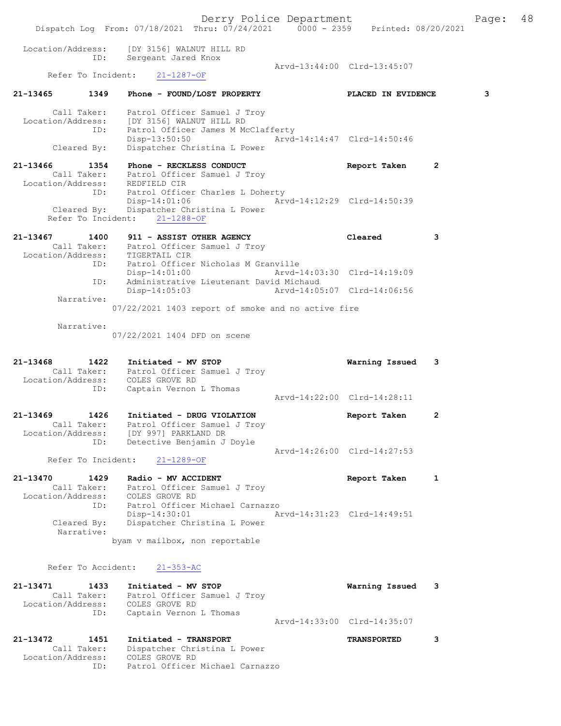Derry Police Department Fage: 48 Dispatch Log From: 07/18/2021 Thru: 07/24/2021 0000 - 2359 Printed: 08/20/2021 Location/Address: [DY 3156] WALNUT HILL RD ID: Sergeant Jared Knox Arvd-13:44:00 Clrd-13:45:07<br>21-1287-0F Refer To Incident: 21-13465 1349 Phone - FOUND/LOST PROPERTY PLACED IN EVIDENCE 3 Call Taker: Patrol Officer Samuel J Troy Location/Address: [DY 3156] WALNUT HILL RD ID: Patrol Officer James M McClafferty Disp-13:50:50 Arvd-14:14:47 Clrd-14:50:46 Cleared By: Dispatcher Christina L Power 21-13466 1354 Phone - RECKLESS CONDUCT Report Taken 2 Call Taker: Patrol Officer Samuel J Troy Location/Address: REDFIELD CIR ID: Patrol Officer Charles L Doherty Disp-14:01:06 Arvd-14:12:29 Clrd-14:50:39 Cleared By: Dispatcher Christina L Power Refer To Incident: 21-1288-OF 21-13467 1400 911 - ASSIST OTHER AGENCY Cleared 3 Call Taker: Patrol Officer Samuel J Troy Location/Address: TIGERTAIL CIR ID: Patrol Officer Nicholas M Granville Disp-14:01:00 Arvd-14:03:30 Clrd-14:19:09 ID: Administrative Lieutenant David Michaud Disp-14:05:03 Arvd-14:05:07 Clrd-14:06:56 Narrative: 07/22/2021 1403 report of smoke and no active fire Narrative: 07/22/2021 1404 DFD on scene 21-13468 1422 Initiated - MV STOP Warning Issued 3 Call Taker: Patrol Officer Samuel J Troy Location/Address: COLES GROVE RD ID: Captain Vernon L Thomas Arvd-14:22:00 Clrd-14:28:11 21-13469 1426 Initiated - DRUG VIOLATION Report Taken 2 Call Taker: Patrol Officer Samuel J Troy Location/Address: [DY 997] PARKLAND DR ID: Detective Benjamin J Doyle Arvd-14:26:00 Clrd-14:27:53 Refer To Incident: 21-1289-OF 21-13470 1429 Radio - MV ACCIDENT Report Taken 1 Call Taker: Patrol Officer Samuel J Troy Location/Address: COLES GROVE RD ID: Patrol Officer Michael Carnazzo Disp-14:30:01 Arvd-14:31:23 Clrd-14:49:51 Cleared By: Dispatcher Christina L Power Narrative: byam v mailbox, non reportable Refer To Accident: 21-353-AC 21-13471 1433 Initiated - MV STOP Warning Issued 3 Call Taker: Patrol Officer Samuel J Troy Location/Address: COLES GROVE RD ID: Captain Vernon L Thomas Arvd-14:33:00 Clrd-14:35:07 21-13472 1451 Initiated - TRANSPORT TRANSPORTED 3 Call Taker: Dispatcher Christina L Power Location/Address: COLES GROVE RD

ID: Patrol Officer Michael Carnazzo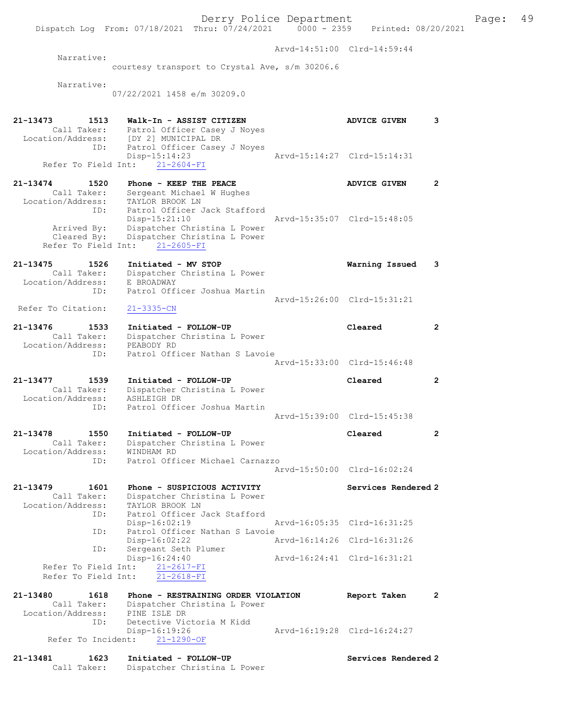Derry Police Department Fage: 49 Dispatch Log From: 07/18/2021 Thru: 07/24/2021 0000 - 2359 Printed: 08/20/2021 Arvd-14:51:00 Clrd-14:59:44 Narrative: courtesy transport to Crystal Ave, s/m 30206.6 Narrative: 07/22/2021 1458 e/m 30209.0 21-13473 1513 Walk-In - ASSIST CITIZEN ADVICE GIVEN 3 Call Taker: Patrol Officer Casey J Noyes Location/Address: [DY 2] MUNICIPAL DR ID: Patrol Officer Casey J Noyes<br>Disp-15:14:23<br>Field Int:  $21-\frac{2604-FI}{r}$  Disp-15:14:23 Arvd-15:14:27 Clrd-15:14:31 Refer To Field Int: 21-2604-FI 21-13474 1520 Phone - KEEP THE PEACE ADVICE GIVEN 2 Call Taker: Sergeant Michael W Hughes Location/Address: TAYLOR BROOK LN ID: Patrol Officer Jack Stafford Disp-15:21:10 Arvd-15:35:07 Clrd-15:48:05 Arrived By: Dispatcher Christina L Power Cleared By: Dispatcher Christina L Power Refer To Field Int: 21-2605-FI 21-13475 1526 Initiated - MV STOP Warning Issued 3 Call Taker: Dispatcher Christina L Power Location/Address: E BROADWAY ID: Patrol Officer Joshua Martin Arvd-15:26:00 Clrd-15:31:21<br>21-3335-CN Refer To Citation: 21-13476 1533 Initiated - FOLLOW-UP Cleared 2 Call Taker: Dispatcher Christina L Power Location/Address: PEABODY RD ID: Patrol Officer Nathan S Lavoie Arvd-15:33:00 Clrd-15:46:48 21-13477 1539 Initiated - FOLLOW-UP Cleared 2 Call Taker: Dispatcher Christina L Power Location/Address: ASHLEIGH DR ID: Patrol Officer Joshua Martin Arvd-15:39:00 Clrd-15:45:38 21-13478 1550 Initiated - FOLLOW-UP Cleared 2 Call Taker: Dispatcher Christina L Power Location/Address: WINDHAM RD ID: Patrol Officer Michael Carnazzo Arvd-15:50:00 Clrd-16:02:24 21-13479 1601 Phone - SUSPICIOUS ACTIVITY Services Rendered 2 Call Taker: Dispatcher Christina L Power Location/Address: TAYLOR BROOK LN ID: Patrol Officer Jack Stafford Disp-16:02:19 Arvd-16:05:35 Clrd-16:31:25 ID: Patrol Officer Nathan S Lavoie Disp-16:02:22 Arvd-16:14:26 Clrd-16:31:26 ID: Sergeant Seth Plumer Disp-16:24:40 Arvd-16:24:41 Clrd-16:31:21 Refer To Field Int: 21-2617-FI Refer To Field Int: 21-2618-FI 21-13480 1618 Phone - RESTRAINING ORDER VIOLATION Report Taken 2 Call Taker: Dispatcher Christina L Power Location/Address: PINE ISLE DR ID: Detective Victoria M Kidd Disp-16:19:26 Arvd-16:19:28 Clrd-16:24:27 Refer To Incident: 21-1290-OF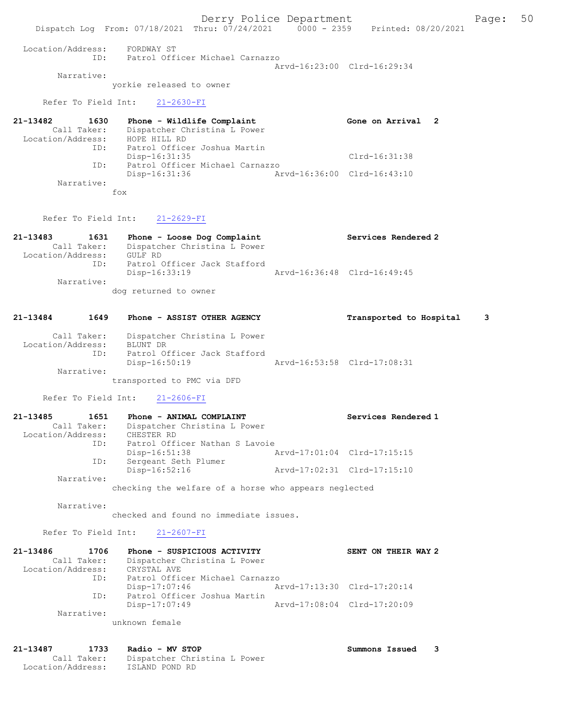Dispatch Log From: 07/18/2021 Thru: 07/24/2021 0000 - 2359 Printed: 08/20/2021 Location/Address: FORDWAY ST ID: Patrol Officer Michael Carnazzo Arvd-16:23:00 Clrd-16:29:34 Narrative: yorkie released to owner Refer To Field Int: 21-2630-FI 21-13482 1630 Phone - Wildlife Complaint Gone on Arrival 2 Call Taker: Dispatcher Christina L Power Location/Address: HOPE HILL RD ID: Patrol Officer Joshua Martin Disp-16:31:35 Clrd-16:31:38 ID: Patrol Officer Michael Carnazzo Disp-16:31:36 Arvd-16:36:00 Clrd-16:43:10 Narrative: fox

Refer To Field Int: 21-2629-FI

### 21-13483 1631 Phone - Loose Dog Complaint Services Rendered 2 Call Taker: Dispatcher Christina L Power Location/Address: GULF RD ID: Patrol Officer Jack Stafford Disp-16:33:19 Arvd-16:36:48 Clrd-16:49:45 Narrative:

dog returned to owner

## 21-13484 1649 Phone - ASSIST OTHER AGENCY Transported to Hospital 3

| Call Taker:<br>Location/Address: | Dispatcher Christina L Power<br>BLUNT DR |                             |  |
|----------------------------------|------------------------------------------|-----------------------------|--|
| TD:                              | Patrol Officer Jack Stafford             |                             |  |
|                                  | Disp-16:50:19                            | Arvd-16:53:58 Clrd-17:08:31 |  |
| Narrative:                       |                                          |                             |  |

transported to PMC via DFD

Refer To Field Int: 21-2606-FI

| 21-13485          | 1651        | Phone - ANIMAL COMPLAINT       | Services Rendered 1         |
|-------------------|-------------|--------------------------------|-----------------------------|
|                   | Call Taker: | Dispatcher Christina L Power   |                             |
| Location/Address: |             | CHESTER RD                     |                             |
|                   | ID:         | Patrol Officer Nathan S Lavoie |                             |
|                   |             | $Disp-16:51:38$                | Arvd-17:01:04 Clrd-17:15:15 |
|                   | ID:         | Sergeant Seth Plumer           |                             |
|                   |             | $Disp-16:52:16$                | Arvd-17:02:31 Clrd-17:15:10 |
|                   | Narrative:  |                                |                             |

checking the welfare of a horse who appears neglected

Narrative:

checked and found no immediate issues.

Refer To Field Int: 21-2607-FI

| 21-13486          | 1706        | Phone - SUSPICIOUS ACTIVITY     |                             | SENT ON THEIR WAY 2 |
|-------------------|-------------|---------------------------------|-----------------------------|---------------------|
|                   | Call Taker: | Dispatcher Christina L Power    |                             |                     |
| Location/Address: |             | CRYSTAL AVE                     |                             |                     |
|                   | ID:         | Patrol Officer Michael Carnazzo |                             |                     |
|                   |             | Disp-17:07:46                   | Arvd-17:13:30 Clrd-17:20:14 |                     |
|                   | ID:         | Patrol Officer Joshua Martin    |                             |                     |
|                   |             | $Disp-17:07:49$                 | Arvd-17:08:04 Clrd-17:20:09 |                     |
|                   | Narrative:  |                                 |                             |                     |
|                   |             | unknown female                  |                             |                     |

21-13487 1733 Radio - MV STOP Summons Issued 3 Call Taker: Dispatcher Christina L Power Location/Address: ISLAND POND RD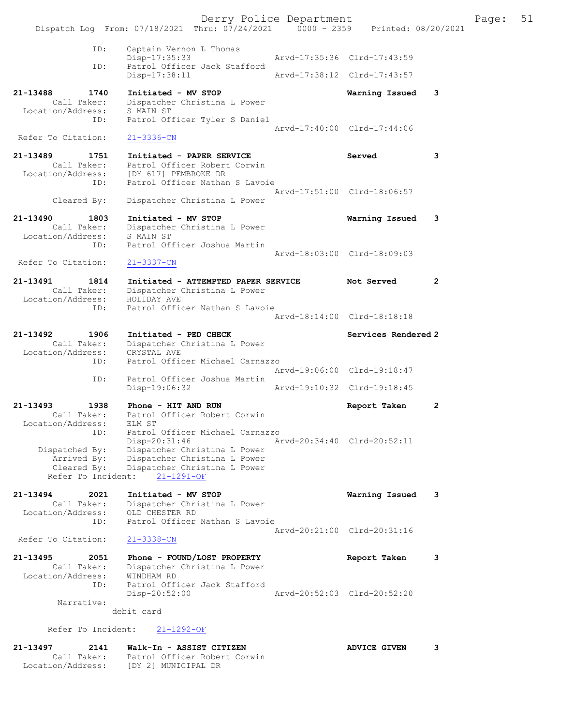Derry Police Department Fage: 51 Dispatch Log From: 07/18/2021 Thru: 07/24/2021 0000 - 2359 Printed: 08/20/2021 ID: Captain Vernon L Thomas Disp-17:35:33 Arvd-17:35:36 Clrd-17:43:59 ID: Patrol Officer Jack Stafford Disp-17:38:11 Arvd-17:38:12 Clrd-17:43:57 21-13488 1740 Initiated - MV STOP Warning Issued 3 Call Taker: Dispatcher Christina L Power Location/Address: S MAIN ST ID: Patrol Officer Tyler S Daniel Arvd-17:40:00 Clrd-17:44:06 Refer To Citation: 21-3336-CN 21-13489 1751 Initiated - PAPER SERVICE Served 3 Call Taker: Patrol Officer Robert Corwin Location/Address: [DY 617] PEMBROKE DR ID: Patrol Officer Nathan S Lavoie Arvd-17:51:00 Clrd-18:06:57 Cleared By: Dispatcher Christina L Power 21-13490 1803 Initiated - MV STOP Warning Issued 3 Call Taker: Dispatcher Christina L Power Location/Address: S MAIN ST ID: Patrol Officer Joshua Martin Arvd-18:03:00 Clrd-18:09:03 Refer To Citation: 21-3337-CN 21-13491 1814 Initiated - ATTEMPTED PAPER SERVICE Not Served 2 Call Taker: Dispatcher Christina L Power Location/Address: HOLIDAY AVE ID: Patrol Officer Nathan S Lavoie Arvd-18:14:00 Clrd-18:18:18 21-13492 1906 Initiated - PED CHECK Services Rendered 2 Call Taker: Dispatcher Christina L Power Location/Address: CRYSTAL AVE ID: Patrol Officer Michael Carnazzo Arvd-19:06:00 Clrd-19:18:47 ID: Patrol Officer Joshua Martin Disp-19:06:32 Arvd-19:10:32 Clrd-19:18:45 21-13493 1938 Phone - HIT AND RUN Report Taken 2 Call Taker: Patrol Officer Robert Corwin Location/Address: ELM ST ID: Patrol Officer Michael Carnazzo Disp-20:31:46 Arvd-20:34:40 Clrd-20:52:11 Dispatched By: Dispatcher Christina L Power Arrived By: Dispatcher Christina L Power Cleared By: Dispatcher Christina L Power Refer To Incident: 21-1291-OF 21-13494 2021 Initiated - MV STOP Warning Issued 3 Call Taker: Dispatcher Christina L Power Location/Address: OLD CHESTER RD ID: Patrol Officer Nathan S Lavoie Arvd-20:21:00 Clrd-20:31:16 Refer To Citation: 21-3338-CN 21-13495 2051 Phone - FOUND/LOST PROPERTY Report Taken 3 Call Taker: Dispatcher Christina L Power Location/Address: WINDHAM RD ID: Patrol Officer Jack Stafford Disp-20:52:00 Arvd-20:52:03 Clrd-20:52:20 Narrative: debit card Refer To Incident: 21-1292-OF

21-13497 2141 Walk-In - ASSIST CITIZEN ADVICE GIVEN 3 Call Taker: Patrol Officer Robert Corwin Location/Address: [DY 2] MUNICIPAL DR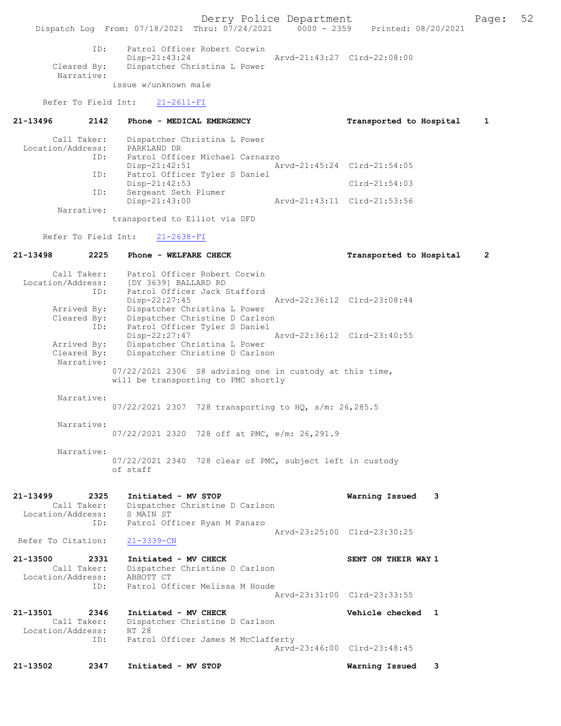Derry Police Department<br>
Page: 52 Phru: 07/24/2021 0000 - 2359 Printed: 08/20/2021 Dispatch Log From: 07/18/2021 Thru: 07/24/2021 ID: Patrol Officer Robert Corwin Disp-21:43:24 Arvd-21:43:27 Clrd-22:08:00 Cleared By: Dispatcher Christina L Power Narrative: issue w/unknown male Refer To Field Int: 21-2611-FI 21-13496 2142 Phone - MEDICAL EMERGENCY Transported to Hospital 1 Call Taker: Dispatcher Christina L Power Location/Address: PARKLAND DR ID: Patrol Officer Michael Carnazzo Disp-21:42:51 Arvd-21:45:24 Clrd-21:54:05 Patrol Officer Tyler S Daniel ID: Patrol Officer Tyler S Daniel<br>Disp-21:42:53 Clrd-21:54:03<br>ID: Sergeant Seth Plumer Sergeant Seth Plumer<br>Disp-21:43:00 Disp-21:43:00 Arvd-21:43:11 Clrd-21:53:56 Narrative: transported to Elliot via DFD Refer To Field Int: 21-2638-FI 21-13498 2225 Phone - WELFARE CHECK Transported to Hospital 2 Call Taker: Patrol Officer Robert Corwin Location/Address: [DY 3639] BALLARD RD ID: Patrol Officer Jack Stafford<br>Disp-22:27:45<br>Arvd-22:36:12 Clrd-23:08:44 Disp-22:27:45 Arvd-22:36:12 Clrd-23:08:44 Arrived By: Dispatcher Christina L Power Cleared By: Dispatcher Christine D Carlson ID: Patrol Officer Tyler S Daniel Disp-22:27:47 Arvd-22:36:12 Clrd-23:40:55<br>Arrived By: Dispatcher Christina L Power Arrived By: Dispatcher Christina L Power Cleared By: Dispatcher Christine D Carlson Narrative: 07/22/2021 2306 S8 advising one in custody at this time, will be transporting to PMC shortly Narrative: 07/22/2021 2307 728 transporting to HQ, s/m: 26,285.5 Narrative: 07/22/2021 2320 728 off at PMC, e/m: 26,291.9 Narrative: 07/22/2021 2340 728 clear of PMC, subject left in custody of staff 21-13499 2325 Initiated - MV STOP Warning Issued 3 Call Taker: Dispatcher Christine D Carlson Location/Address: S MAIN ST<br>TD: Patrol Of Patrol Officer Ryan M Panaro Arvd-23:25:00 Clrd-23:30:25<br>21-3339-CN Refer To Citation: 21-13500 2331 Initiated - MV CHECK SENT ON THEIR WAY 1 Call Taker: Dispatcher Christine D Carlson<br>ion/Address: ABBOTT CT Location/Address:<br>ID: Patrol Officer Melissa M Houde Arvd-23:31:00 Clrd-23:33:55 21-13501 2346 Initiated - MV CHECK Vehicle checked 1 Call Taker: Dispatcher Christine D Carlson<br>ion/Address: RT 28 Location/Address: ID: Patrol Officer James M McClafferty Arvd-23:46:00 Clrd-23:48:45

21-13502 2347 Initiated - MV STOP Warning Issued 3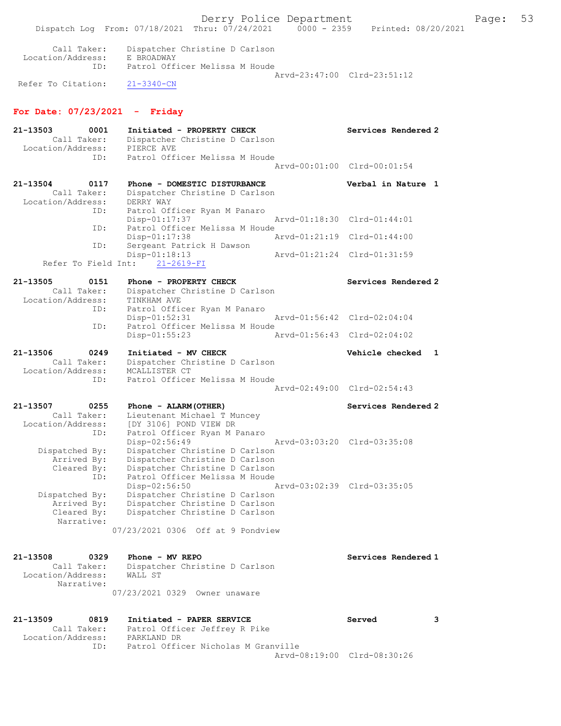Dispatch Log From: 07/18/2021 Thru: 07/24/2021 0000 - 2359 Printed: 08/20/2021 Call Taker: Dispatcher Christine D Carlson Location/Address: E BROADWAY ID: Patrol Officer Melissa M Houde Arvd-23:47:00 Clrd-23:51:12 Refer To Citation: 21-3340-CN For Date: 07/23/2021 - Friday 21-13503 0001 Initiated - PROPERTY CHECK Services Rendered 2 Call Taker: Dispatcher Christine D Carlson Location/Address: PIERCE AVE ID: Patrol Officer Melissa M Houde Arvd-00:01:00 Clrd-00:01:54 21-13504 0117 Phone - DOMESTIC DISTURBANCE Verbal in Nature 1 Call Taker: Dispatcher Christine D Carlson Location/Address: DERRY WAY ID: Patrol Officer Ryan M Panaro Disp-01:17:37 Arvd-01:18:30 Clrd-01:44:01 ID: Patrol Officer Melissa M Houde Disp-01:17:38 Arvd-01:21:19 Clrd-01:44:00 ID: Sergeant Patrick H Dawson Disp-01:18:13 Arvd-01:21:24 Clrd-01:31:59 Refer To Field Int: 21-2619-FI 21-13505 0151 Phone - PROPERTY CHECK Services Rendered 2 Call Taker: Dispatcher Christine D Carlson Location/Address: TINKHAM AVE ID: Patrol Officer Ryan M Panaro Disp-01:52:31 Arvd-01:56:42 Clrd-02:04:04 ID: Patrol Officer Melissa M Houde Disp-01:55:23 Arvd-01:56:43 Clrd-02:04:02 21-13506 0249 Initiated - MV CHECK Vehicle checked 1 Call Taker: Dispatcher Christine D Carlson Location/Address: MCALLISTER CT ID: Patrol Officer Melissa M Houde Arvd-02:49:00 Clrd-02:54:43 21-13507 0255 Phone - ALARM(OTHER) Services Rendered 2 Call Taker: Lieutenant Michael T Muncey Location/Address: [DY 3106] POND VIEW DR ID: Patrol Officer Ryan M Panaro Disp-02:56:49 Arvd-03:03:20 Clrd-03:35:08 Dispatched By: Dispatcher Christine D Carlson Arrived By: Dispatcher Christine D Carlson Cleared By: Dispatcher Christine D Carlson ID: Patrol Officer Melissa M Houde Disp-02:56:50 Arvd-03:02:39 Clrd-03:35:05 Dispatched By: Dispatcher Christine D Carlson Arrived By: Dispatcher Christine D Carlson Cleared By: Dispatcher Christine D Carlson Narrative: 07/23/2021 0306 Off at 9 Pondview 21-13508 0329 Phone - MV REPO<br>Call Taker: Dispatcher Christine D Carlson<br>Call Taker: Dispatcher Christine D Carlson Dispatcher Christine D Carlson Location/Address: WALL ST Narrative: 07/23/2021 0329 Owner unaware 21-13509 0819 Initiated - PAPER SERVICE Served 3 Call Taker: Patrol Officer Jeffrey R Pike Location/Address: PARKLAND DR ID: Patrol Officer Nicholas M Granville Arvd-08:19:00 Clrd-08:30:26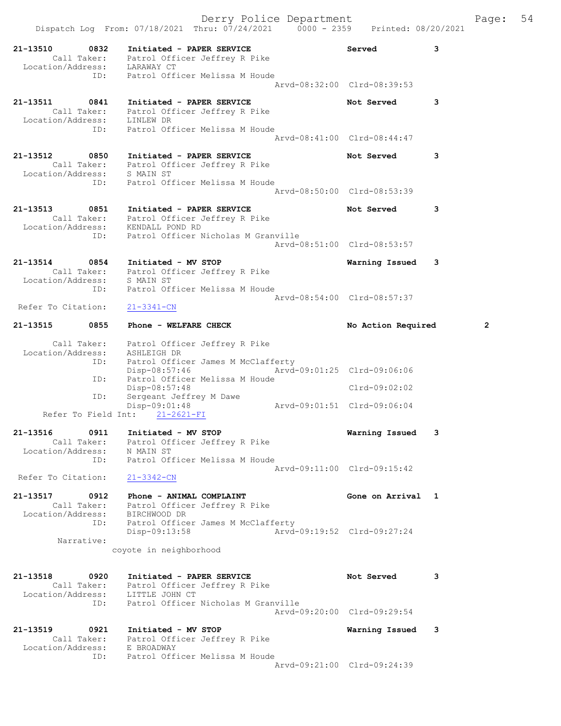|                                                      | Derry Police Department<br>Dispatch Log From: 07/18/2021 Thru: 07/24/2021 0000 - 2359 Printed: 08/20/2021                                |                                              | 54<br>Page:    |
|------------------------------------------------------|------------------------------------------------------------------------------------------------------------------------------------------|----------------------------------------------|----------------|
| 21-13510 0832<br>ID:                                 | Initiated - PAPER SERVICE<br>Call Taker: Patrol Officer Jeffrey R Pike<br>Location/Address: LARAWAY CT<br>Patrol Officer Melissa M Houde | Served                                       | 3              |
|                                                      |                                                                                                                                          | Arvd-08:32:00 Clrd-08:39:53                  |                |
| 21-13511<br>0841<br>Location/Address: LINLEW DR      | Initiated - PAPER SERVICE<br>Call Taker: Patrol Officer Jeffrey R Pike                                                                   | Not Served                                   | 3              |
| ID:                                                  | Patrol Officer Melissa M Houde                                                                                                           | Arvd-08:41:00 Clrd-08:44:47                  |                |
| 21-13512<br>0850<br>Location/Address: S MAIN ST      | Initiated - PAPER SERVICE<br>Call Taker: Patrol Officer Jeffrey R Pike                                                                   | Not Served                                   | 3              |
| ID:                                                  | Patrol Officer Melissa M Houde                                                                                                           | Aryd-08:50:00 Clrd-08:53:39                  |                |
| 21-13513<br>0851                                     | Initiated - PAPER SERVICE<br>Call Taker: Patrol Officer Jeffrey R Pike<br>Location/Address: KENDALL POND RD                              | Not Served                                   | 3              |
| ID:                                                  | Patrol Officer Nicholas M Granville                                                                                                      | Arvd-08:51:00 Clrd-08:53:57                  |                |
| 21-13514<br>0854                                     | Initiated - MV STOP<br>Call Taker: Patrol Officer Jeffrey R Pike                                                                         | Warning Issued                               | 3              |
| Location/Address: S MAIN ST<br>ID:                   | Patrol Officer Melissa M Houde                                                                                                           | Arvd-08:54:00 Clrd-08:57:37                  |                |
| Refer To Citation:                                   | $21 - 3341 - CN$                                                                                                                         |                                              |                |
| 21-13515<br>0855                                     | Phone - WELFARE CHECK                                                                                                                    | No Action Required                           | $\overline{2}$ |
| Location/Address: ASHLEIGH DR<br>ID:                 | Call Taker: Patrol Officer Jeffrey R Pike<br>Patrol Officer James M McClafferty                                                          |                                              |                |
| ID:                                                  | Disp-08:57:46<br>Patrol Officer Melissa M Houde                                                                                          | Arvd-09:01:25 Clrd-09:06:06                  |                |
| ID:                                                  | Disp-08:57:48<br>Sergeant Jeffrey M Dawe<br>Disp-09:01:48                                                                                | Clrd-09:02:02<br>Arvd-09:01:51 Clrd-09:06:04 |                |
| Refer To Field Int:                                  | $21 - 2621 - FI$                                                                                                                         |                                              |                |
| 21-13516<br>Location/Address: N MAIN ST              | 0911 Initiated - MV STOP<br>Call Taker: Patrol Officer Jeffrey R Pike                                                                    | Warning Issued                               | 3              |
| ID:<br>Refer To Citation:                            | Patrol Officer Melissa M Houde<br>$21 - 3342 - CN$                                                                                       | Aryd-09:11:00 Clrd-09:15:42                  |                |
| 21-13517<br>0912                                     | Phone - ANIMAL COMPLAINT                                                                                                                 | Gone on Arrival 1                            |                |
| Call Taker:<br>Location/Address: BIRCHWOOD DR<br>ID: | Patrol Officer Jeffrey R Pike<br>Patrol Officer James M McClafferty                                                                      |                                              |                |
| Narrative:                                           | Disp-09:13:58<br>coyote in neighborhood                                                                                                  | Arvd-09:19:52 Clrd-09:27:24                  |                |
|                                                      |                                                                                                                                          |                                              |                |
| 21-13518<br>0920<br>Location/Address: LITTLE JOHN CT | Initiated - PAPER SERVICE<br>Call Taker: Patrol Officer Jeffrey R Pike                                                                   | Not Served                                   | 3              |
| ID:                                                  | Patrol Officer Nicholas M Granville                                                                                                      | Arvd-09:20:00 Clrd-09:29:54                  |                |
| 21-13519<br>0921<br>Location/Address: E BROADWAY     | Initiated - MV STOP<br>Call Taker: Patrol Officer Jeffrey R Pike                                                                         | Warning Issued                               | 3              |
| ID:                                                  | Patrol Officer Melissa M Houde                                                                                                           | Arvd-09:21:00 Clrd-09:24:39                  |                |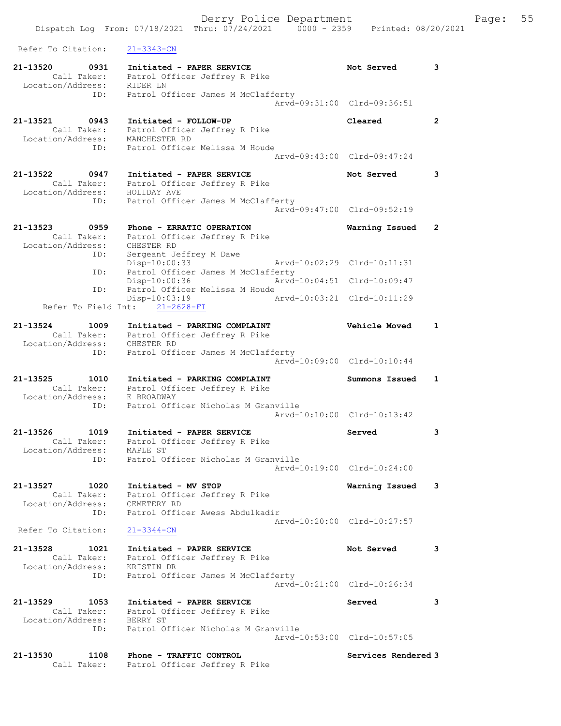| 21-13520<br>Call Taker: | 0931<br>Initiated - PAPER SERVICE<br>Patrol Officer Jeffrey R Pike | Not Served                  | 3                    |
|-------------------------|--------------------------------------------------------------------|-----------------------------|----------------------|
| Location/Address:       | RIDER LN                                                           |                             |                      |
|                         | ID:<br>Patrol Officer James M McClafferty                          |                             |                      |
|                         |                                                                    | Arvd-09:31:00 Clrd-09:36:51 |                      |
| 21-13521                | 0943<br>Initiated - FOLLOW-UP                                      | Cleared                     | $\mathbf{2}$         |
| Call Taker:             | Patrol Officer Jeffrey R Pike                                      |                             |                      |
| Location/Address:       | MANCHESTER RD                                                      |                             |                      |
|                         | Patrol Officer Melissa M Houde<br>ID:                              |                             |                      |
|                         |                                                                    | Arvd-09:43:00 Clrd-09:47:24 |                      |
| 21-13522                | 0947<br>Initiated - PAPER SERVICE                                  | Not Served                  | 3                    |
| Call Taker:             | Patrol Officer Jeffrey R Pike                                      |                             |                      |
| Location/Address:       | HOLIDAY AVE                                                        |                             |                      |
|                         | Patrol Officer James M McClafferty<br>ID:                          |                             |                      |
|                         |                                                                    | Arvd-09:47:00 Clrd-09:52:19 |                      |
| 21-13523                | 0959<br>Phone - ERRATIC OPERATION                                  | Warning Issued              | $\mathbf{2}^{\circ}$ |
| Call Taker:             | Patrol Officer Jeffrey R Pike                                      |                             |                      |
| Location/Address:       | CHESTER RD                                                         |                             |                      |
|                         | Sergeant Jeffrey M Dawe<br>ID:                                     |                             |                      |
|                         | Disp-10:00:33<br>Patrol Officer James M McClafferty<br>ID:         | Arvd-10:02:29 Clrd-10:11:31 |                      |
|                         | $Disp-10:00:36$                                                    | Arvd-10:04:51 Clrd-10:09:47 |                      |
|                         | Patrol Officer Melissa M Houde<br>ID:                              |                             |                      |
|                         | $Disp-10:03:19$                                                    | Arvd-10:03:21 Clrd-10:11:29 |                      |
|                         | Refer To Field Int:<br>$21 - 2628 - FI$                            |                             |                      |
| 21-13524                | 1009<br>Initiated - PARKING COMPLAINT                              | Vehicle Moved               | $\mathbf{1}$         |
| Call Taker:             | Patrol Officer Jeffrey R Pike                                      |                             |                      |
| Location/Address:       | CHESTER RD                                                         |                             |                      |
|                         | Patrol Officer James M McClafferty<br>ID:                          |                             |                      |
|                         |                                                                    | Arvd-10:09:00 Clrd-10:10:44 |                      |
| 21-13525                | 1010<br>Initiated - PARKING COMPLAINT                              | Summons Issued              | $\mathbf{1}$         |
| Call Taker:             | Patrol Officer Jeffrey R Pike                                      |                             |                      |
| Location/Address:       | E BROADWAY                                                         |                             |                      |
|                         | Patrol Officer Nicholas M Granville<br>ID:                         |                             |                      |
|                         |                                                                    | Arvd-10:10:00 Clrd-10:13:42 |                      |
| 21-13526<br>1019        | Initiated - PAPER SERVICE                                          | Served                      | 3                    |
| Call Taker:             | Patrol Officer Jeffrey R Pike                                      |                             |                      |
| Location/Address:       | MAPLE ST                                                           |                             |                      |
|                         | Patrol Officer Nicholas M Granville<br>ID:                         |                             |                      |
|                         |                                                                    | Arvd-10:19:00 Clrd-10:24:00 |                      |
| 21-13527                | 1020<br>Initiated - MV STOP                                        | Warning Issued              | 3                    |
| Call Taker:             | Patrol Officer Jeffrey R Pike                                      |                             |                      |
| Location/Address:       | CEMETERY RD                                                        |                             |                      |
|                         | Patrol Officer Awess Abdulkadir<br>ID:                             |                             |                      |
| Refer To Citation:      | $21 - 3344 - CN$                                                   | Arvd-10:20:00 Clrd-10:27:57 |                      |
|                         |                                                                    |                             |                      |
| 21-13528<br>1021        | Initiated - PAPER SERVICE                                          | Not Served                  | 3                    |
|                         | Call Taker: Patrol Officer Jeffrey R Pike                          |                             |                      |
| Location/Address:       | KRISTIN DR                                                         |                             |                      |
|                         | Patrol Officer James M McClafferty<br>ID:                          | Arvd-10:21:00 Clrd-10:26:34 |                      |
|                         |                                                                    |                             |                      |
| 21-13529                | 1053<br>Initiated - PAPER SERVICE                                  | Served                      | 3                    |
| Call Taker:             | Patrol Officer Jeffrey R Pike                                      |                             |                      |
| Location/Address:       | BERRY ST                                                           |                             |                      |
|                         | ID:<br>Patrol Officer Nicholas M Granville                         | Arvd-10:53:00 Clrd-10:57:05 |                      |
|                         |                                                                    |                             |                      |
| 21-13530                | 1108<br>Phone - TRAFFIC CONTROL                                    | Services Rendered 3         |                      |
| Call Taker:             | Patrol Officer Jeffrey R Pike                                      |                             |                      |

Refer To Citation: 21-3343-CN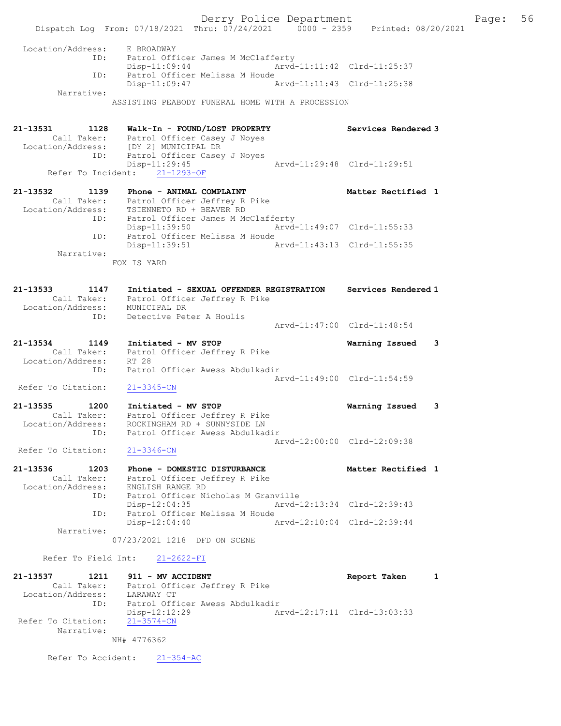Derry Police Department Fage: 56 Dispatch Log From: 07/18/2021 Thru: 07/24/2021 0000 - 2359 Printed: 08/20/2021 Location/Address: E BROADWAY ID: Patrol Officer James M McClafferty Disp-11:09:44 Arvd-11:11:42 Clrd-11:25:37 ID: Patrol Officer Melissa M Houde Disp-11:09:47 Narrative: ASSISTING PEABODY FUNERAL HOME WITH A PROCESSION 21-13531 1128 Walk-In - FOUND/LOST PROPERTY Services Rendered 3 Call Taker: Patrol Officer Casey J Noyes Location/Address: [DY 2] MUNICIPAL DR ID: Patrol Officer Casey J Noyes Disp-11:29:45 Arvd-11:29:48 Clrd-11:29:51 Refer To Incident: 21-1293-OF 21-13532 1139 Phone - ANIMAL COMPLAINT Nettless and Matter Rectified 1 Call Taker: Patrol Officer Jeffrey R Pike Location/Address: TSIENNETO RD + BEAVER RD ID: Patrol Officer James M McClafferty Disp-11:39:50 Arvd-11:49:07 Clrd-11:55:33 ID: Patrol Officer Melissa M Houde Disp-11:39:51 Arvd-11:43:13 Clrd-11:55:35 Narrative: FOX IS YARD 21-13533 1147 Initiated - SEXUAL OFFENDER REGISTRATION Services Rendered 1 Call Taker: Patrol Officer Jeffrey R Pike Location/Address: MUNICIPAL DR ID: Detective Peter A Houlis Arvd-11:47:00 Clrd-11:48:54 21-13534 1149 Initiated - MV STOP Warning Issued 3 Call Taker: Patrol Officer Jeffrey R Pike Location/Address: RT 28 ID: Patrol Officer Awess Abdulkadir Arvd-11:49:00 Clrd-11:54:59 Refer To Citation: 21-3345-CN 21-13535 1200 Initiated - MV STOP Warning Issued 3 Call Taker: Patrol Officer Jeffrey R Pike Location/Address: ROCKINGHAM RD + SUNNYSIDE LN ID: Patrol Officer Awess Abdulkadir Arvd-12:00:00 Clrd-12:09:38 Refer To Citation: 21-3346-CN 21-13536 1203 Phone - DOMESTIC DISTURBANCE Matter Rectified 1 Call Taker: Patrol Officer Jeffrey R Pike Location/Address: ENGLISH RANGE RD ID: Patrol Officer Nicholas M Granville Disp-12:04:35 Arvd-12:13:34 Clrd-12:39:43 ID: Patrol Officer Melissa M Houde Disp-12:04:40 Arvd-12:10:04 Clrd-12:39:44 Narrative: 07/23/2021 1218 DFD ON SCENE Refer To Field Int: 21-2622-FI 21-13537 1211 911 - MV ACCIDENT Report Taken 1 Call Taker: Patrol Officer Jeffrey R Pike Location/Address: LARAWAY CT ID: Patrol Officer Awess Abdulkadir Disp-12:12:29 Arvd-12:17:11 Clrd-13:03:33 Refer To Citation: 21-3574-CN

NH# 4776362

Refer To Accident: 21-354-AC

Narrative: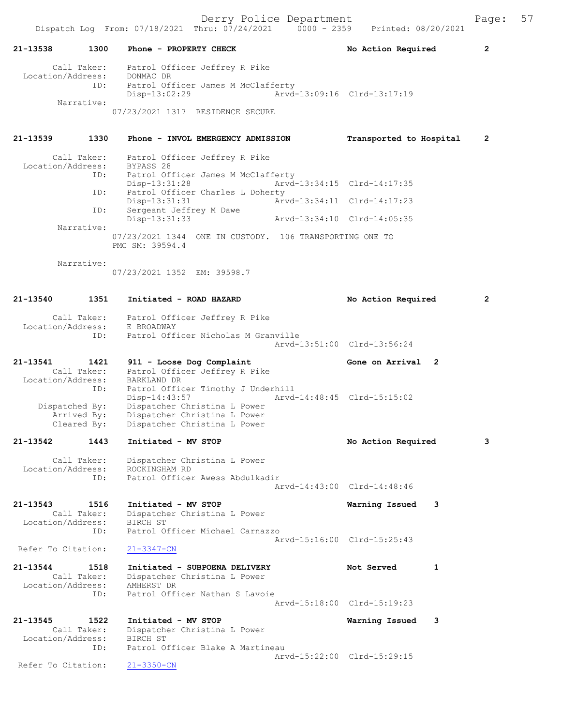|                                                                                      | Dispatch Log From: 07/18/2021 Thru: 07/24/2021 0000 - 2359                                                                                                                                                                                                                                                | Derry Police Department     | Printed: 08/20/2021                                        | Page:          | 57 |
|--------------------------------------------------------------------------------------|-----------------------------------------------------------------------------------------------------------------------------------------------------------------------------------------------------------------------------------------------------------------------------------------------------------|-----------------------------|------------------------------------------------------------|----------------|----|
| 1300<br>21-13538                                                                     | Phone - PROPERTY CHECK                                                                                                                                                                                                                                                                                    |                             | No Action Required                                         | $\overline{2}$ |    |
| Call Taker:<br>Location/Address: DONMAC DR<br>Narrative:                             | Patrol Officer Jeffrey R Pike<br>ID:<br>Patrol Officer James M McClafferty<br>Disp-13:02:29<br>07/23/2021 1317 RESIDENCE SECURE                                                                                                                                                                           |                             | Arvd-13:09:16 Clrd-13:17:19                                |                |    |
| $21 - 13539$<br>1330                                                                 | Phone - INVOL EMERGENCY ADMISSION                                                                                                                                                                                                                                                                         |                             | Transported to Hospital                                    | $\overline{2}$ |    |
| Call Taker:<br>Location/Address: BYPASS 28<br>ID:<br>ID:<br>Narrative:<br>Narrative: | Patrol Officer Jeffrey R Pike<br>Patrol Officer James M McClafferty<br>ID:<br>Disp-13:31:28<br>Patrol Officer Charles L Doherty<br>Disp-13:31:31<br>Sergeant Jeffrey M Dawe<br>Disp-13:31:33<br>07/23/2021 1344 ONE IN CUSTODY. 106 TRANSPORTING ONE TO<br>PMC SM: 39594.4<br>07/23/2021 1352 EM: 39598.7 | Arvd-13:34:10 Clrd-14:05:35 | Arvd-13:34:15 Clrd-14:17:35<br>Arvd-13:34:11 Clrd-14:17:23 |                |    |
| $21 - 13540$<br>1351                                                                 | Initiated - ROAD HAZARD                                                                                                                                                                                                                                                                                   |                             | No Action Required                                         | $\overline{2}$ |    |
| Call Taker:<br>Location/Address: E BROADWAY<br>ID:                                   | Patrol Officer Jeffrey R Pike<br>Patrol Officer Nicholas M Granville                                                                                                                                                                                                                                      |                             | Arvd-13:51:00 Clrd-13:56:24                                |                |    |

21-13541 1421 911 - Loose Dog Complaint Gone on Arrival 2 Call Taker: Patrol Officer Jeffrey R Pike Location/Address: BARKLAND DR ID: Patrol Officer Timothy J Underhill<br>Disp-14:43:57 Arvd-Disp-14:43:57 Arvd-14:48:45 Clrd-15:15:02<br>Dispatched By: Dispatcher Christina L Power patched By: Dispatcher Christina L Power<br>Arrived By: Dispatcher Christina L Power Arrived By: Dispatcher Christina L Power<br>Cleared By: Dispatcher Christina L Power Dispatcher Christina L Power

# 21-13542 1443 Initiated - MV STOP No Action Required 3 Call Taker: Dispatcher Christina L Power<br>ion/Address: ROCKINGHAM RD Location/Address:<br>ID: Patrol Officer Awess Abdulkadir Arvd-14:43:00 Clrd-14:48:46

21-13543 1516 Initiated - MV STOP Warning Issued 3 Call Taker: Dispatcher Christina L Power Location/Address: BIRCH ST Patrol Officer Michael Carnazzo Arvd-15:16:00 Clrd-15:25:43<br>21-3347-CN Refer To Citation:

```
21-13544 1518 Initiated - SUBPOENA DELIVERY Not Served 1<br>Call Taker: Dispatcher Christina L Power
                          Dispatcher Christina L Power<br>AMHERST DR
  Location/Address:<br>TD:
                         Patrol Officer Nathan S Lavoie
                                                           Arvd-15:18:00 Clrd-15:19:23
```

```
21-13545 1522 Initiated - MV STOP Warning Issued 3 
 Call Taker: Dispatcher Christina L Power
 Location/Address: BIRCH ST
            ID: Patrol Officer Blake A Martineau
                 Arvd-15:22:00 Clrd-15:29:15<br>21-3350-CN
Refer To Citation:
```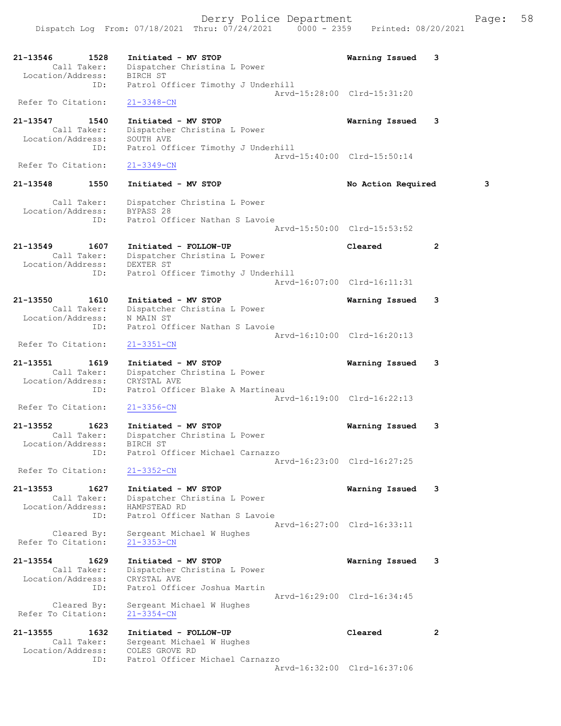| 21-13546<br>Location/Address: | 1528<br>Call Taker: | Initiated - MV STOP<br>Dispatcher Christina L Power<br>BIRCH ST | Warning Issued              | 3            |
|-------------------------------|---------------------|-----------------------------------------------------------------|-----------------------------|--------------|
|                               | ID:                 | Patrol Officer Timothy J Underhill                              |                             |              |
| Refer To Citation:            |                     | $21 - 3348 - CN$                                                | Arvd-15:28:00 Clrd-15:31:20 |              |
| 21-13547                      | 1540                | Initiated - MV STOP                                             | Warning Issued              | 3            |
| Location/Address:             | Call Taker:         | Dispatcher Christina L Power<br>SOUTH AVE                       |                             |              |
|                               | ID:                 | Patrol Officer Timothy J Underhill                              | Arvd-15:40:00 Clrd-15:50:14 |              |
| Refer To Citation:            |                     | $21 - 3349 - CN$                                                |                             |              |
| 21-13548                      | 1550                | Initiated - MV STOP                                             | No Action Required          | 3            |
| Location/Address:             | Call Taker:         | Dispatcher Christina L Power<br>BYPASS 28                       |                             |              |
|                               | ID:                 | Patrol Officer Nathan S Lavoie                                  | Arvd-15:50:00 Clrd-15:53:52 |              |
| 21-13549                      | 1607                | Initiated - FOLLOW-UP                                           | Cleared                     | $\mathbf{2}$ |
| Location/Address:             | Call Taker:         | Dispatcher Christina L Power<br>DEXTER ST                       |                             |              |
|                               | ID:                 | Patrol Officer Timothy J Underhill                              | Arvd-16:07:00 Clrd-16:11:31 |              |
| 21-13550                      | 1610                | Initiated - MV STOP                                             | Warning Issued              | 3            |
| Location/Address:             | Call Taker:         | Dispatcher Christina L Power<br>N MAIN ST                       |                             |              |
|                               | ID:                 | Patrol Officer Nathan S Lavoie                                  | Arvd-16:10:00 Clrd-16:20:13 |              |
| Refer To Citation:            |                     | $21 - 3351 - CN$                                                |                             |              |
| 21-13551                      | 1619<br>Call Taker: | Initiated - MV STOP<br>Dispatcher Christina L Power             | Warning Issued              | 3            |
| Location/Address:             |                     | CRYSTAL AVE                                                     |                             |              |
|                               | ID:                 | Patrol Officer Blake A Martineau                                | Arvd-16:19:00 Clrd-16:22:13 |              |
| Refer To Citation:            |                     | $21 - 3356 - CN$                                                |                             |              |
| 21-13552                      | 1623<br>Call Taker: | Initiated - MV STOP<br>Dispatcher Christina L Power             | Warning Issued              | 3            |
| Location/Address:             |                     | BIRCH ST                                                        |                             |              |
|                               | ID:                 | Patrol Officer Michael Carnazzo                                 | Arvd-16:23:00 Clrd-16:27:25 |              |
| Refer To Citation:            |                     | $21 - 3352 - CN$                                                |                             |              |
| 21-13553                      | 1627<br>Call Taker: | Initiated - MV STOP<br>Dispatcher Christina L Power             | Warning Issued              | 3            |
| Location/Address:             |                     | HAMPSTEAD RD                                                    |                             |              |
|                               | ID:                 | Patrol Officer Nathan S Lavoie                                  | Arvd-16:27:00 Clrd-16:33:11 |              |
| Refer To Citation:            | Cleared By:         | Sergeant Michael W Hughes<br>$21 - 3353 - CN$                   |                             |              |
| 21-13554                      | 1629                | Initiated - MV STOP                                             | Warning Issued              | 3            |
| Location/Address:             | Call Taker:         | Dispatcher Christina L Power<br>CRYSTAL AVE                     |                             |              |
|                               | ID:                 | Patrol Officer Joshua Martin                                    | Arvd-16:29:00 Clrd-16:34:45 |              |
|                               |                     |                                                                 |                             |              |

 Cleared By: Sergeant Michael W Hughes Refer To Citation: 21-3354-CN

21-13555 1632 Initiated - FOLLOW-UP Cleared 2 Call Taker: Sergeant Michael W Hughes Location/Address: COLES GROVE RD ID: Patrol Officer Michael Carnazzo

Arvd-16:32:00 Clrd-16:37:06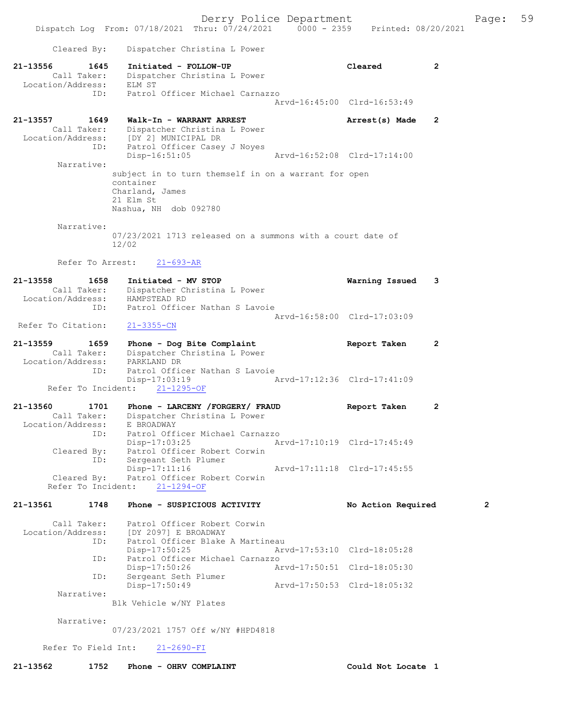Derry Police Department Fage: 59 Dispatch Log From: 07/18/2021 Thru: 07/24/2021 0000 - 2359 Printed: 08/20/2021 Cleared By: Dispatcher Christina L Power 21-13556 1645 Initiated - FOLLOW-UP Cleared 2 Call Taker: Dispatcher Christina L Power Location/Address: ELM ST ID: Patrol Officer Michael Carnazzo Arvd-16:45:00 Clrd-16:53:49 21-13557 1649 Walk-In - WARRANT ARREST Arrest(s) Made 2 Call Taker: Dispatcher Christina L Power Location/Address: [DY 2] MUNICIPAL DR ID: Patrol Officer Casey J Noyes<br>Disp-16:51:05 Disp-16:51:05 Arvd-16:52:08 Clrd-17:14:00 Narrative: subject in to turn themself in on a warrant for open container Charland, James 21 Elm St Nashua, NH dob 092780 Narrative: 07/23/2021 1713 released on a summons with a court date of 12/02 Refer To Arrest: 21-693-AR 21-13558 1658 Initiated - MV STOP Warning Issued 3 Call Taker: Dispatcher Christina L Power Location/Address: HAMPSTEAD RD ess: International Control of The Nathan S Lavoie Arvd-16:58:00 Clrd-17:03:09 Refer To Citation: 21-3355-CN 21-13559 1659 Phone - Dog Bite Complaint 1659 Report Taken 2 Call Taker: Dispatcher Christina L Power Location/Address: PARKLAND DR ID: Patrol Officer Nathan S Lavoie<br>Disp-17:03:19 Disp-17:03:19 Arvd-17:12:36 Clrd-17:41:09 Refer To Incident: 21-1295-OF 21-13560 1701 Phone - LARCENY /FORGERY/ FRAUD Report Taken 2 Call Taker: Dispatcher Christina L Power Location/Address: E BROADWAY ID: Patrol Officer Michael Carnazzo Disp-17:03:25 Arvd-17:10:19 Clrd-17:45:49 Cleared By: Patrol Officer Robert Corwin ID: Sergeant Seth Plumer Disp-17:11:16 Arvd-17:11:18 Clrd-17:45:55 Cleared By: Patrol Officer Robert Corwin Refer To Incident: 21-1294-OF 21-13561 1748 Phone - SUSPICIOUS ACTIVITY No Action Required 2 Call Taker: Patrol Officer Robert Corwin Location/Address: [DY 2097] E BROADWAY ess: [DY 2097] E BROADWAY<br>ID: Patrol Officer Blake A Martineau Disp-17:50:25 Arvd-17:53:10 Clrd-18:05:28 ID: Patrol Officer Michael Carnazzo<br>Disp-17:50:26 Ar Disp-17:50:26 Arvd-17:50:51 Clrd-18:05:30 ID: Sergeant Seth Plumer<br>Disp-17:50:49 Disp-17:50:49 Arvd-17:50:53 Clrd-18:05:32 Narrative: Blk Vehicle w/NY Plates Narrative: 07/23/2021 1757 Off w/NY #HPD4818 Refer To Field Int: 21-2690-FI 21-13562 1752 Phone - OHRV COMPLAINT Could Not Locate 1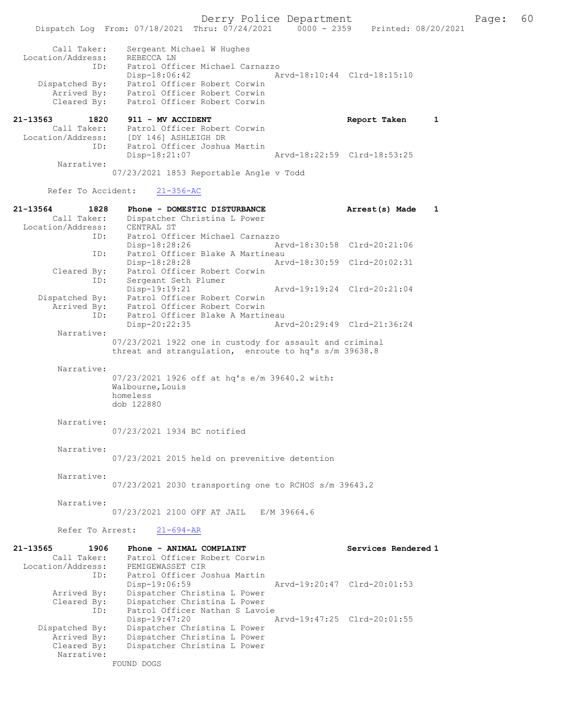Dispatch Log From: 07/18/2021 Thru: 07/24/2021 0000 - 2359 Printed: 08/20/2021 Call Taker: Sergeant Michael W Hughes Location/Address: REBECCA LN ID: Patrol Officer Michael Carnazzo Disp-18:06:42 Arvd-18:10:44 Clrd-18:15:10 Dispatched By: Patrol Officer Robert Corwin Arrived By: Patrol Officer Robert Corwin Cleared By: Patrol Officer Robert Corwin 21-13563 1820 911 - MV ACCIDENT Report Taken 1 Call Taker: Patrol Officer Robert Corwin Location/Address: [DY 146] ASHLEIGH DR Patrol Officer Joshua Martin<br>Disp-18:21:07 Arvd-18:22:59 Clrd-18:53:25 Narrative: 07/23/2021 1853 Reportable Angle v Todd Refer To Accident: 21-356-AC 21-13564 1828 Phone - DOMESTIC DISTURBANCE Arrest(s) Made 1 Call Taker: Dispatcher Christina L Power<br>ion/Address: CENTRAL ST Location/Address:<br>Th: ID: Patrol Officer Michael Carnazzo Disp-18:28:26 Arvd-18:30:58 Clrd-20:21:06 ID: Patrol Officer Blake A Martineau Disp-18:28:28 Arvd-18:30:59 Clrd-20:02:31 Cleared By: Patrol Officer Robert Corwin ID: Sergeant Seth Plumer Disp-19:19:21 Arvd-19:19:24 Clrd-20:21:04<br>Dispatched By: Patrol Officer Robert Corwin Patrol Officer Robert Corwin Arrived By: Patrol Officer Robert Corwin<br>TD: Patrol Officer Blake A Martin Patrol Officer Blake A Martineau<br>Disp-20:22:35 Ar Disp-20:22:35 Arvd-20:29:49 Clrd-21:36:24 Narrative: 07/23/2021 1922 one in custody for assault and criminal threat and strangulation, enroute to hq's s/m 39638.8 Narrative: 07/23/2021 1926 off at hq's e/m 39640.2 with: Walbourne,Louis homeless dob 122880 Narrative: 07/23/2021 1934 BC notified Narrative: 07/23/2021 2015 held on prevenitive detention Narrative: 07/23/2021 2030 transporting one to RCHOS s/m 39643.2 Narrative: 07/23/2021 2100 OFF AT JAIL E/M 39664.6 Refer To Arrest: 21-694-AR 21-13565 1906 Phone - ANIMAL COMPLAINT Services Rendered 1 Call Taker: Patrol Officer Robert Corwin Location/Address: ess: PEMIGEWASSET CIR<br>ID: Patrol Officer Joshua Martin<br>Disp-19:06:59 Disp-19:06:59 Arvd-19:20:47 Clrd-20:01:53 Arrived By: Dispatcher Christina L Power Cleared By: Dispatcher Christina L Power<br>ID: Patrol Officer Nathan S Lavo: Patrol Officer Nathan S Lavoie<br>Disp-19:47:20 Disp-19:47:20 Arvd-19:47:25 Clrd-20:01:55<br>Dispatched By: Dispatcher Christina L Power Dispatcher Christina L Power Arrived By: Dispatcher Christina L Power<br>Cleared By: Dispatcher Christina L Power Dispatcher Christina L Power

FOUND DOGS

Narrative: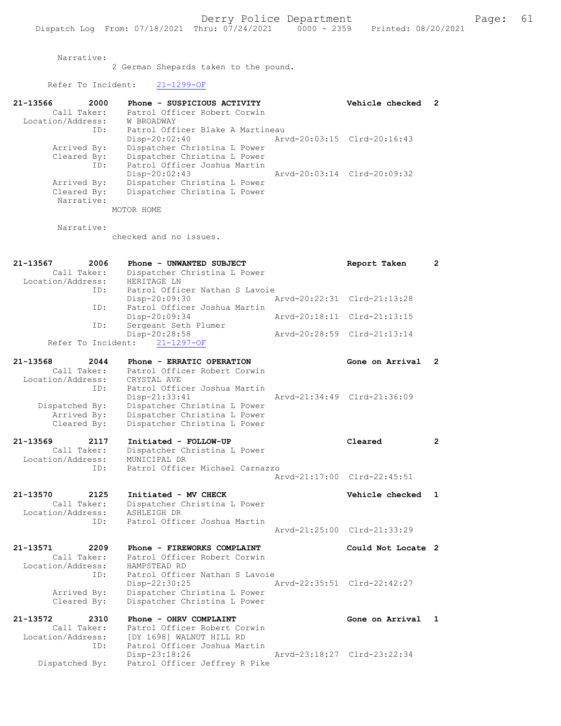Narrative:

2 German Shepards taken to the pound.

21-13566 2000 Phone - SUSPICIOUS ACTIVITY Vehicle checked 2

Refer To Incident: 21-1299-OF

Dispatched By: Patrol Officer Jeffrey R Pike

| Call Taker:                | Patrol Officer Robert Corwin                             |                             |              |
|----------------------------|----------------------------------------------------------|-----------------------------|--------------|
| Location/Address:          | W BROADWAY                                               |                             |              |
| ID:                        | Patrol Officer Blake A Martineau                         |                             |              |
|                            | $Disp-20:02:40$                                          | Arvd-20:03:15 Clrd-20:16:43 |              |
| Arrived By:                | Dispatcher Christina L Power                             |                             |              |
| Cleared By:                | Dispatcher Christina L Power                             |                             |              |
| ID:                        | Patrol Officer Joshua Martin                             |                             |              |
|                            | $Disp-20:02:43$                                          | Arvd-20:03:14 Clrd-20:09:32 |              |
| Arrived By:<br>Cleared By: | Dispatcher Christina L Power                             |                             |              |
| Narrative:                 | Dispatcher Christina L Power                             |                             |              |
|                            | MOTOR HOME                                               |                             |              |
|                            |                                                          |                             |              |
| Narrative:                 |                                                          |                             |              |
|                            | checked and no issues.                                   |                             |              |
|                            |                                                          |                             |              |
|                            |                                                          |                             |              |
| 21-13567<br>2006           | Phone - UNWANTED SUBJECT                                 | Report Taken                | 2            |
| Call Taker:                | Dispatcher Christina L Power                             |                             |              |
| Location/Address:          | HERITAGE LN<br>Patrol Officer Nathan S Lavoie            |                             |              |
| ID:                        |                                                          | Arvd-20:22:31 Clrd-21:13:28 |              |
| ID:                        | $Disp-20:09:30$<br>Patrol Officer Joshua Martin          |                             |              |
|                            | Disp-20:09:34                                            | Arvd-20:18:11 Clrd-21:13:15 |              |
| ID:                        | Sergeant Seth Plumer                                     |                             |              |
|                            | Disp-20:28:58                                            | Arvd-20:28:59 Clrd-21:13:14 |              |
| Refer To Incident:         | $21 - 1297 - OF$                                         |                             |              |
|                            |                                                          |                             |              |
| 21-13568<br>2044           | Phone - ERRATIC OPERATION                                | Gone on Arrival             | $\mathbf{2}$ |
| Call Taker:                | Patrol Officer Robert Corwin                             |                             |              |
| Location/Address:          | CRYSTAL AVE                                              |                             |              |
| ID:                        | Patrol Officer Joshua Martin                             |                             |              |
|                            | Disp-21:33:41                                            | Arvd-21:34:49 Clrd-21:36:09 |              |
| Dispatched By:             | Dispatcher Christina L Power                             |                             |              |
| Arrived By:<br>Cleared By: | Dispatcher Christina L Power                             |                             |              |
|                            | Dispatcher Christina L Power                             |                             |              |
| 21-13569<br>2117           | Initiated - FOLLOW-UP                                    | Cleared                     | $\mathbf{2}$ |
| Call Taker:                | Dispatcher Christina L Power                             |                             |              |
| Location/Address:          | MUNICIPAL DR                                             |                             |              |
| ID:                        | Patrol Officer Michael Carnazzo                          |                             |              |
|                            |                                                          | Arvd-21:17:00 Clrd-22:45:51 |              |
|                            |                                                          |                             |              |
| 21-13570<br>2125           | Initiated - MV CHECK                                     | Vehicle checked             | 1            |
| Call Taker:                | Dispatcher Christina L Power                             |                             |              |
| Location/Address:          | ASHLEIGH DR<br>Patrol Officer Joshua Martin              |                             |              |
| ID:                        |                                                          | Arvd-21:25:00 Clrd-21:33:29 |              |
|                            |                                                          |                             |              |
| 21-13571<br>2209           | Phone - FIREWORKS COMPLAINT                              | Could Not Locate 2          |              |
| Call Taker:                | Patrol Officer Robert Corwin                             |                             |              |
| Location/Address:          | HAMPSTEAD RD                                             |                             |              |
| ID:                        | Patrol Officer Nathan S Lavoie                           |                             |              |
|                            | Disp-22:30:25                                            | Arvd-22:35:51 Clrd-22:42:27 |              |
| Arrived By:                | Dispatcher Christina L Power                             |                             |              |
| Cleared By:                | Dispatcher Christina L Power                             |                             |              |
|                            |                                                          |                             |              |
| 21-13572<br>2310           | Phone - OHRV COMPLAINT                                   | Gone on Arrival             | 1            |
| Call Taker:                | Patrol Officer Robert Corwin<br>IDY 16981 WALNUT HILL RD |                             |              |
| Location/Address:<br>ID:   | Patrol Officer Joshua Martin                             |                             |              |
|                            | Disp-23:18:26                                            | Arvd-23:18:27 Clrd-23:22:34 |              |
|                            |                                                          |                             |              |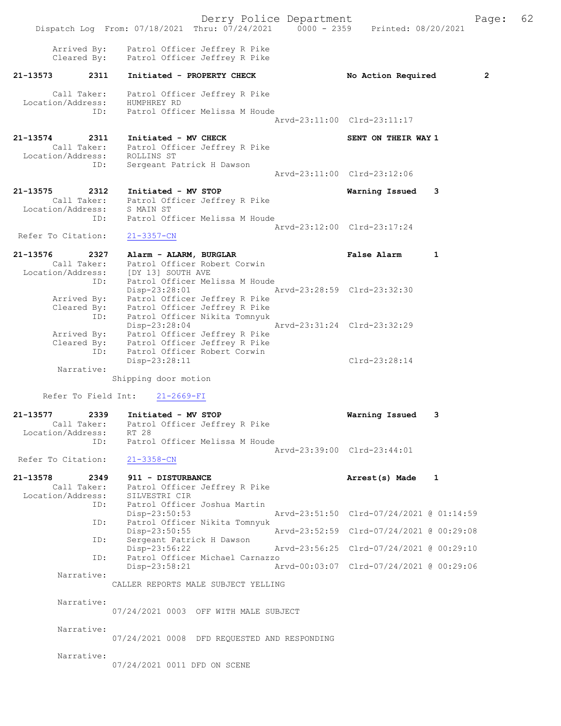Derry Police Department Fage: 62 Dispatch Log From: 07/18/2021 Thru: 07/24/2021 0000 - 2359 Printed: 08/20/2021 Arrived By: Patrol Officer Jeffrey R Pike Cleared By: Patrol Officer Jeffrey R Pike 21-13573 2311 Initiated - PROPERTY CHECK No Action Required 2 Call Taker: Patrol Officer Jeffrey R Pike Location/Address: HUMPHREY RD ID: Patrol Officer Melissa M Houde Arvd-23:11:00 Clrd-23:11:17 21-13574 2311 Initiated - MV CHECK SENT ON THEIR WAY 1 Call Taker: Patrol Officer Jeffrey R Pike Location/Address: ROLLINS ST ID: Sergeant Patrick H Dawson Arvd-23:11:00 Clrd-23:12:06 21-13575 2312 Initiated - MV STOP Warning Issued 3 Call Taker: Patrol Officer Jeffrey R Pike Location/Address: S MAIN ST ID: Patrol Officer Melissa M Houde Arvd-23:12:00 Clrd-23:17:24 Refer To Citation: 21-3357-CN 21-13576 2327 Alarm - ALARM, BURGLAR False Alarm 1 Call Taker: Patrol Officer Robert Corwin Location/Address: [DY 13] SOUTH AVE ID: Patrol Officer Melissa M Houde Disp-23:28:01 Arvd-23:28:59 Clrd-23:32:30 Arrived By: Patrol Officer Jeffrey R Pike Cleared By: Patrol Officer Jeffrey R Pike ID: Patrol Officer Nikita Tomnyuk Disp-23:28:04 Arvd-23:31:24 Clrd-23:32:29 Arrived By: Patrol Officer Jeffrey R Pike Cleared By: Patrol Officer Jeffrey R Pike ID: Patrol Officer Robert Corwin Disp-23:28:11 Clrd-23:28:14 Narrative: Shipping door motion Refer To Field Int: 21-2669-FI 21-13577 2339 Initiated - MV STOP Warning Issued 3 Call Taker: Patrol Officer Jeffrey R Pike Location/Address: RT 28 ID: Patrol Officer Melissa M Houde Arvd-23:39:00 Clrd-23:44:01 Refer To Citation: 21-3358-CN 21-13578 2349 911 - DISTURBANCE **Arrest(s)** Made 1 Call Taker: Patrol Officer Jeffrey R Pike Location/Address: SILVESTRI CIR ID: Patrol Officer Joshua Martin Disp-23:50:53 Arvd-23:51:50 Clrd-07/24/2021 @ 01:14:59 ID: Patrol Officer Nikita Tomnyuk Disp-23:50:55 Arvd-23:52:59 Clrd-07/24/2021 @ 00:29:08 ID: Sergeant Patrick H Dawson<br>Disp-23:56:22 Disp-23:56:22 Arvd-23:56:25 Clrd-07/24/2021 @ 00:29:10 ID: Patrol Officer Michael Carnazzo Disp-23:58:21 Arvd-00:03:07 Clrd-07/24/2021 @ 00:29:06 Narrative: CALLER REPORTS MALE SUBJECT YELLING Narrative: 07/24/2021 0003 OFF WITH MALE SUBJECT Narrative: 07/24/2021 0008 DFD REQUESTED AND RESPONDING Narrative: 07/24/2021 0011 DFD ON SCENE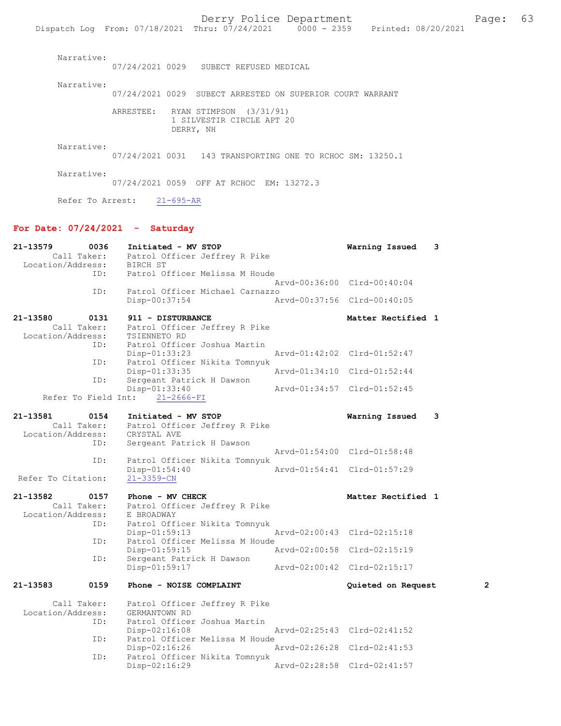|                                   |                                           | Dispatch Log From: 07/18/2021 Thru: 07/24/2021 0000 - 2359 Printed: 08/20/2021 |                             |                  |  |
|-----------------------------------|-------------------------------------------|--------------------------------------------------------------------------------|-----------------------------|------------------|--|
| Narrative:                        |                                           | 07/24/2021 0029 SUBECT REFUSED MEDICAL                                         |                             |                  |  |
| Narrative:                        |                                           | 07/24/2021 0029 SUBECT ARRESTED ON SUPERIOR COURT WARRANT                      |                             |                  |  |
|                                   |                                           | ARRESTEE: RYAN STIMPSON (3/31/91)<br>1 SILVESTIR CIRCLE APT 20<br>DERRY, NH    |                             |                  |  |
| Narrative:                        |                                           | 07/24/2021 0031 143 TRANSPORTING ONE TO RCHOC SM: 13250.1                      |                             |                  |  |
| Narrative:                        |                                           | 07/24/2021 0059 OFF AT RCHOC EM: 13272.3                                       |                             |                  |  |
|                                   | Refer To Arrest: 21-695-AR                |                                                                                |                             |                  |  |
| For Date: $07/24/2021 -$ Saturday |                                           |                                                                                |                             |                  |  |
| Location/Address: BIRCH ST<br>ID: | Call Taker: Patrol Officer Jeffrey R Pike | Patrol Officer Melissa M Houde                                                 | Arvd-00:36:00 Clrd-00:40:04 | Warning Issued 3 |  |
| ID:                               |                                           | Patrol Officer Michael Carnazzo                                                |                             |                  |  |

Disp-00:37:54 Arvd-00:37:56 Clrd-00:40:05

21-13580 0131 911 - DISTURBANCE Call Taker: Patrol Officer Jeffrey R Pike Matter Rectified 1 Patrol Officer Jeffrey R Pike<br>TSIENNETO RD Location/Address:<br>ID: Patrol Officer Joshua Martin<br>Disp-01:33:23 Disp-01:33:23 Arvd-01:42:02 Clrd-01:52:47<br>ID: Patrol Officer Nikita Tomnyuk Patrol Officer Nikita Tomnyuk<br>Disp-01:33:35 Disp-01:33:35 <br>D: Sergeant Patrick H Dawson <br>D: Sergeant Patrick H Dawson Sergeant Patrick H Dawson<br>Disp-01:33:40 Arvd-01:34:57 Clrd-01:52:45 Refer To Field Int: 21-2666-FI

Patrol Officer Michael Carnazzo<br>Disp-00:37:54 Am

| 21-13581           | 0154        | Initiated - MV STOP                          | Warning Issued              | - 3 |
|--------------------|-------------|----------------------------------------------|-----------------------------|-----|
| Location/Address:  | Call Taker: | Patrol Officer Jeffrey R Pike<br>CRYSTAL AVE |                             |     |
|                    | ID:         | Sergeant Patrick H Dawson                    |                             |     |
|                    |             |                                              | Aryd-01:54:00 Clrd-01:58:48 |     |
|                    | ID:         | Patrol Officer Nikita Tomnyuk                |                             |     |
|                    |             | $Disp-01:54:40$                              | Arvd-01:54:41 Clrd-01:57:29 |     |
| Refer To Citation: |             | $21 - 3359 - CN$                             |                             |     |

21-13582 0157 Phone - MV CHECK 1 21-13582 Matter Rectified 1 Call Taker: Patrol Officer Jeffrey R Pike<br>ion/Address: E BROADWAY Location/Address:<br>ID: Patrol Officer Nikita Tomnyuk<br>Disp-01:59:13 Disp-01:59:13 Arvd-02:00:43 Clrd-02:15:18 ID: Patrol Officer Melissa M Houde<br>Disp-01:59:15 7 Disp-01:59:15 Arvd-02:00:58 Clrd-02:15:19<br>ID: Sergeant Patrick H Dawson Sergeant Patrick H Dawson<br>Disp-01:59:17 Disp-01:59:17 Arvd-02:00:42 Clrd-02:15:17 21-13583 0159 Phone - NOISE COMPLAINT Quieted on Request 2

Call Taker: Patrol Officer Jeffrey R Pike<br>.on/Address: GERMANTOWN RD Location/Address:<br>ID: Patrol Officer Joshua Martin<br>Disp-02:16:08 Disp-02:16:08 Arvd-02:25:43 Clrd-02:41:52<br>ID: Patrol Officer Melissa M Houde Patrol Officer Melissa M Houde Disp-02:16:26 Arvd-02:26:28 Clrd-02:41:53<br>TD: Patrol Officer Nikita Tompyuk Patrol Officer Nikita Tomnyuk<br>Disp-02:16:29 Disp-02:16:29 Arvd-02:28:58 Clrd-02:41:57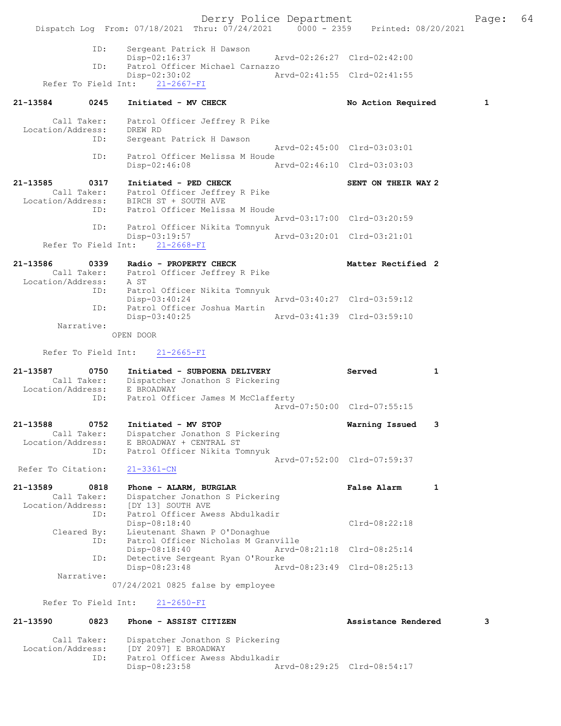Derry Police Department Fage: 64 Dispatch Log From: 07/18/2021 Thru: 07/24/2021 0000 - 2359 Printed: 08/20/2021 ID: Sergeant Patrick H Dawson Disp-02:16:37 Arvd-02:26:27 Clrd-02:42:00 ID: Patrol Officer Michael Carnazzo Disp-02:30:02 Arvd-02:41:55 Clrd-02:41:55 Refer To Field Int: 21-2667-FI 21-13584 0245 Initiated - MV CHECK No No Action Required 1 Call Taker: Patrol Officer Jeffrey R Pike Location/Address: DREW RD ID: Sergeant Patrick H Dawson Arvd-02:45:00 Clrd-03:03:01 ID: Patrol Officer Melissa M Houde Disp-02:46:08 Arvd-02:46:10 Clrd-03:03:03 21-13585 0317 Initiated - PED CHECK SENT ON THEIR WAY 2 Call Taker: Patrol Officer Jeffrey R Pike Location/Address: BIRCH ST + SOUTH AVE ID: Patrol Officer Melissa M Houde Arvd-03:17:00 Clrd-03:20:59 ID: Patrol Officer Nikita Tomnyuk Disp-03:19:57 Arvd-03:20:01 Clrd-03:21:01 Refer To Field Int: 21-2668-FI 21-13586 0339 Radio - PROPERTY CHECK Matter Rectified 2 Call Taker: Patrol Officer Jeffrey R Pike Location/Address: A ST ID: Patrol Officer Nikita Tomnyuk DISP-03:40:24<br>Disp-03:40:24 Arvd-03:40:27 Clrd-03:59:12 ID: Patrol Officer Joshua Martin<br>Disp-03:40:25 Disp-03:40:25 Arvd-03:41:39 Clrd-03:59:10 Narrative: OPEN DOOR Refer To Field Int: 21-2665-FI 21-13587 0750 Initiated - SUBPOENA DELIVERY Served 1 Call Taker: Dispatcher Jonathon S Pickering Location/Address: E BROADWAY ID: Patrol Officer James M McClafferty Arvd-07:50:00 Clrd-07:55:15 21-13588 0752 Initiated - MV STOP Warning Issued 3 Call Taker: Dispatcher Jonathon S Pickering Location/Address: E BROADWAY + CENTRAL ST ID: Patrol Officer Nikita Tomnyuk Arvd-07:52:00 Clrd-07:59:37 Refer To Citation: 21-3361-CN 21-13589 0818 Phone - ALARM, BURGLAR False Alarm 1 Call Taker: Dispatcher Jonathon S Pickering Location/Address: [DY 13] SOUTH AVE ID: Patrol Officer Awess Abdulkadir Disp-08:18:40 Clrd-08:22:18 Cleared By: Lieutenant Shawn P O'Donaghue ID: Patrol Officer Nicholas M Granville Disp-08:18:40 Arvd-08:21:18 Clrd-08:25:14<br>ID: Detective Sergeant Ryan O'Rourke Detective Sergeant Ryan O'Rourke<br>Disp-08:23:48 Art Disp-08:23:48 Arvd-08:23:49 Clrd-08:25:13 Narrative: 07/24/2021 0825 false by employee Refer To Field Int: 21-2650-FI 21-13590 0823 Phone - ASSIST CITIZEN Assistance Rendered 3

Disp-08:23:58 Arvd-08:29:25 Clrd-08:54:17

Call Taker: Dispatcher Jonathon S Pickering<br>Location/Address: [DY 2097] E BROADWAY

 Location/Address: [DY 2097] E BROADWAY ID: Patrol Officer Awess Abdulkadir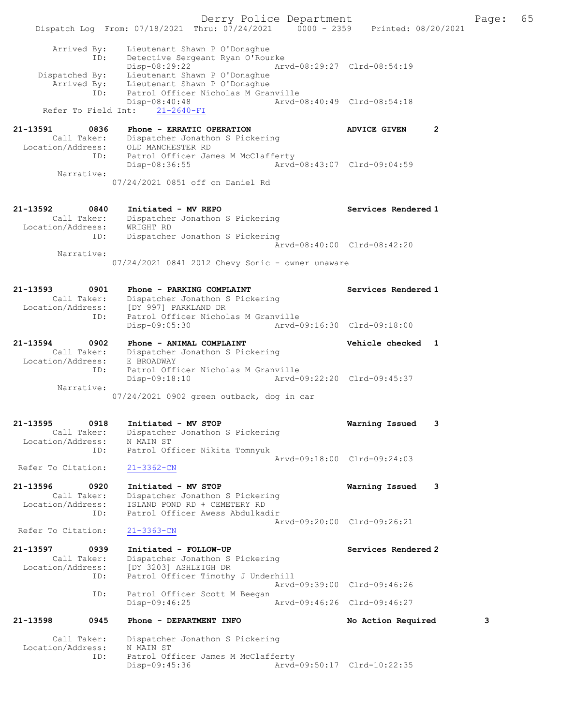Derry Police Department Fage: 65 Dispatch Log From: 07/18/2021 Thru: 07/24/2021 0000 - 2359 Printed: 08/20/2021 Arrived By: Lieutenant Shawn P O'Donaghue ID: Detective Sergeant Ryan O'Rourke Disp-08:29:22 Arvd-08:29:27 Clrd-08:54:19 Dispatched By: Lieutenant Shawn P O'Donaghue Arrived By: Lieutenant Shawn P O'Donaghue ID: Patrol Officer Nicholas M Granville Disp-08:40:48 Arvd-08:40:49 Clrd-08:54:18 Refer To Field Int: 21-2640-FI 21-13591 0836 Phone - ERRATIC OPERATION ADVICE GIVEN 2 Call Taker: Dispatcher Jonathon S Pickering Location/Address: OLD MANCHESTER RD ID: Patrol Officer James M McClafferty Disp-08:36:55 Arvd-08:43:07 Clrd-09:04:59 Narrative: 07/24/2021 0851 off on Daniel Rd 21-13592 0840 Initiated - MV REPO Services Rendered 1 Call Taker: Dispatcher Jonathon S Pickering Location/Address: WRIGHT RD ID: Dispatcher Jonathon S Pickering Arvd-08:40:00 Clrd-08:42:20 Narrative: 07/24/2021 0841 2012 Chevy Sonic - owner unaware 21-13593 0901 Phone - PARKING COMPLAINT Services Rendered 1 Call Taker: Dispatcher Jonathon S Pickering Location/Address: [DY 997] PARKLAND DR ID: Patrol Officer Nicholas M Granville Disp-09:05:30 Arvd-09:16:30 Clrd-09:18:00 21-13594 0902 Phone - ANIMAL COMPLAINT Vehicle checked 1 Call Taker: Dispatcher Jonathon S Pickering Location/Address: E BROADWAY ID: Patrol Officer Nicholas M Granville<br>Disp-09:18:10 Arvd-09:22:20 Clrd-09:45:37  $Disp-09:18:10$  Narrative: 07/24/2021 0902 green outback, dog in car 21-13595 0918 Initiated - MV STOP Warning Issued 3 Call Taker: Dispatcher Jonathon S Pickering Location/Address: N MAIN ST ID: Patrol Officer Nikita Tomnyuk Arvd-09:18:00 Clrd-09:24:03 Refer To Citation: 21-3362-CN 21-13596 0920 Initiated - MV STOP Warning Issued 3 Call Taker: Dispatcher Jonathon S Pickering Location/Address: ISLAND POND RD + CEMETERY RD ID: Patrol Officer Awess Abdulkadir Arvd-09:20:00 Clrd-09:26:21<br>21-3363-CN Refer To Citation: 21-13597 0939 Initiated - FOLLOW-UP Services Rendered 2 Call Taker: Dispatcher Jonathon S Pickering Location/Address: [DY 3203] ASHLEIGH DR ID: Patrol Officer Timothy J Underhill Arvd-09:39:00 Clrd-09:46:26 ID: Patrol Officer Scott M Beegan Disp-09:46:25 Arvd-09:46:26 Clrd-09:46:27 21-13598 0945 Phone - DEPARTMENT INFO No Action Required 3 Dispatcher Jonathon S Pickering Call Taker: Dispacency<br>Location/Address: N MAIN ST ID: Patrol Officer James M McClafferty<br>Disp-09:45:36 Arvd Disp-09:45:36 Arvd-09:50:17 Clrd-10:22:35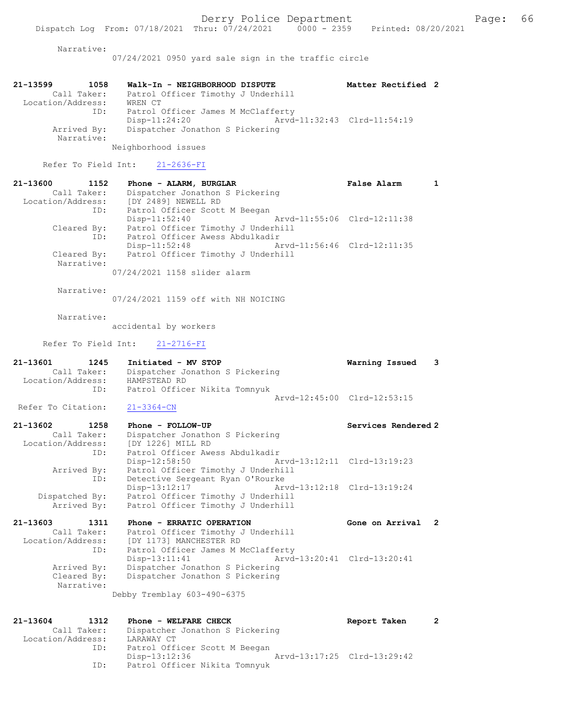Narrative:

07/24/2021 0950 yard sale sign in the traffic circle

| 21-13599          | 1058                      | Walk-In - NEIGHBORHOOD DISPUTE                      | Matter Rectified 2          |  |
|-------------------|---------------------------|-----------------------------------------------------|-----------------------------|--|
| Location/Address: | Call Taker:               | Patrol Officer Timothy J Underhill<br>WREN CT       |                             |  |
|                   | ID:                       | Patrol Officer James M McClafferty<br>Disp-11:24:20 | Arvd-11:32:43 Clrd-11:54:19 |  |
|                   | Arrived By:<br>Narrative: | Dispatcher Jonathon S Pickering                     |                             |  |

Neighborhood issues

Refer To Field Int: 21-2636-FI

| 21-13600<br>1152  | Phone - ALARM, BURGLAR             | False Alarm                 |  |
|-------------------|------------------------------------|-----------------------------|--|
| Call Taker:       | Dispatcher Jonathon S Pickering    |                             |  |
| Location/Address: | [DY 2489] NEWELL RD                |                             |  |
| ID:               | Patrol Officer Scott M Beegan      |                             |  |
|                   | $Disp-11:52:40$                    | Arvd-11:55:06 Clrd-12:11:38 |  |
| Cleared By:       | Patrol Officer Timothy J Underhill |                             |  |
| ID:               | Patrol Officer Awess Abdulkadir    |                             |  |
|                   | $Disp-11:52:48$                    | Arvd-11:56:46 Clrd-12:11:35 |  |
| Cleared By:       | Patrol Officer Timothy J Underhill |                             |  |
| Narrative:        |                                    |                             |  |
|                   | 07/24/2021 1158 slider alarm       |                             |  |

Narrative:

07/24/2021 1159 off with NH NOICING

Narrative:

accidental by workers

Refer To Field Int: 21-2716-FI

| 21-13601          | 1245        | Initiated - MV STOP             |                             | Warning Issued 3 |  |
|-------------------|-------------|---------------------------------|-----------------------------|------------------|--|
|                   | Call Taker: | Dispatcher Jonathon S Pickering |                             |                  |  |
| Location/Address: |             | HAMPSTEAD RD                    |                             |                  |  |
|                   | ID:         | Patrol Officer Nikita Tomnyuk   |                             |                  |  |
|                   |             |                                 | Arvd-12:45:00 Clrd-12:53:15 |                  |  |

Refer To Citation: 21-3364-CN

| 21-13602<br>1258  | Phone - FOLLOW-UP                            | Services Rendered 2         |
|-------------------|----------------------------------------------|-----------------------------|
| Call Taker:       | Dispatcher Jonathon S Pickering              |                             |
| Location/Address: | [DY 1226] MILL RD                            |                             |
| ID:               | Patrol Officer Awess Abdulkadir              |                             |
|                   | $Disp-12:58:50$                              | Arvd-13:12:11 Clrd-13:19:23 |
| Arrived By:       | Patrol Officer Timothy J Underhill           |                             |
| ID:               | Detective Sergeant Ryan O'Rourke             |                             |
|                   | Arvd-13:12:18 Clrd-13:19:24<br>Disp-13:12:17 |                             |
| Dispatched By:    | Patrol Officer Timothy J Underhill           |                             |
| Arrived By:       | Patrol Officer Timothy J Underhill           |                             |

| 21-13603          | 1311        | Phone - ERRATIC OPERATION          | Gone on Arrival 2           |  |
|-------------------|-------------|------------------------------------|-----------------------------|--|
|                   | Call Taker: | Patrol Officer Timothy J Underhill |                             |  |
| Location/Address: |             | [DY 1173] MANCHESTER RD            |                             |  |
|                   | ID:         | Patrol Officer James M McClafferty |                             |  |
|                   |             | Disp-13:11:41                      | Arvd-13:20:41 Clrd-13:20:41 |  |
|                   | Arrived By: | Dispatcher Jonathon S Pickering    |                             |  |
|                   | Cleared By: | Dispatcher Jonathon S Pickering    |                             |  |
|                   | Narrative:  |                                    |                             |  |
|                   |             |                                    |                             |  |

Debby Tremblay 603-490-6375

```
21-13604 1312 Phone - WELFARE CHECK Report Taken 2
 Call Taker: Dispatcher Jonathon S Pickering
 Location/Address: LARAWAY CT
 ID: Patrol Officer Scott M Beegan
 Disp-13:12:36 Arvd-13:17:25 Clrd-13:29:42
           ID: Patrol Officer Nikita Tomnyuk
```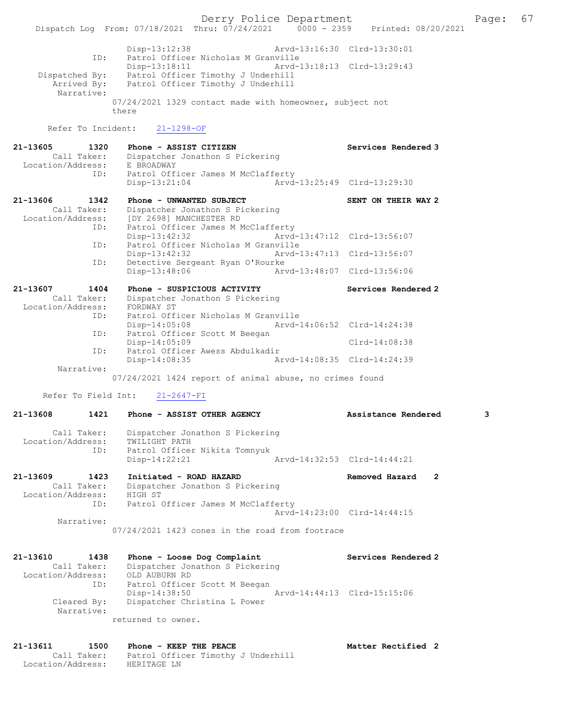Derry Police Department Fage: 67 Dispatch Log From: 07/18/2021 Thru: 07/24/2021 0000 - 2359 Printed: 08/20/2021 Disp-13:12:38 Arvd-13:16:30 Clrd-13:30:01 ID: Patrol Officer Nicholas M Granville Disp-13:18:11 Arvd-13:18:13 Clrd-13:29:43 Dispatched By: Patrol Officer Timothy J Underhill Arrived By: Patrol Officer Timothy J Underhill Narrative: 07/24/2021 1329 contact made with homeowner, subject not there Refer To Incident: 21-1298-OF 21-13605 1320 Phone - ASSIST CITIZEN Services Rendered 3 Call Taker: Dispatcher Jonathon S Pickering Location/Address: E BROADWAY<br>ID: Patrol Officer James M McClafferty ID: Patrol Officer James M McClafferty Disp-13:21:04 Arvd-13:25:49 Clrd-13:29:30 21-13606 1342 Phone - UNWANTED SUBJECT SENT ON THEIR WAY 2 Call Taker: Dispatcher Jonathon S Pickering Location/Address: [DY 2698] MANCHESTER RD ID: Patrol Officer James M McClafferty Disp-13:42:32 Arvd-13:47:12 Clrd-13:56:07 ID: Patrol Officer Nicholas M Granville<br>Disp-13:42:32 Arvd-3 Disp-13:42:32 Arvd-13:47:13 Clrd-13:56:07<br>ID: Detective Sergeant Ryan O'Rourke ID: Detective Sergeant Ryan O'Rourke Disp-13:48:06 21-13607 1404 Phone - SUSPICIOUS ACTIVITY Services Rendered 2 Call Taker: Dispatcher Jonathon S Pickering Location/Address: FORDWAY ST ID: Patrol Officer Nicholas M Granville<br>Disp-14:05:08 Mrvd-14:06:52 Clrd-14:24:38 Disp-14:05:08 Arvd-14:06:52 Clrd-14:24:38 ID: Patrol Officer Scott M Beegan Disp-14:05:09 Clrd-14:08:38 ID: Patrol Officer Awess Abdulkadir Disp-14:08:35 Arvd-14:08:35 Clrd-14:24:39 Narrative: 07/24/2021 1424 report of animal abuse, no crimes found Refer To Field Int: 21-2647-FI 21-13608 1421 Phone - ASSIST OTHER AGENCY Assistance Rendered 3 Call Taker: Dispatcher Jonathon S Pickering Location/Address: TWILIGHT PATH ID: Patrol Officer Nikita Tomnyuk Disp-14:22:21 Arvd-14:32:53 Clrd-14:44:21 21-13609 1423 Initiated - ROAD HAZARD Removed Hazard 2 Call Taker: Dispatcher Jonathon S Pickering Location/Address: HIGH ST ID: Patrol Officer James M McClafferty Arvd-14:23:00 Clrd-14:44:15 Narrative: 07/24/2021 1423 cones in the road from footrace 21-13610 1438 Phone - Loose Dog Complaint Services Rendered 2 Call Taker: Dispatcher Jonathon S Pickering Location/Address: OLD AUBURN RD ID: Patrol Officer Scott M Beegan Disp-14:38:50 Arvd-14:44:13 Clrd-15:15:06 Cleared By: Dispatcher Christina L Power Narrative: returned to owner. 21-13611 1500 Phone - KEEP THE PEACE Matter Rectified 2 Call Taker: Patrol Officer Timothy J Underhill

Location/Address: HERITAGE LN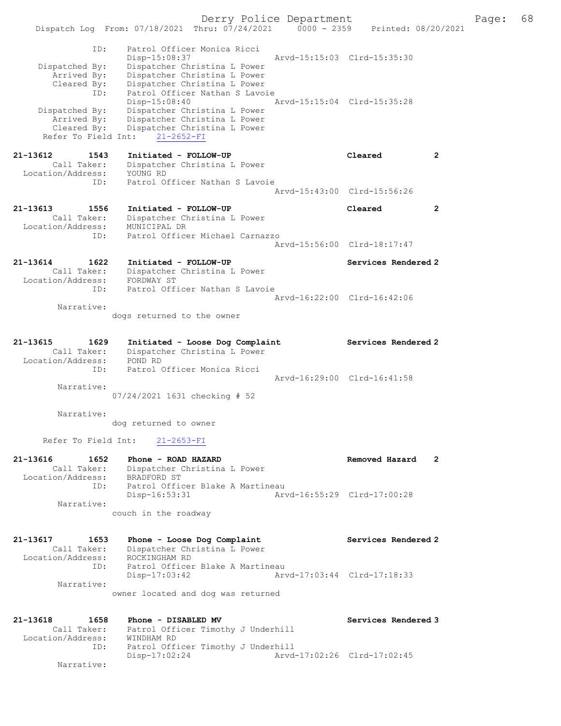Derry Police Department Fage: 68 Dispatch Log From: 07/18/2021 Thru: 07/24/2021 0000 - 2359 Printed: 08/20/2021 ID: Patrol Officer Monica Ricci Disp-15:08:37 Arvd-15:15:03 Clrd-15:35:30 Dispatched By: Dispatcher Christina L Power Arrived By: Dispatcher Christina L Power Cleared By: Dispatcher Christina L Power ID: Patrol Officer Nathan S Lavoie Disp-15:08:40 Arvd-15:15:04 Clrd-15:35:28 Dispatched By: Dispatcher Christina L Power Arrived By: Dispatcher Christina L Power Cleared By: Dispatcher Christina L Power Refer To Field Int: 21-2652-FI 21-13612 1543 Initiated - FOLLOW-UP Cleared 2 Call Taker: Dispatcher Christina L Power Location/Address: YOUNG RD ID: Patrol Officer Nathan S Lavoie Arvd-15:43:00 Clrd-15:56:26 21-13613 1556 Initiated - FOLLOW-UP Cleared 2 Call Taker: Dispatcher Christina L Power Location/Address: MUNICIPAL DR ID: Patrol Officer Michael Carnazzo Arvd-15:56:00 Clrd-18:17:47 21-13614 1622 Initiated - FOLLOW-UP Services Rendered 2 Call Taker: Dispatcher Christina L Power Location/Address: FORDWAY ST ID: Patrol Officer Nathan S Lavoie Arvd-16:22:00 Clrd-16:42:06 Narrative: dogs returned to the owner 21-13615 1629 Initiated - Loose Dog Complaint Services Rendered 2 Call Taker: Dispatcher Christina L Power Location/Address: POND RD ID: Patrol Officer Monica Ricci Arvd-16:29:00 Clrd-16:41:58 Narrative: 07/24/2021 1631 checking # 52 Narrative: dog returned to owner Refer To Field Int: 21-2653-FI 21-13616 1652 Phone - ROAD HAZARD Removed Hazard 2 Call Taker: Dispatcher Christina L Power Location/Address: BRADFORD ST ID: Patrol Officer Blake A Martineau Disp-16:53:31 Arvd-16:55:29 Clrd-17:00:28 Narrative: couch in the roadway 21-13617 1653 Phone - Loose Dog Complaint Services Rendered 2 Call Taker: Dispatcher Christina L Power Location/Address: ROCKINGHAM RD ID: Patrol Officer Blake A Martineau Disp-17:03:42 Arvd-17:03:44 Clrd-17:18:33 Narrative: owner located and dog was returned 21-13618 1658 Phone - DISABLED MV Services Rendered 3 Call Taker: Patrol Officer Timothy J Underhill Location/Address: WINDHAM RD ID: Patrol Officer Timothy J Underhill

Disp-17:02:24 Arvd-17:02:26 Clrd-17:02:45

Narrative: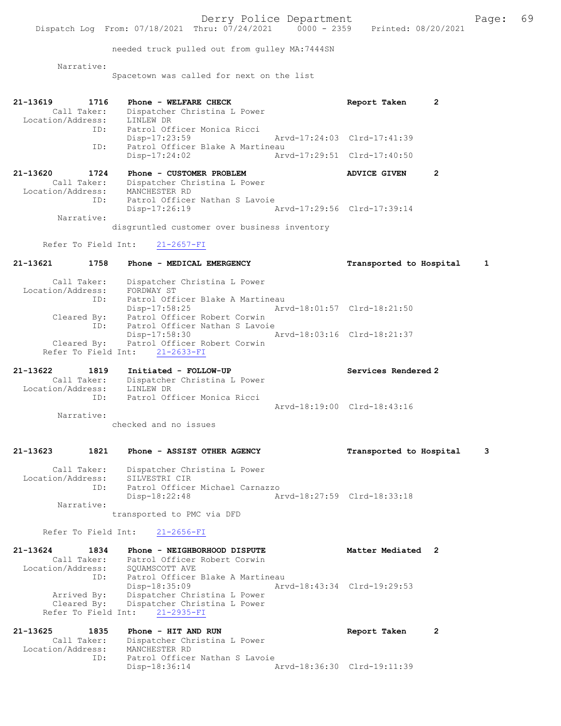Derry Police Department Fage: 69 Dispatch Log From: 07/18/2021 Thru: 07/24/2021 0000 - 2359 Printed: 08/20/2021 needed truck pulled out from gulley MA:7444SN Narrative: Spacetown was called for next on the list 21-13619 1716 Phone - WELFARE CHECK Report Taken 2 Call Taker: Dispatcher Christina L Power Location/Address: LINLEW DR ID: Patrol Officer Monica Ricci Disp-17:23:59 Arvd-17:24:03 Clrd-17:41:39 ID: Patrol Officer Blake A Martineau Disp-17:24:02 Arvd-17:29:51 Clrd-17:40:50 21-13620 1724 Phone - CUSTOMER PROBLEM ADVICE GIVEN 2 Call Taker: Dispatcher Christina L Power Location/Address: MANCHESTER RD ID: Patrol Officer Nathan S Lavoie Disp-17:26:19 Arvd-17:29:56 Clrd-17:39:14 Narrative: disgruntled customer over business inventory Refer To Field Int: 21-2657-FI 21-13621 1758 Phone - MEDICAL EMERGENCY Transported to Hospital 1 Call Taker: Dispatcher Christina L Power Location/Address: FORDWAY ST ID: Patrol Officer Blake A Martineau Disp-17:58:25 Arvd-18:01:57 Clrd-18:21:50 Cleared By: Patrol Officer Robert Corwin ID: Patrol Officer Nathan S Lavoie Disp-17:58:30 Arvd-18:03:16 Clrd-18:21:37 Cleared By: Patrol Officer Robert Corwin Refer To Field Int: 21-2633-FI 21-13622 1819 Initiated - FOLLOW-UP Services Rendered 2 Call Taker: Dispatcher Christina L Power Location/Address: LINLEW DR ID: Patrol Officer Monica Ricci Arvd-18:19:00 Clrd-18:43:16 Narrative: checked and no issues 21-13623 1821 Phone - ASSIST OTHER AGENCY Transported to Hospital 3 Call Taker: Dispatcher Christina L Power Location/Address: SILVESTRI CIR ID: Patrol Officer Michael Carnazzo Disp-18:22:48 Arvd-18:27:59 Clrd-18:33:18 Narrative: transported to PMC via DFD Refer To Field Int: 21-2656-FI 21-13624 1834 Phone - NEIGHBORHOOD DISPUTE Matter Mediated 2 Call Taker: Patrol Officer Robert Corwin Location/Address: SQUAMSCOTT AVE ID: Patrol Officer Blake A Martineau Disp-18:35:09 Arvd-18:43:34 Clrd-19:29:53 Arrived By: Dispatcher Christina L Power Cleared By: Dispatcher Christina L Power Refer To Field Int: 21-2935-FI 21-13625 1835 Phone - HIT AND RUN Report Taken 2

 Call Taker: Dispatcher Christina L Power Location/Address: MANCHESTER RD ID: Patrol Officer Nathan S Lavoie<br>Disp-18:36:14 Disp-18:36:14 Arvd-18:36:30 Clrd-19:11:39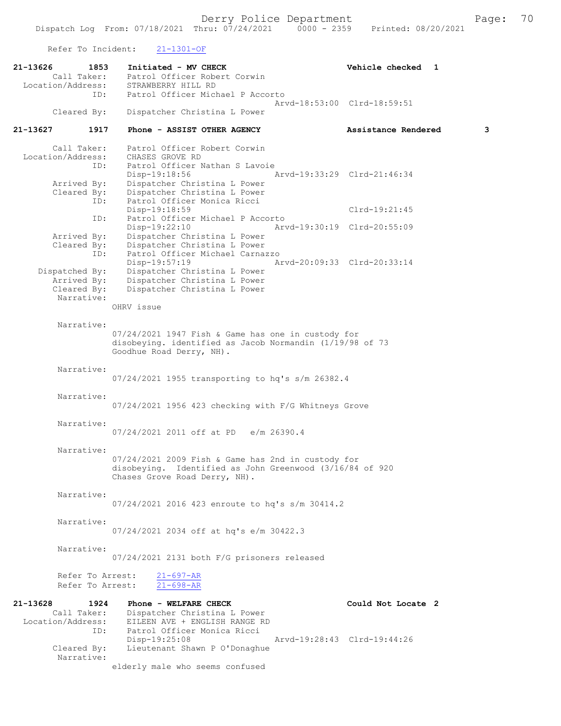Refer To Incident: 21-1301-OF

| 21-13626<br>1853                 | Initiated - MV CHECK                                                                      | Vehicle checked 1           |
|----------------------------------|-------------------------------------------------------------------------------------------|-----------------------------|
| Call Taker:                      | Patrol Officer Robert Corwin                                                              |                             |
| Location/Address:                | STRAWBERRY HILL RD                                                                        |                             |
| ID:                              | Patrol Officer Michael P Accorto                                                          |                             |
|                                  |                                                                                           | Arvd-18:53:00 Clrd-18:59:51 |
| Cleared By:                      | Dispatcher Christina L Power                                                              |                             |
| 1917<br>21-13627                 | Phone - ASSIST OTHER AGENCY                                                               | 3<br>Assistance Rendered    |
| Call Taker:                      | Patrol Officer Robert Corwin                                                              |                             |
| Location/Address:                | CHASES GROVE RD                                                                           |                             |
| ID:                              | Patrol Officer Nathan S Lavoie                                                            |                             |
|                                  | Disp-19:18:56                                                                             | Arvd-19:33:29 Clrd-21:46:34 |
| Arrived By:                      | Dispatcher Christina L Power                                                              |                             |
| Cleared By:                      | Dispatcher Christina L Power                                                              |                             |
| ID:                              | Patrol Officer Monica Ricci                                                               |                             |
| ID:                              | Disp-19:18:59<br>Patrol Officer Michael P Accorto                                         | $Clrd-19:21:45$             |
|                                  | Disp-19:22:10                                                                             | Arvd-19:30:19 Clrd-20:55:09 |
| Arrived By:                      | Dispatcher Christina L Power                                                              |                             |
| Cleared By:                      | Dispatcher Christina L Power                                                              |                             |
| ID:                              | Patrol Officer Michael Carnazzo                                                           |                             |
|                                  | Disp-19:57:19                                                                             | Arvd-20:09:33 Clrd-20:33:14 |
| Dispatched By:                   | Dispatcher Christina L Power                                                              |                             |
| Arrived By:                      | Dispatcher Christina L Power                                                              |                             |
| Cleared By:<br>Narrative:        | Dispatcher Christina L Power                                                              |                             |
|                                  | OHRV issue                                                                                |                             |
|                                  |                                                                                           |                             |
| Narrative:                       |                                                                                           |                             |
|                                  | $07/24/2021$ 1947 Fish & Game has one in custody for                                      |                             |
|                                  | disobeying. identified as Jacob Normandin (1/19/98 of 73                                  |                             |
|                                  | Goodhue Road Derry, NH).                                                                  |                             |
|                                  |                                                                                           |                             |
| Narrative:                       |                                                                                           |                             |
|                                  | 07/24/2021 1955 transporting to hq's s/m 26382.4                                          |                             |
| Narrative:                       |                                                                                           |                             |
|                                  | 07/24/2021 1956 423 checking with F/G Whitneys Grove                                      |                             |
|                                  |                                                                                           |                             |
| Narrative:                       |                                                                                           |                             |
|                                  | 07/24/2021 2011 off at PD e/m 26390.4                                                     |                             |
|                                  |                                                                                           |                             |
| Narrative:                       |                                                                                           |                             |
|                                  | $07/24/2021$ 2009 Fish & Game has 2nd in custody for                                      |                             |
|                                  | disobeying. Identified as John Greenwood (3/16/84 of 920<br>Chases Grove Road Derry, NH). |                             |
|                                  |                                                                                           |                             |
| Narrative:                       |                                                                                           |                             |
|                                  | 07/24/2021 2016 423 enroute to hq's s/m 30414.2                                           |                             |
|                                  |                                                                                           |                             |
| Narrative:                       |                                                                                           |                             |
|                                  | 07/24/2021 2034 off at hq's e/m 30422.3                                                   |                             |
| Narrative:                       |                                                                                           |                             |
|                                  | 07/24/2021 2131 both F/G prisoners released                                               |                             |
|                                  |                                                                                           |                             |
| Refer To Arrest:                 | $21 - 697 - AR$                                                                           |                             |
| Refer To Arrest:                 | $21 - 698 - AR$                                                                           |                             |
|                                  |                                                                                           |                             |
| 21-13628<br>1924                 | Phone - WELFARE CHECK                                                                     | Could Not Locate 2          |
| Call Taker:<br>Location/Address: | Dispatcher Christina L Power<br>EILEEN AVE + ENGLISH RANGE RD                             |                             |
| ID:                              | Patrol Officer Monica Ricci                                                               |                             |
|                                  | $Disp-19:25:08$                                                                           | Arvd-19:28:43 Clrd-19:44:26 |
| Cleared By:                      | Lieutenant Shawn P O'Donaghue                                                             |                             |
| Narrative:                       |                                                                                           |                             |
|                                  | elderly male who seems confused                                                           |                             |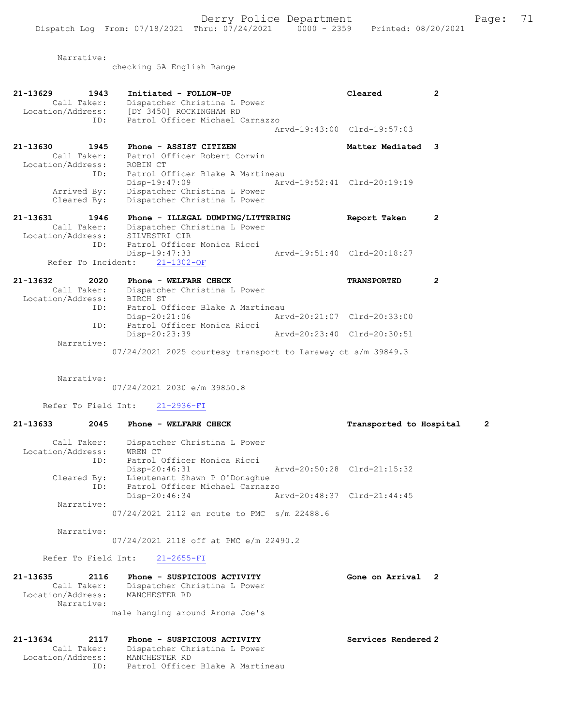Narrative:

checking 5A English Range

| $21 - 13629$<br>1943<br>Call Taker:<br>ID:                      | Initiated - FOLLOW-UP<br>Dispatcher Christina L Power<br>Location/Address: [DY 3450] ROCKINGHAM RD<br>Patrol Officer Michael Carnazzo |                             | Cleared                     | $\overline{2}$ |
|-----------------------------------------------------------------|---------------------------------------------------------------------------------------------------------------------------------------|-----------------------------|-----------------------------|----------------|
|                                                                 |                                                                                                                                       |                             | Arvd-19:43:00 Clrd-19:57:03 |                |
| 21-13630 1945<br>Call Taker:<br>Location/Address:               | Phone - ASSIST CITIZEN<br>Patrol Officer Robert Corwin<br>ROBIN CT                                                                    |                             | Matter Mediated 3           |                |
| ID:<br>Arrived By:<br>Cleared By:                               | Patrol Officer Blake A Martineau<br>$Disp-19:47:09$<br>Dispatcher Christina L Power<br>Dispatcher Christina L Power                   | Arvd-19:52:41 Clrd-20:19:19 |                             |                |
| 21-13631<br>1946<br>Call Taker:<br>Location/Address:            | Phone - ILLEGAL DUMPING/LITTERING<br>Dispatcher Christina L Power<br>SILVESTRI CIR                                                    |                             | Report Taken                | $\overline{2}$ |
| ID:                                                             | Patrol Officer Monica Ricci<br>Disp-19:47:33<br>Refer To Incident: 21-1302-OF                                                         |                             | Arvd-19:51:40 Clrd-20:18:27 |                |
| $21 - 13632$<br>2020<br>Call Taker:<br>Location/Address:<br>ID: | Phone - WELFARE CHECK<br>Dispatcher Christina L Power<br>BIRCH ST<br>Patrol Officer Blake A Martineau                                 |                             | <b>TRANSPORTED</b>          | $\overline{2}$ |
| ID:                                                             | Disp-20:21:06 Arvd-20:21:07 Clrd-20:33:00<br>Patrol Officer Monica Ricci<br>Disp-20:23:39                                             | Arvd-20:23:40 Clrd-20:30:51 |                             |                |
| Narrative:                                                      | $07/24/2021$ 2025 courtesy transport to Laraway ct s/m 39849.3                                                                        |                             |                             |                |

Narrative:

07/24/2021 2030 e/m 39850.8

Refer To Field Int: 21-2936-FI

## 21-13633 2045 Phone - WELFARE CHECK Transported to Hospital 2

| Call Taker:<br>Location/Address:<br>ID: | Dispatcher Christina L Power<br>WREN CT<br>Patrol Officer Monica Ricci |                             |  |
|-----------------------------------------|------------------------------------------------------------------------|-----------------------------|--|
|                                         | Disp-20:46:31                                                          | Arvd-20:50:28 Clrd-21:15:32 |  |
| Cleared By:<br>ID:                      | Lieutenant Shawn P O'Donaghue<br>Patrol Officer Michael Carnazzo       |                             |  |
|                                         | Disp-20:46:34                                                          | Arvd-20:48:37 Clrd-21:44:45 |  |
| Narrative:                              |                                                                        |                             |  |
|                                         | 07/24/2021 2112 en route to PMC s/m 22488.6                            |                             |  |

Narrative:

07/24/2021 2118 off at PMC e/m 22490.2

Refer To Field Int: 21-2655-FI

| 21-13635          | 2116        | Phone - SUSPICIOUS ACTIVITY     | Gone on Arrival 2 |  |
|-------------------|-------------|---------------------------------|-------------------|--|
|                   | Call Taker: | Dispatcher Christina L Power    |                   |  |
| Location/Address: | Narrative:  | MANCHESTER RD                   |                   |  |
|                   |             | male hanging around Aroma Joe's |                   |  |

### 21-13634 2117 Phone - SUSPICIOUS ACTIVITY Services Rendered 2 Call Taker: Dispatcher Christina L Power Location/Address: MANCHESTER RD ID: Patrol Officer Blake A Martineau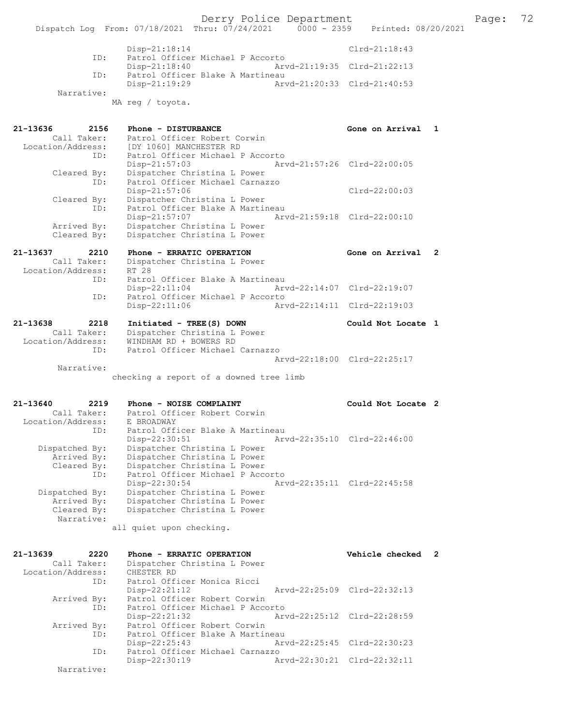|            | $Disp-21:18:14$                  |                             | Clrd-21:18:43 |
|------------|----------------------------------|-----------------------------|---------------|
| ID:        | Patrol Officer Michael P Accorto |                             |               |
|            | Disp-21:18:40                    | Arvd-21:19:35 Clrd-21:22:13 |               |
| ID:        | Patrol Officer Blake A Martineau |                             |               |
|            | Disp-21:19:29                    | Arvd-21:20:33 Clrd-21:40:53 |               |
| Narrative: |                                  |                             |               |
|            | MA req / toyota.                 |                             |               |

| 21-13636          | 2156 | Phone - DISTURBANCE              |                             | Gone on Arrival 1 |  |
|-------------------|------|----------------------------------|-----------------------------|-------------------|--|
| Call Taker:       |      | Patrol Officer Robert Corwin     |                             |                   |  |
| Location/Address: |      | [DY 1060] MANCHESTER RD          |                             |                   |  |
|                   | ID:  | Patrol Officer Michael P Accorto |                             |                   |  |
|                   |      | $Disp-21:57:03$                  | Arvd-21:57:26 Clrd-22:00:05 |                   |  |
| Cleared By:       |      | Dispatcher Christina L Power     |                             |                   |  |
|                   | ID:  | Patrol Officer Michael Carnazzo  |                             |                   |  |
|                   |      | $Disp-21:57:06$                  |                             | $Clrd-22:00:03$   |  |
| Cleared By:       |      | Dispatcher Christina L Power     |                             |                   |  |
|                   | ID:  | Patrol Officer Blake A Martineau |                             |                   |  |
|                   |      | Disp-21:57:07                    | Arvd-21:59:18 Clrd-22:00:10 |                   |  |
| Arrived By:       |      | Dispatcher Christina L Power     |                             |                   |  |
| Cleared By:       |      | Dispatcher Christina L Power     |                             |                   |  |

| 21-13637          | 2210        | Phone - ERRATIC OPERATION        | Gone on Arrival 2           |  |
|-------------------|-------------|----------------------------------|-----------------------------|--|
|                   | Call Taker: | Dispatcher Christina L Power     |                             |  |
| Location/Address: |             | RT 28                            |                             |  |
|                   | ID:         | Patrol Officer Blake A Martineau |                             |  |
|                   |             | $Disp-22:11:04$                  | Arvd-22:14:07 Clrd-22:19:07 |  |
|                   | TD:         | Patrol Officer Michael P Accorto |                             |  |
|                   |             | $Disp-22:11:06$                  | Arvd-22:14:11 Clrd-22:19:03 |  |
|                   |             |                                  |                             |  |

| 21-13638          | 2218        | Initiated - TREE(S) DOWN        | Could Not Locate 1          |  |
|-------------------|-------------|---------------------------------|-----------------------------|--|
|                   | Call Taker: | Dispatcher Christina L Power    |                             |  |
| Location/Address: |             | WINDHAM RD + BOWERS RD          |                             |  |
|                   | TD:         | Patrol Officer Michael Carnazzo |                             |  |
|                   |             |                                 | Aryd-22:18:00 Clrd-22:25:17 |  |
|                   | Narrative:  |                                 |                             |  |

checking a report of a downed tree limb

### 21-13640 2219 Phone - NOISE COMPLAINT Could Not Locate 2 Call Taker: Patrol Officer Robert Corwin Location/Address:<br>ID: E BROADWAY<br>Patrol Officer Blake A Martineau<br>Disp-22:30:51 Art Disp-22:30:51 Arvd-22:35:10 Clrd-22:46:00<br>Dispatched By: Dispatcher Christina L Power Dispatched By: Dispatcher Christina L Power Arrived By: Dispatcher Christina L Power Cleared By: Dispatcher Christina L Power<br>ID: Patrol Officer Michael P Acco Patrol Officer Michael P Accorto<br>Disp-22:30:54 Art Disp-22:30:54 Arvd-22:35:11 Clrd-22:45:58 Dispatched By: Dispatcher Christina L Power Arrived By: Dispatcher Christina L Power<br>Cleared By: Dispatcher Christina L Power Dispatcher Christina L Power Narrative:

all quiet upon checking.

| 21-13639                                    | 2220        | Phone - ERRATIC OPERATION        |                             | Vehicle checked 2           |  |  |
|---------------------------------------------|-------------|----------------------------------|-----------------------------|-----------------------------|--|--|
| Dispatcher Christina L Power<br>Call Taker: |             |                                  |                             |                             |  |  |
| Location/Address:                           |             | CHESTER RD                       |                             |                             |  |  |
| ID:                                         |             | Patrol Officer Monica Ricci      |                             |                             |  |  |
|                                             |             | $Disp-22:21:12$                  |                             | Arvd-22:25:09 Clrd-22:32:13 |  |  |
|                                             | Arrived By: | Patrol Officer Robert Corwin     |                             |                             |  |  |
| ID:                                         |             | Patrol Officer Michael P Accorto |                             |                             |  |  |
|                                             |             | $Disp-22:21:32$                  | Arvd-22:25:12 Clrd-22:28:59 |                             |  |  |
|                                             | Arrived By: | Patrol Officer Robert Corwin     |                             |                             |  |  |
|                                             | ID:         | Patrol Officer Blake A Martineau |                             |                             |  |  |
|                                             |             | $Disp-22:25:43$                  | Arvd-22:25:45 Clrd-22:30:23 |                             |  |  |
|                                             | ID:         | Patrol Officer Michael Carnazzo  |                             |                             |  |  |
|                                             |             | $Disp-22:30:19$                  |                             | Arvd-22:30:21 Clrd-22:32:11 |  |  |
|                                             | Narrative:  |                                  |                             |                             |  |  |